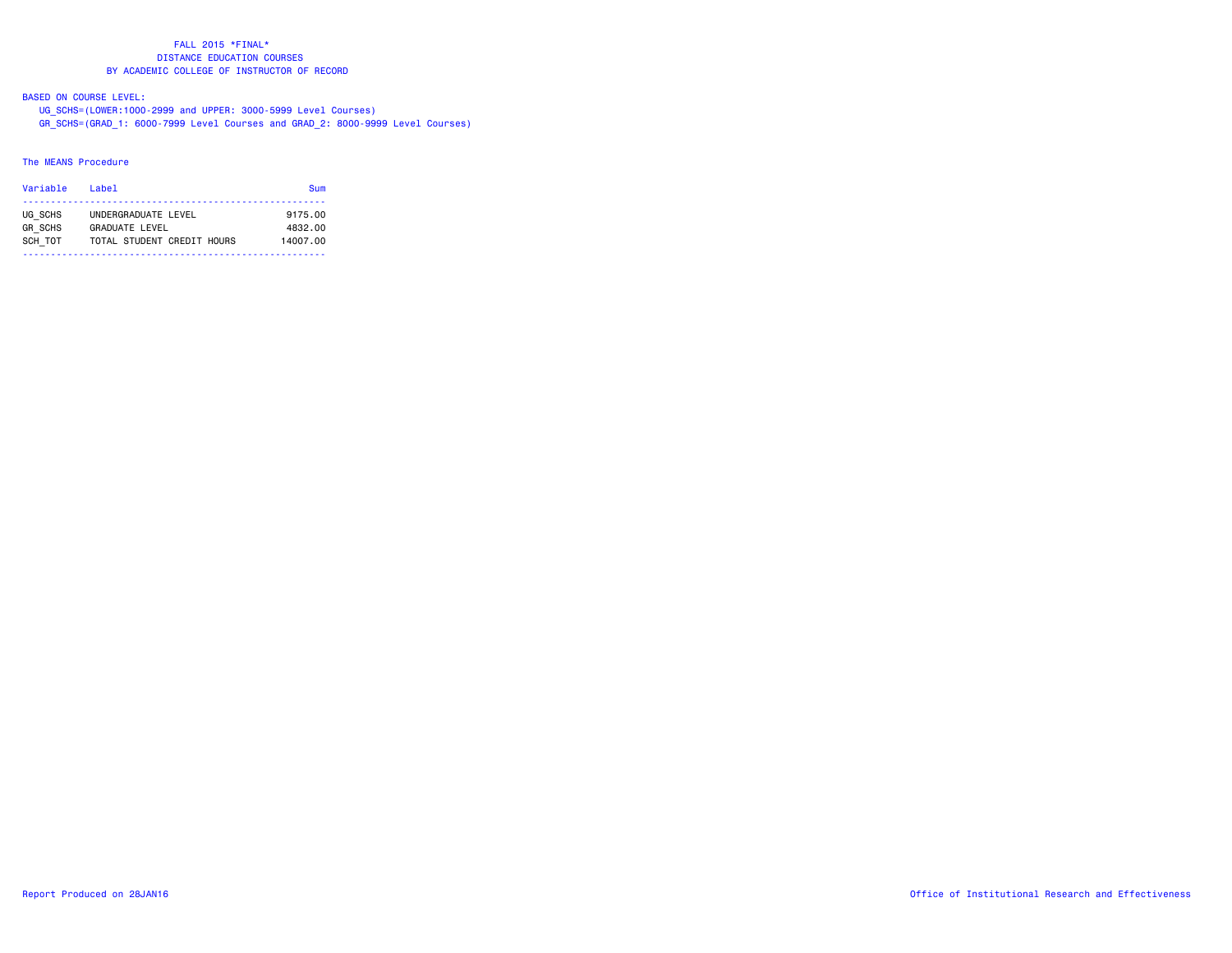# BASED ON COURSE LEVEL:

UG\_SCHS=(LOWER:1000-2999 and UPPER: 3000-5999 Level Courses)

GR\_SCHS=(GRAD\_1: 6000-7999 Level Courses and GRAD\_2: 8000-9999 Level Courses)

# The MEANS Procedure

| Variable<br>l ahel |                            | <b>Sum</b> |
|--------------------|----------------------------|------------|
| UG SCHS            | UNDERGRADUATE LEVEL        | 9175.00    |
| <b>GR SCHS</b>     | <b>GRADUATE LEVEL</b>      | 4832.00    |
| SCH TOT            | TOTAL STUDENT CREDIT HOURS | 14007.00   |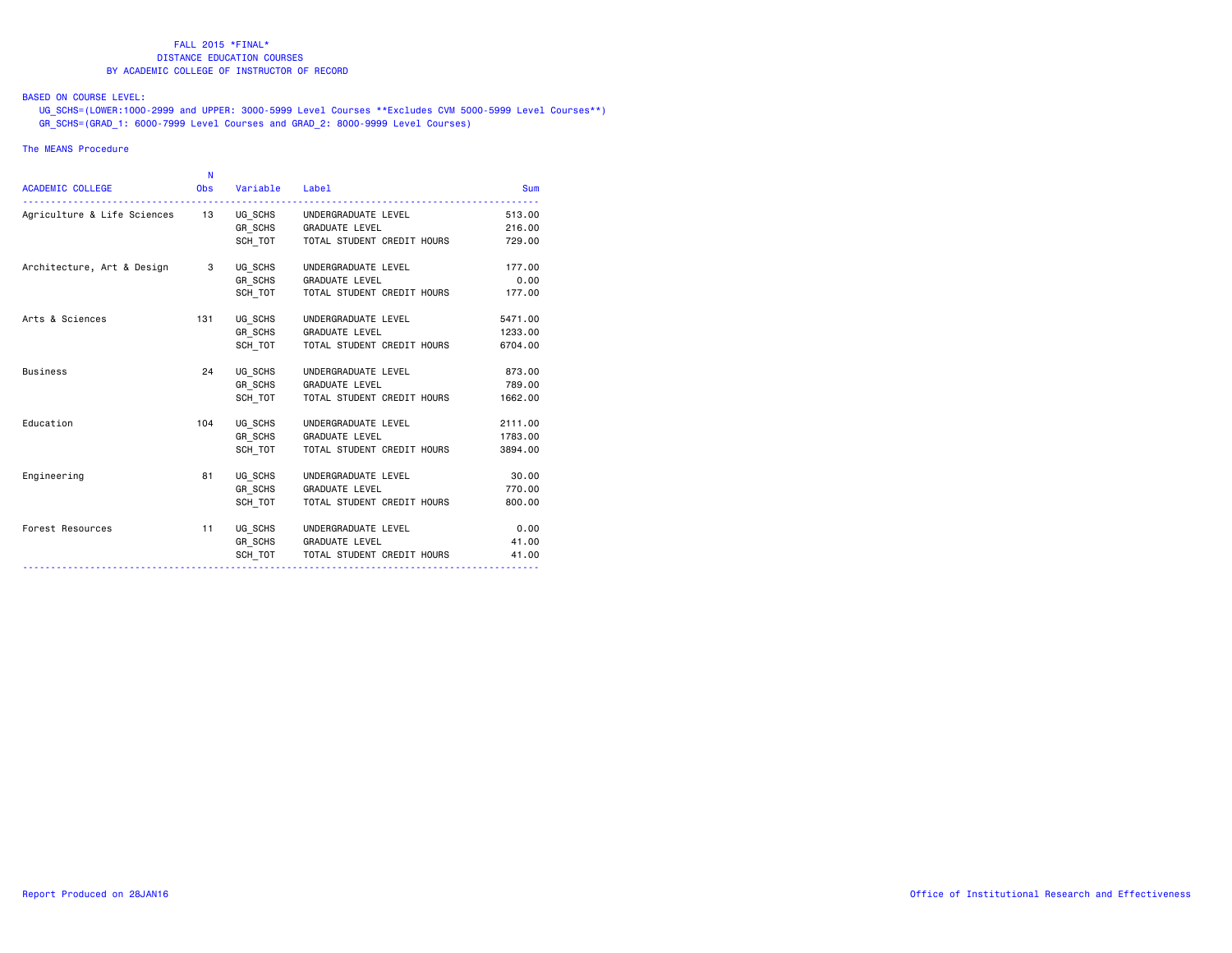## BASED ON COURSE LEVEL:

 UG\_SCHS=(LOWER:1000-2999 and UPPER: 3000-5999 Level Courses \*\*Excludes CVM 5000-5999 Level Courses\*\*) GR\_SCHS=(GRAD\_1: 6000-7999 Level Courses and GRAD\_2: 8000-9999 Level Courses)

### The MEANS Procedure

|                                | N          |          |                            |            |
|--------------------------------|------------|----------|----------------------------|------------|
| <b>ACADEMIC COLLEGE</b>        | <b>Obs</b> | Variable | Label                      | <b>Sum</b> |
| Agriculture & Life Sciences 13 |            | UG SCHS  | UNDERGRADUATE LEVEL        | 513.00     |
|                                |            | GR SCHS  | <b>GRADUATE LEVEL</b>      | 216.00     |
|                                |            | SCH TOT  | TOTAL STUDENT CREDIT HOURS | 729.00     |
| Architecture, Art & Design     | 3          | UG SCHS  | UNDERGRADUATE LEVEL        | 177.00     |
|                                |            | GR SCHS  | <b>GRADUATE LEVEL</b>      | 0.00       |
|                                |            | SCH TOT  | TOTAL STUDENT CREDIT HOURS | 177.00     |
| Arts & Sciences                | 131        | UG SCHS  | UNDERGRADUATE LEVEL        | 5471.00    |
|                                |            | GR SCHS  | <b>GRADUATE LEVEL</b>      | 1233.00    |
|                                |            | SCH TOT  | TOTAL STUDENT CREDIT HOURS | 6704.00    |
| <b>Business</b>                | 24         | UG SCHS  | UNDERGRADUATE LEVEL        | 873.00     |
|                                |            | GR SCHS  | <b>GRADUATE LEVEL</b>      | 789.00     |
|                                |            | SCH TOT  | TOTAL STUDENT CREDIT HOURS | 1662.00    |
| Education                      | 104        | UG SCHS  | UNDERGRADUATE LEVEL        | 2111.00    |
|                                |            | GR SCHS  | <b>GRADUATE LEVEL</b>      | 1783.00    |
|                                |            | SCH TOT  | TOTAL STUDENT CREDIT HOURS | 3894.00    |
| Engineering                    | 81         | UG SCHS  | UNDERGRADUATE LEVEL        | 30.00      |
|                                |            | GR SCHS  | <b>GRADUATE LEVEL</b>      | 770.00     |
|                                |            | SCH TOT  | TOTAL STUDENT CREDIT HOURS | 800.00     |
| Forest Resources               | 11         | UG SCHS  | UNDERGRADUATE LEVEL        | 0.00       |
|                                |            | GR SCHS  | <b>GRADUATE LEVEL</b>      | 41.00      |
|                                |            | SCH TOT  | TOTAL STUDENT CREDIT HOURS | 41.00      |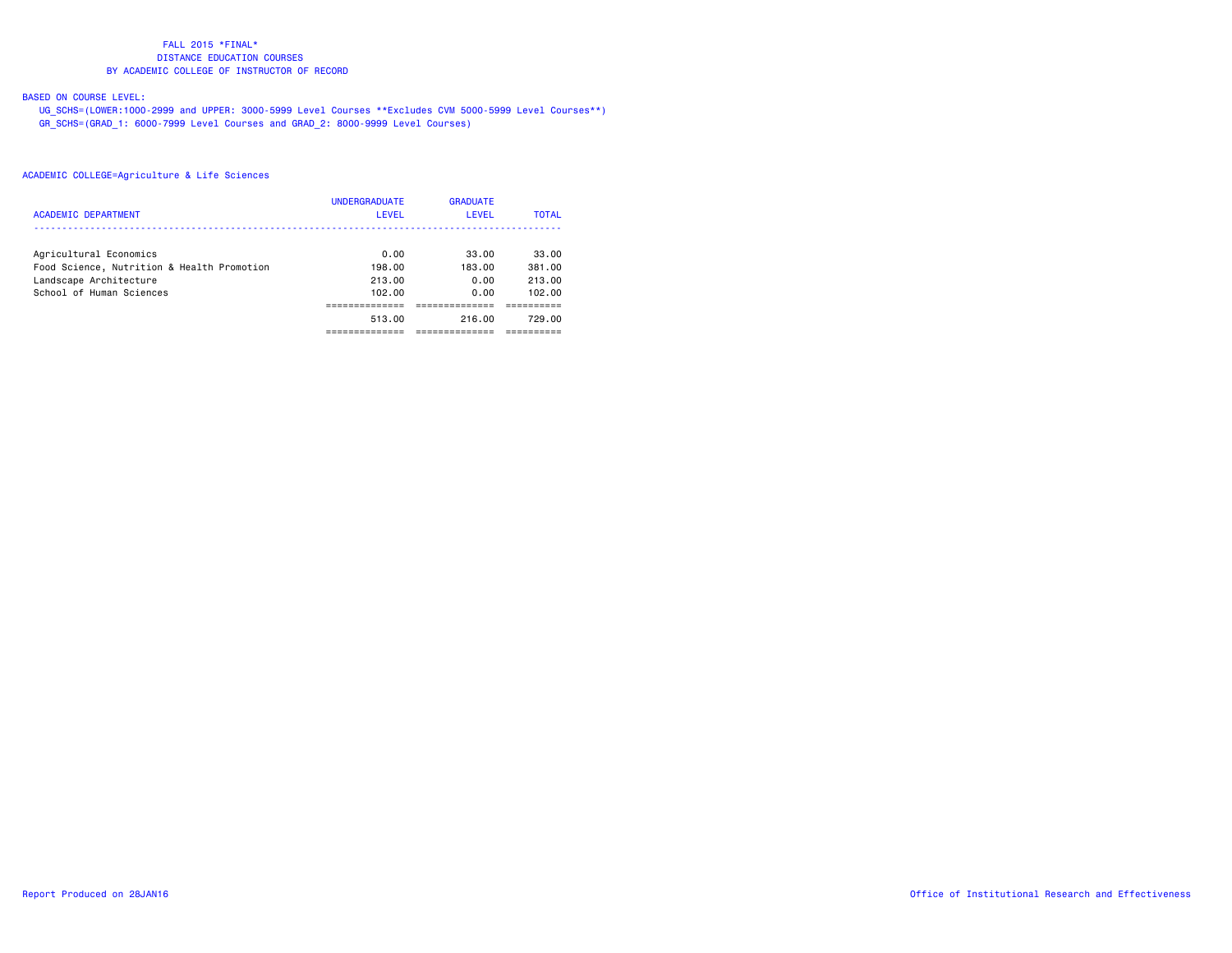# BASED ON COURSE LEVEL:

 UG\_SCHS=(LOWER:1000-2999 and UPPER: 3000-5999 Level Courses \*\*Excludes CVM 5000-5999 Level Courses\*\*) GR\_SCHS=(GRAD\_1: 6000-7999 Level Courses and GRAD\_2: 8000-9999 Level Courses)

|                                            | <b>UNDERGRADUATE</b> | <b>GRADUATE</b> |              |
|--------------------------------------------|----------------------|-----------------|--------------|
| ACADEMIC DEPARTMENT                        | LEVEL                | <b>LEVEL</b>    | <b>TOTAL</b> |
|                                            |                      |                 |              |
| Agricultural Economics                     | 0.00                 | 33.00           | 33.00        |
| Food Science, Nutrition & Health Promotion | 198.00               | 183.00          | 381.00       |
| Landscape Architecture                     | 213.00               | 0.00            | 213.00       |
| School of Human Sciences                   | 102.00               | 0.00            | 102.00       |
|                                            |                      |                 |              |
|                                            | 513.00               | 216.00          | 729.00       |
|                                            |                      |                 |              |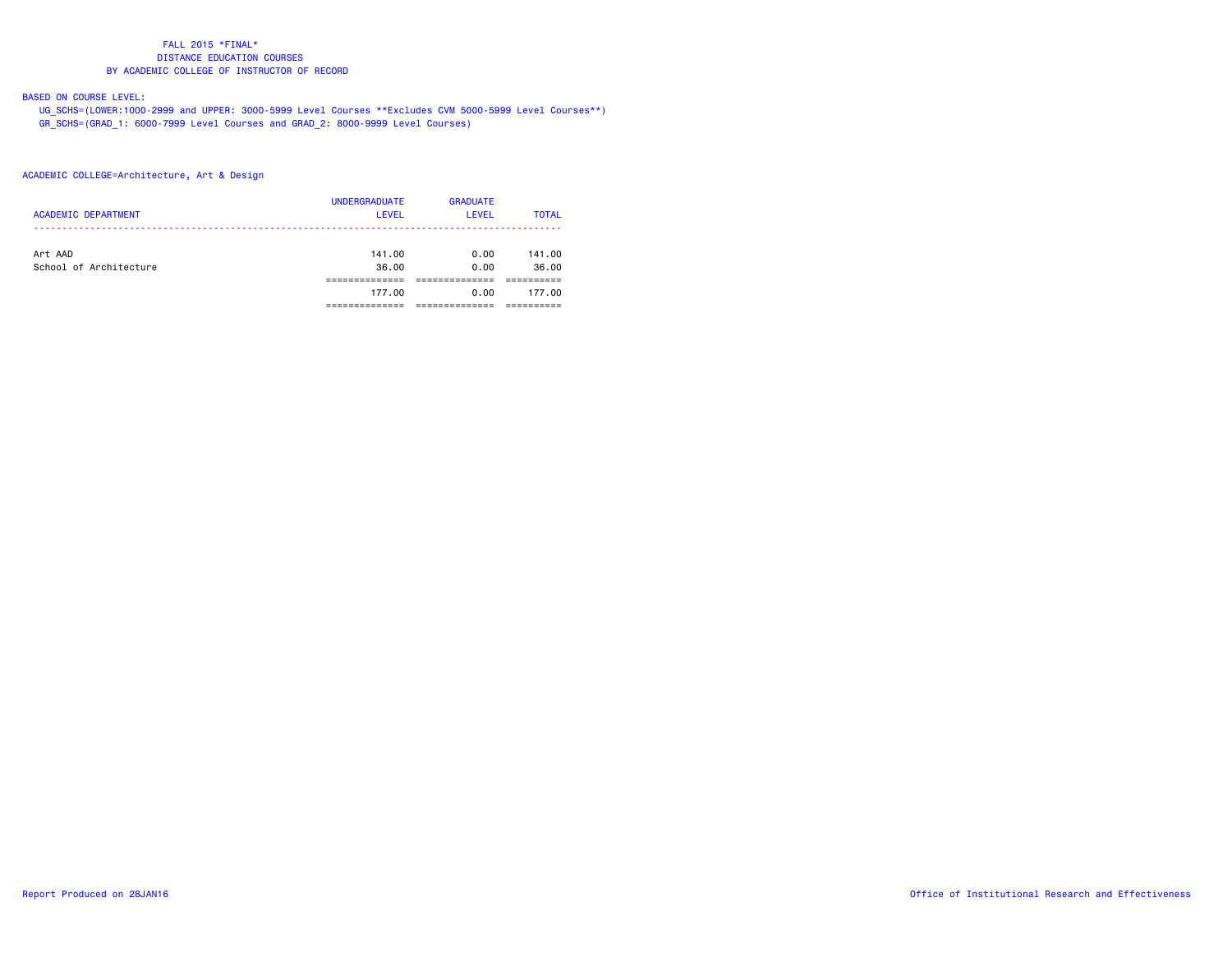# BASED ON COURSE LEVEL:

 UG\_SCHS=(LOWER:1000-2999 and UPPER: 3000-5999 Level Courses \*\*Excludes CVM 5000-5999 Level Courses\*\*) GR\_SCHS=(GRAD\_1: 6000-7999 Level Courses and GRAD\_2: 8000-9999 Level Courses)

## ACADEMIC COLLEGE=Architecture, Art & Design

| <b>ACADEMIC DEPARTMENT</b>        | <b>UNDERGRADUATE</b><br><b>LEVEL</b> | <b>GRADUATE</b><br>LEVEL | <b>TOTAL</b>    |
|-----------------------------------|--------------------------------------|--------------------------|-----------------|
| Art AAD<br>School of Architecture | 141.00<br>36.00                      | 0.00<br>0.00             | 141.00<br>36.00 |
|                                   |                                      |                          |                 |
|                                   | 177.00                               | 0.00                     | 177.00          |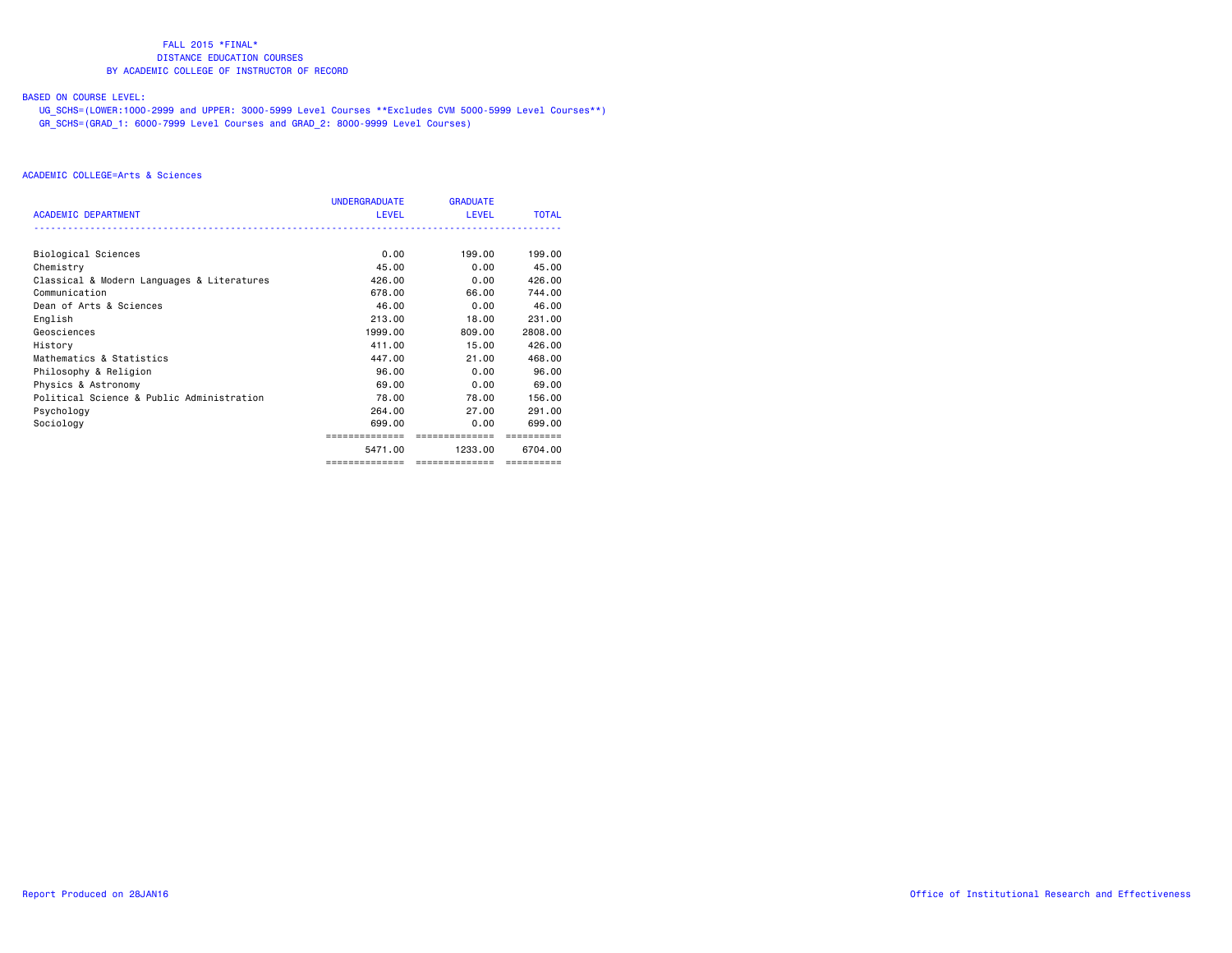# BASED ON COURSE LEVEL:

 UG\_SCHS=(LOWER:1000-2999 and UPPER: 3000-5999 Level Courses \*\*Excludes CVM 5000-5999 Level Courses\*\*) GR\_SCHS=(GRAD\_1: 6000-7999 Level Courses and GRAD\_2: 8000-9999 Level Courses)

|                                            | <b>UNDERGRADUATE</b> | <b>GRADUATE</b> |              |
|--------------------------------------------|----------------------|-----------------|--------------|
| ACADEMIC DEPARTMENT                        | <b>LEVEL</b>         | <b>LEVEL</b>    | <b>TOTAL</b> |
|                                            |                      |                 |              |
| Biological Sciences                        | 0.00                 | 199.00          | 199,00       |
| Chemistry                                  | 45.00                | 0.00            | 45.00        |
| Classical & Modern Languages & Literatures | 426,00               | 0.00            | 426,00       |
| Communication                              | 678.00               | 66.00           | 744.00       |
| Dean of Arts & Sciences                    | 46.00                | 0.00            | 46.00        |
| English                                    | 213,00               | 18,00           | 231,00       |
| Geosciences                                | 1999.00              | 809,00          | 2808.00      |
| History                                    | 411.00               | 15.00           | 426,00       |
| Mathematics & Statistics                   | 447.00               | 21.00           | 468,00       |
| Philosophy & Religion                      | 96.00                | 0.00            | 96.00        |
| Physics & Astronomy                        | 69.00                | 0.00            | 69.00        |
| Political Science & Public Administration  | 78.00                | 78.00           | 156.00       |
| Psychology                                 | 264.00               | 27.00           | 291,00       |
| Sociology                                  | 699,00               | 0.00            | 699.00       |
|                                            | ==============       | ==============  |              |
|                                            | 5471.00              | 1233.00         | 6704.00      |
|                                            | ==============       | =============== |              |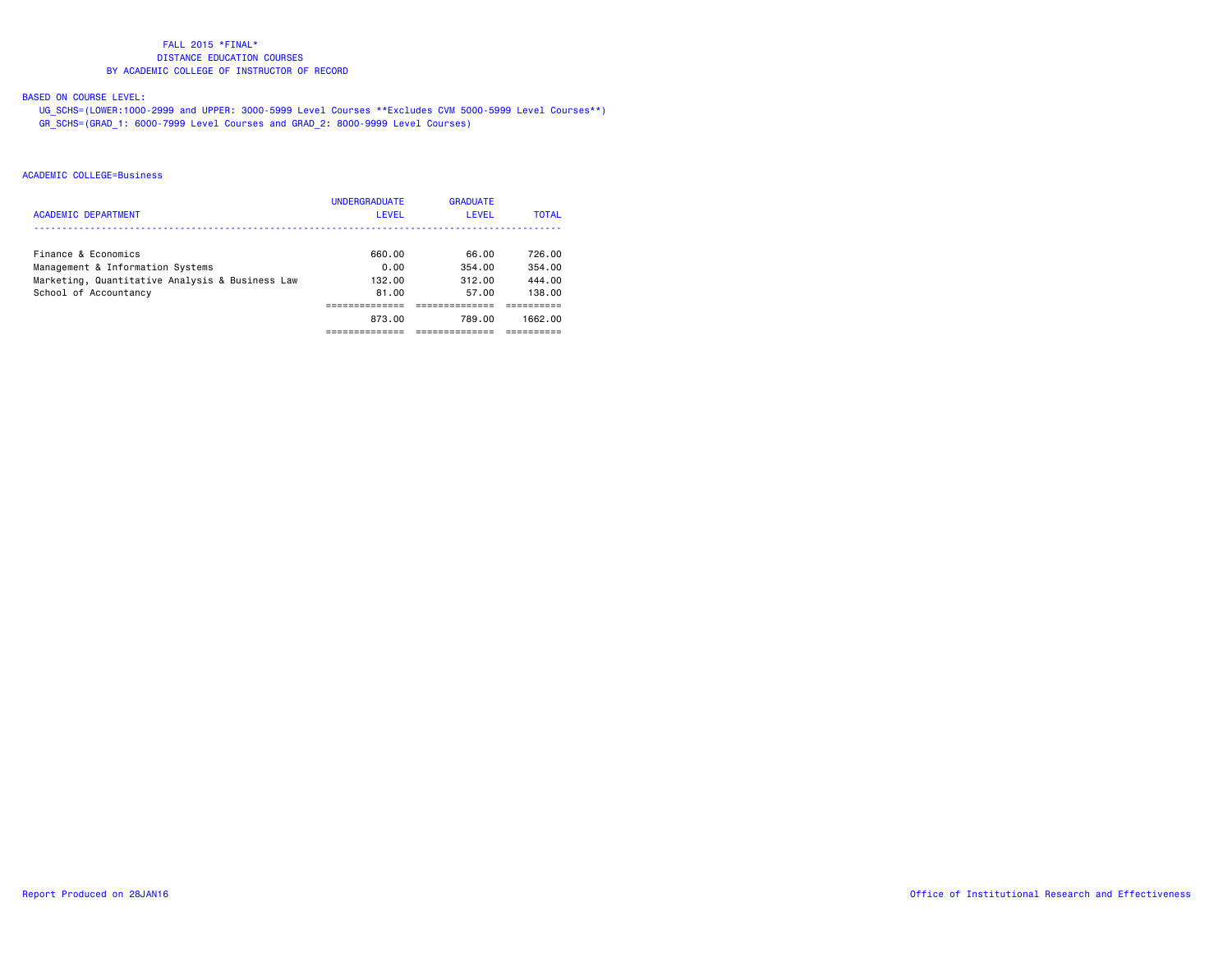# BASED ON COURSE LEVEL:

 UG\_SCHS=(LOWER:1000-2999 and UPPER: 3000-5999 Level Courses \*\*Excludes CVM 5000-5999 Level Courses\*\*) GR\_SCHS=(GRAD\_1: 6000-7999 Level Courses and GRAD\_2: 8000-9999 Level Courses)

#### ACADEMIC COLLEGE=Business

|                                                 | <b>UNDERGRADUATE</b> | <b>GRADUATE</b> |              |
|-------------------------------------------------|----------------------|-----------------|--------------|
| <b>ACADEMIC DEPARTMENT</b>                      | LEVEL                | LEVEL           | <b>TOTAL</b> |
|                                                 |                      |                 |              |
| Finance & Economics                             | 660.00               | 66.00           | 726.00       |
| Management & Information Systems                | 0.00                 | 354.00          | 354.00       |
| Marketing, Quantitative Analysis & Business Law | 132.00               | 312.00          | 444.00       |
| School of Accountancy                           | 81.00                | 57.00           | 138.00       |
|                                                 |                      |                 |              |
|                                                 | 873.00               | 789.00          | 1662.00      |
|                                                 |                      |                 |              |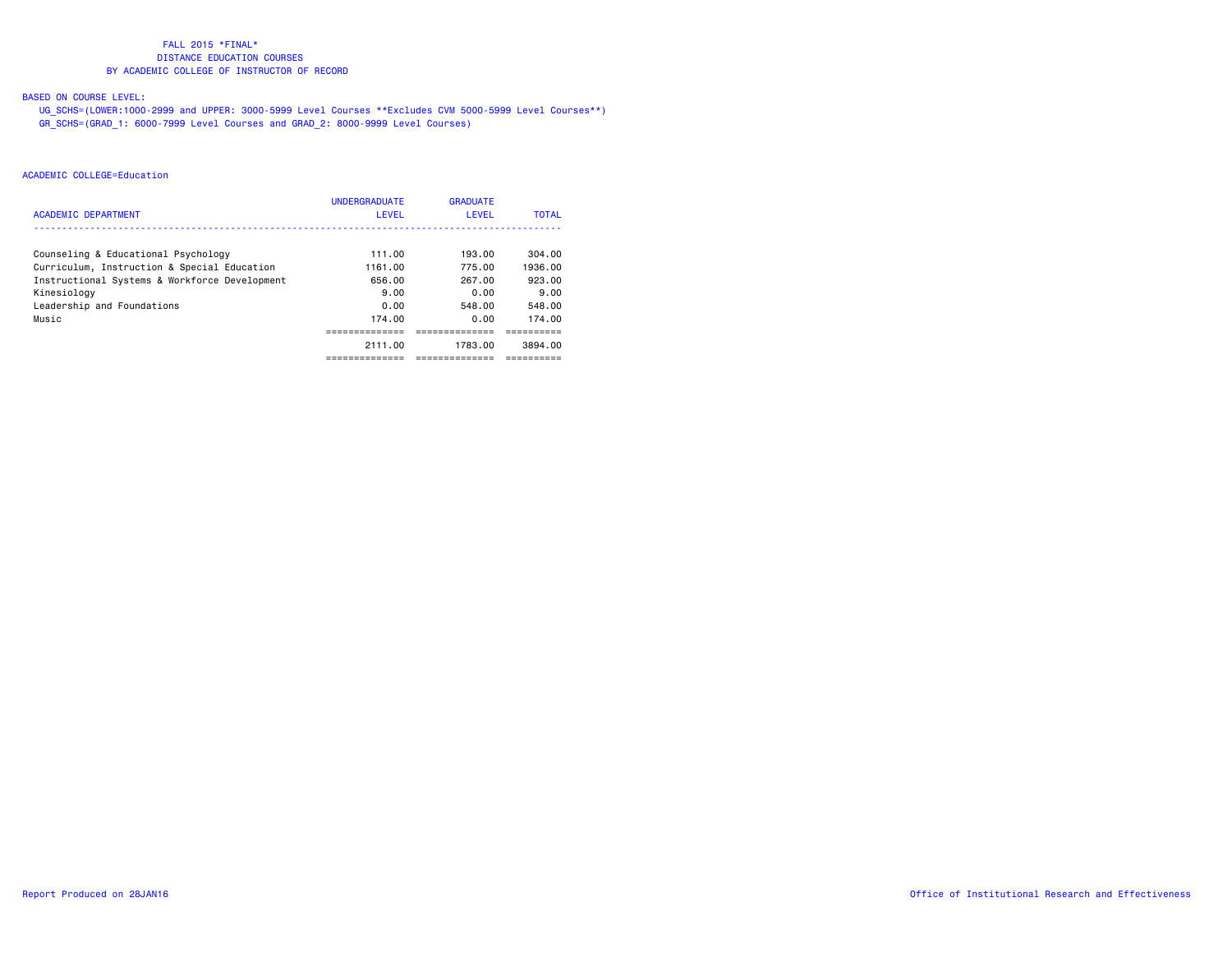# BASED ON COURSE LEVEL:

 UG\_SCHS=(LOWER:1000-2999 and UPPER: 3000-5999 Level Courses \*\*Excludes CVM 5000-5999 Level Courses\*\*) GR\_SCHS=(GRAD\_1: 6000-7999 Level Courses and GRAD\_2: 8000-9999 Level Courses)

|                                               | <b>UNDERGRADUATE</b> | <b>GRADUATE</b> |              |
|-----------------------------------------------|----------------------|-----------------|--------------|
| <b>ACADEMIC DEPARTMENT</b>                    | LEVEL                | LEVEL           | <b>TOTAL</b> |
|                                               |                      |                 | 304.00       |
| Counseling & Educational Psychology           | 111.00               | 193.00          |              |
| Curriculum, Instruction & Special Education   | 1161.00              | 775.00          | 1936.00      |
| Instructional Systems & Workforce Development | 656.00               | 267.00          | 923.00       |
| Kinesiology                                   | 9.00                 | 0.00            | 9.00         |
| Leadership and Foundations                    | 0.00                 | 548.00          | 548.00       |
| Music                                         | 174.00               | 0.00            | 174.00       |
|                                               |                      |                 |              |
|                                               | 2111.00              | 1783.00         | 3894.00      |
|                                               |                      |                 |              |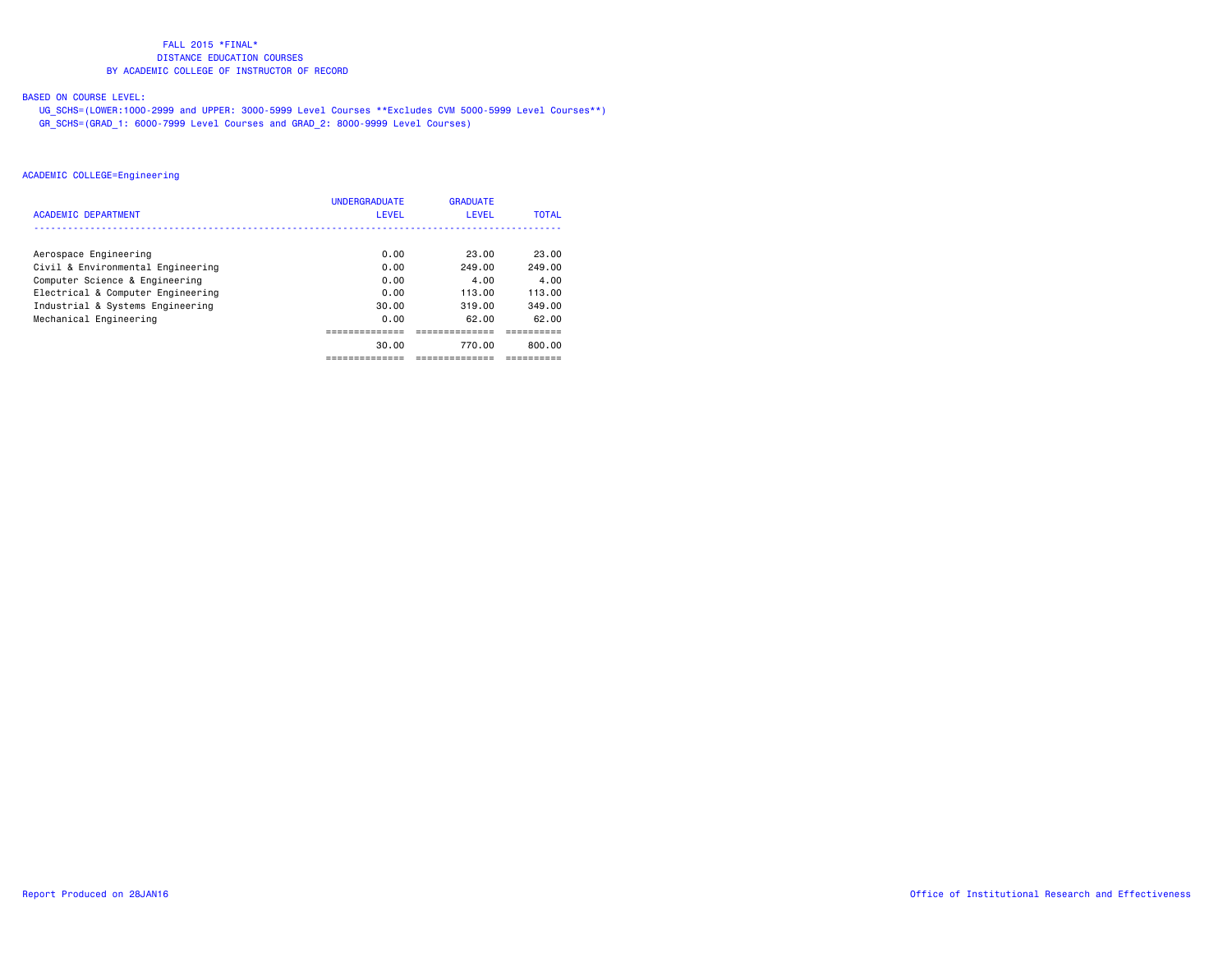# BASED ON COURSE LEVEL:

 UG\_SCHS=(LOWER:1000-2999 and UPPER: 3000-5999 Level Courses \*\*Excludes CVM 5000-5999 Level Courses\*\*) GR\_SCHS=(GRAD\_1: 6000-7999 Level Courses and GRAD\_2: 8000-9999 Level Courses)

| <b>ACADEMIC DEPARTMENT</b>        | <b>UNDERGRADUATE</b><br>LEVEL | <b>GRADUATE</b><br>LEVEL | <b>TOTAL</b> |
|-----------------------------------|-------------------------------|--------------------------|--------------|
|                                   |                               |                          |              |
| Aerospace Engineering             | 0.00                          | 23.00                    | 23.00        |
| Civil & Environmental Engineering | 0.00                          | 249.00                   | 249.00       |
| Computer Science & Engineering    | 0.00                          | 4.00                     | 4.00         |
| Electrical & Computer Engineering | 0.00                          | 113.00                   | 113.00       |
| Industrial & Systems Engineering  | 30.00                         | 319.00                   | 349.00       |
| Mechanical Engineering            | 0.00                          | 62.00                    | 62.00        |
|                                   |                               |                          |              |
|                                   | 30.00                         | 770.00                   | 800.00       |
|                                   |                               |                          |              |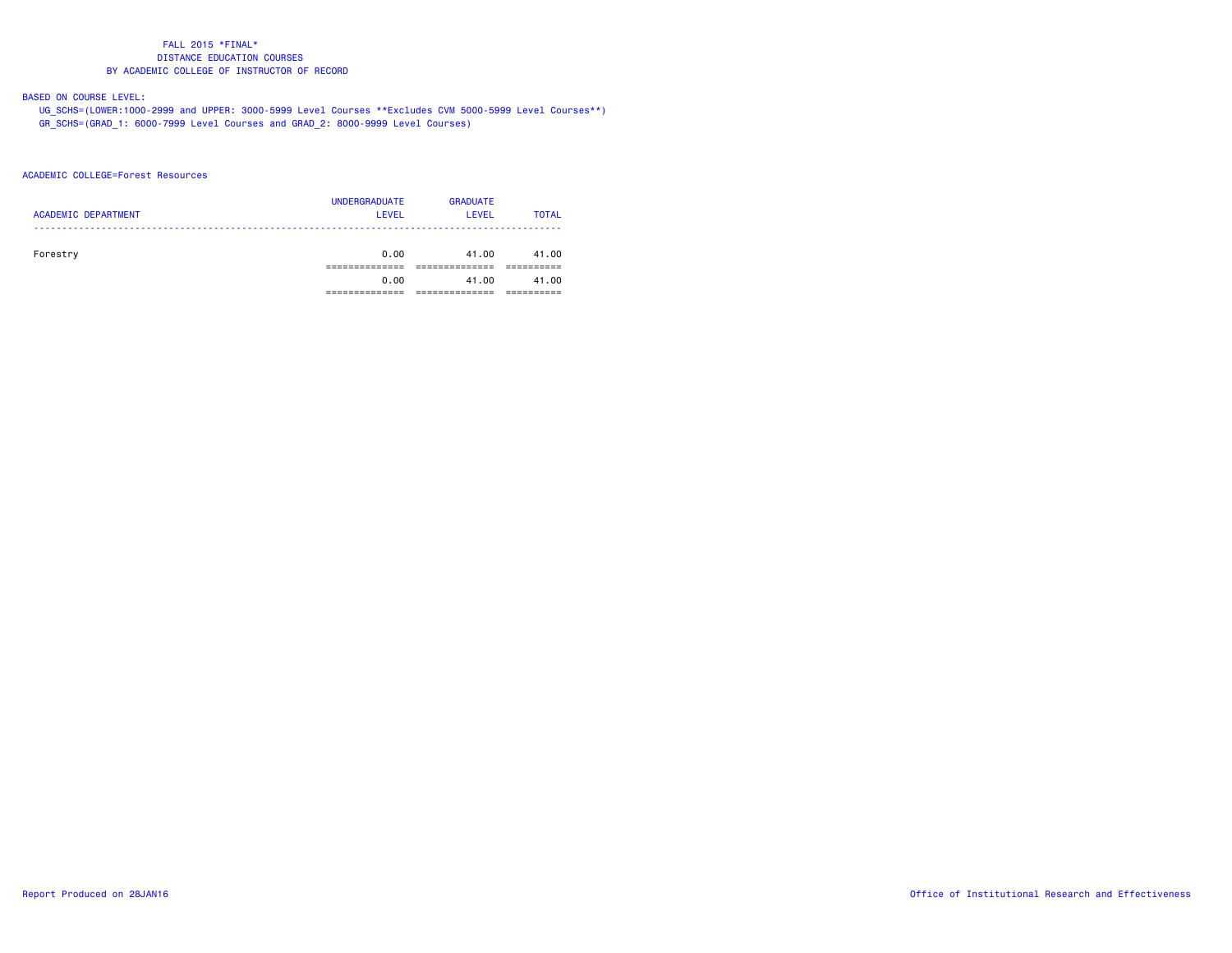# BASED ON COURSE LEVEL:

 UG\_SCHS=(LOWER:1000-2999 and UPPER: 3000-5999 Level Courses \*\*Excludes CVM 5000-5999 Level Courses\*\*) GR\_SCHS=(GRAD\_1: 6000-7999 Level Courses and GRAD\_2: 8000-9999 Level Courses)

#### ACADEMIC COLLEGE=Forest Resources

| <b>ACADEMIC DEPARTMENT</b> | <b>UNDERGRADUATE</b><br><b>LEVEL</b> | <b>GRADUATE</b><br>LEVEL | <b>TOTAL</b> |
|----------------------------|--------------------------------------|--------------------------|--------------|
| Forestry                   | 0.00                                 | 41.00                    | 41.00        |
|                            | 0.00                                 | 41.00                    | 41.00        |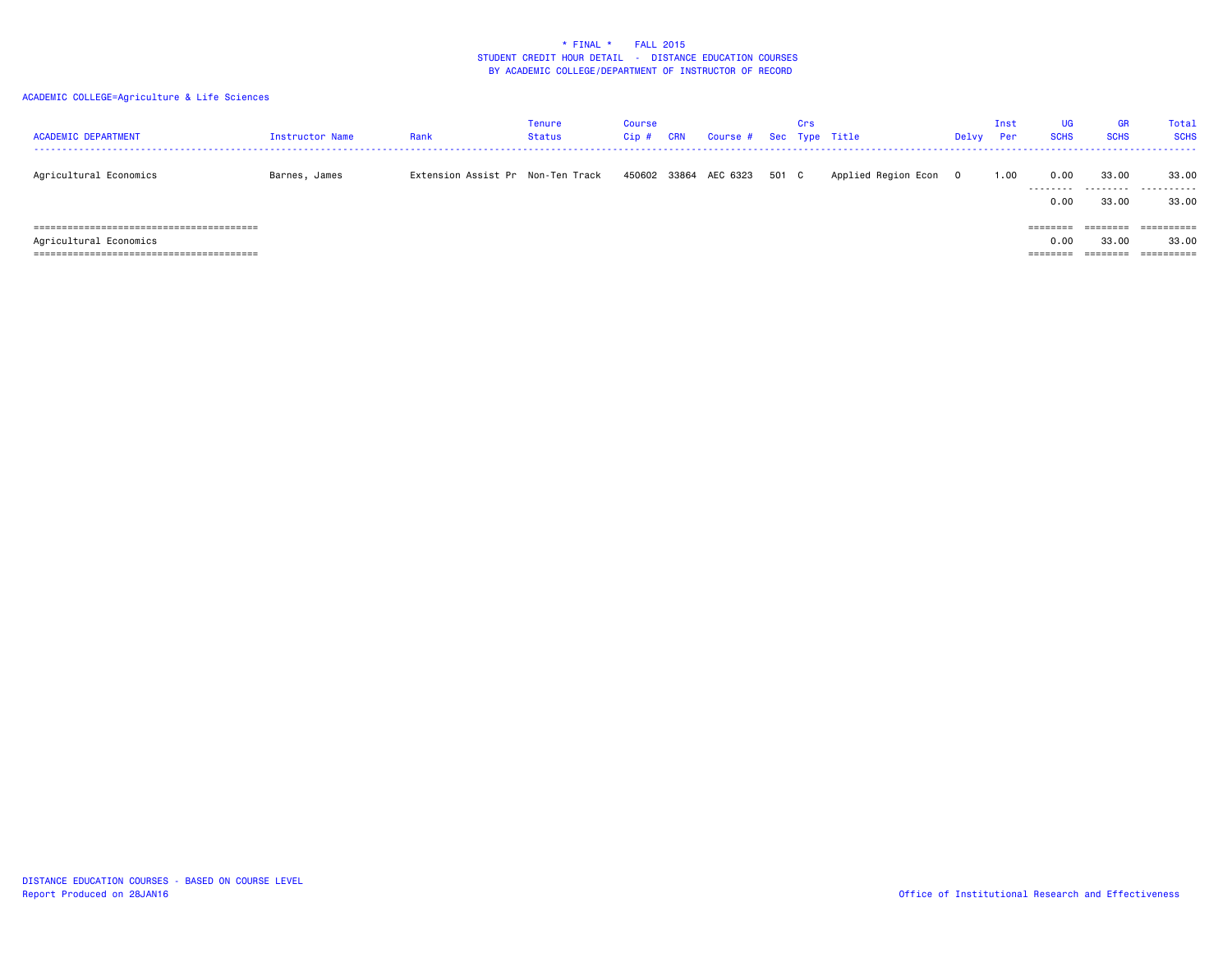| <b>ACADEMIC DEPARTMENT</b><br>------------------------------------- | Instructor Name | Rank                              | Tenure<br><b>Status</b> | Course<br>Cip | <b>CRN</b> | Course # Sec Type Title |       | Crs |                     | Delvy    | Inst<br><b>Per</b> | <b>UG</b><br><b>SCHS</b>                 | <b>GR</b><br><b>SCHS</b>      | Total<br><b>SCHS</b>              |
|---------------------------------------------------------------------|-----------------|-----------------------------------|-------------------------|---------------|------------|-------------------------|-------|-----|---------------------|----------|--------------------|------------------------------------------|-------------------------------|-----------------------------------|
| Agricultural Economics                                              | Barnes, James   | Extension Assist Pr Non-Ten Track |                         |               |            | 450602 33864 AEC 6323   | 501 C |     | Applied Region Econ | $\Omega$ | 1.00               | 0.00<br>---------<br>0.00                | 33.00<br>.<br>33.00           | 33,00<br>.<br>33.00               |
| Agricultural Economics                                              |                 |                                   |                         |               |            |                         |       |     |                     |          |                    | ========<br>0.00<br>--------<br>-------- | ========<br>33,00<br>-------- | ==========<br>33.00<br>========== |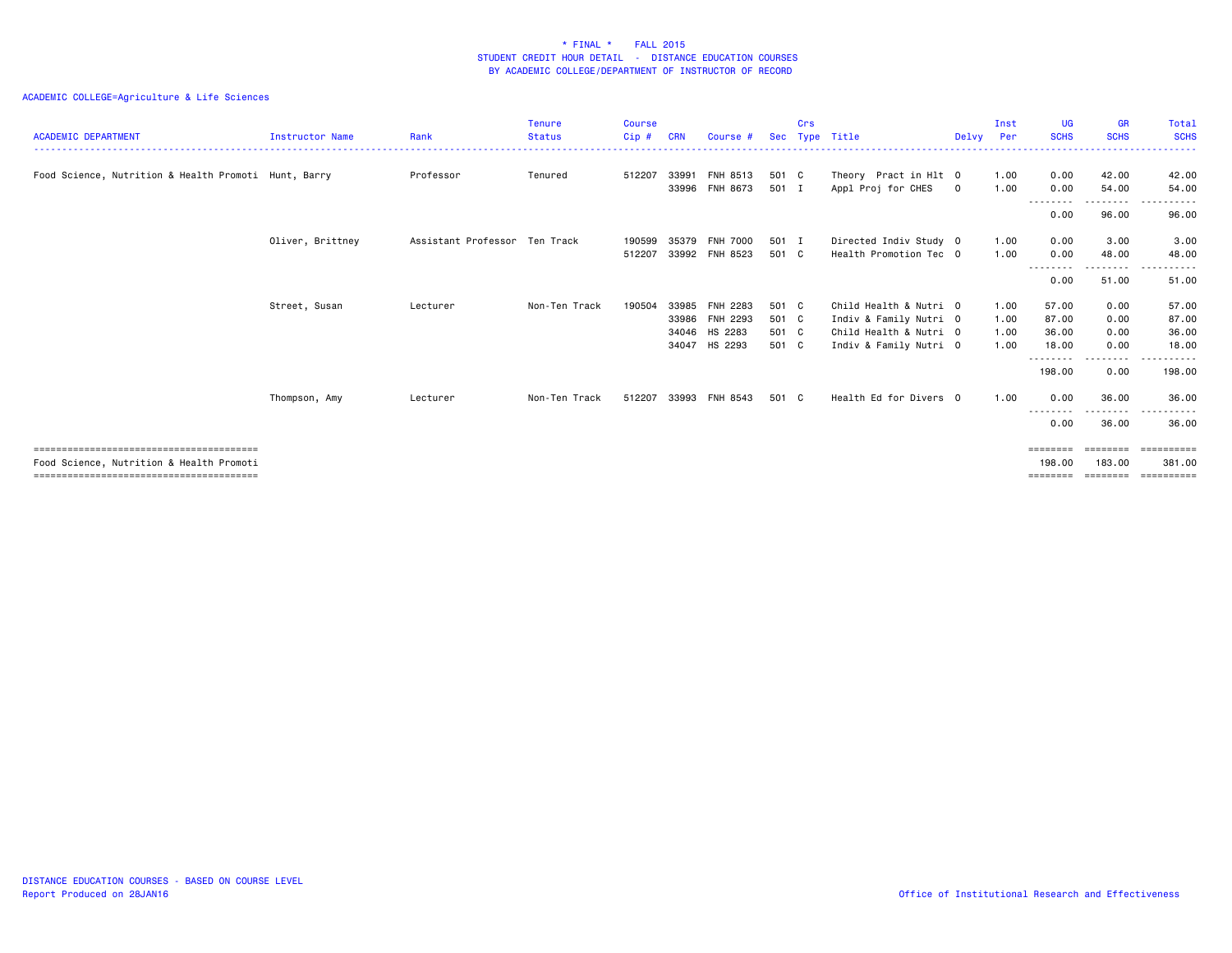| <b>ACADEMIC DEPARTMENT</b>                           | <b>Instructor Name</b> | Rank                          | <b>Tenure</b><br><b>Status</b> | <b>Course</b><br>Cip# | <b>CRN</b> | Course #        | Sec   | Crs | Type Title             | Delvv          | Inst<br>Per | <b>UG</b><br><b>SCHS</b> | <b>GR</b><br><b>SCHS</b> | Total<br><b>SCHS</b>               |
|------------------------------------------------------|------------------------|-------------------------------|--------------------------------|-----------------------|------------|-----------------|-------|-----|------------------------|----------------|-------------|--------------------------|--------------------------|------------------------------------|
|                                                      |                        |                               |                                |                       |            |                 |       |     |                        |                |             |                          |                          | .                                  |
| Food Science, Nutrition & Health Promoti Hunt, Barry |                        | Professor                     | Tenured                        | 512207                |            | 33991 FNH 8513  | 501 C |     | Theory Pract in Hlt 0  |                | 1.00        | 0.00                     | 42.00                    | 42.00                              |
|                                                      |                        |                               |                                |                       |            | 33996 FNH 8673  | 501 I |     | Appl Proj for CHES     | $\overline{0}$ | 1.00        | 0.00                     | 54.00                    | 54.00                              |
|                                                      |                        |                               |                                |                       |            |                 |       |     |                        |                |             | ---------<br>0.00        | 96.00                    | 96.00                              |
|                                                      | Oliver, Brittney       | Assistant Professor Ten Track |                                | 190599                | 35379      | <b>FNH 7000</b> | 501 I |     | Directed Indiv Study 0 |                | 1.00        | 0.00                     | 3.00                     | 3.00                               |
|                                                      |                        |                               |                                | 512207                |            | 33992 FNH 8523  | 501 C |     | Health Promotion Tec 0 |                | 1.00        | 0.00                     | 48.00                    | 48.00                              |
|                                                      |                        |                               |                                |                       |            |                 |       |     |                        |                |             | <u>.</u><br>0.00         | .<br>51.00               | .<br>$\sim$ $\sim$ $\sim$<br>51.00 |
|                                                      | Street, Susan          | Lecturer                      | Non-Ten Track                  | 190504                | 33985      | FNH 2283        | 501 C |     | Child Health & Nutri 0 |                | 1.00        | 57.00                    | 0.00                     | 57.00                              |
|                                                      |                        |                               |                                |                       |            | 33986 FNH 2293  | 501 C |     | Indiv & Family Nutri 0 |                | 1.00        | 87.00                    | 0.00                     | 87.00                              |
|                                                      |                        |                               |                                |                       |            | 34046 HS 2283   | 501 C |     | Child Health & Nutri 0 |                | 1.00        | 36.00                    | 0.00                     | 36.00                              |
|                                                      |                        |                               |                                |                       | 34047      | HS 2293         | 501 C |     | Indiv & Family Nutri 0 |                | 1.00        | 18.00                    | 0.00                     | 18.00                              |
|                                                      |                        |                               |                                |                       |            |                 |       |     |                        |                |             | --------                 | --------                 | ------                             |
|                                                      |                        |                               |                                |                       |            |                 |       |     |                        |                |             | 198.00                   | 0.00                     | 198.00                             |
|                                                      | Thompson, Amy          | Lecturer                      | Non-Ten Track                  | 512207                |            | 33993 FNH 8543  | 501 C |     | Health Ed for Divers 0 |                | 1.00        | 0.00<br>.                | 36.00<br>-----           | 36.00                              |
|                                                      |                        |                               |                                |                       |            |                 |       |     |                        |                |             | 0.00                     | 36.00                    | 36.00                              |
|                                                      |                        |                               |                                |                       |            |                 |       |     |                        |                |             | ========                 | ========                 | ==========                         |
| Food Science, Nutrition & Health Promoti             |                        |                               |                                |                       |            |                 |       |     |                        |                |             | 198,00                   | 183,00                   | 381,00                             |
|                                                      |                        |                               |                                |                       |            |                 |       |     |                        |                |             | ========                 | ========                 | ==========                         |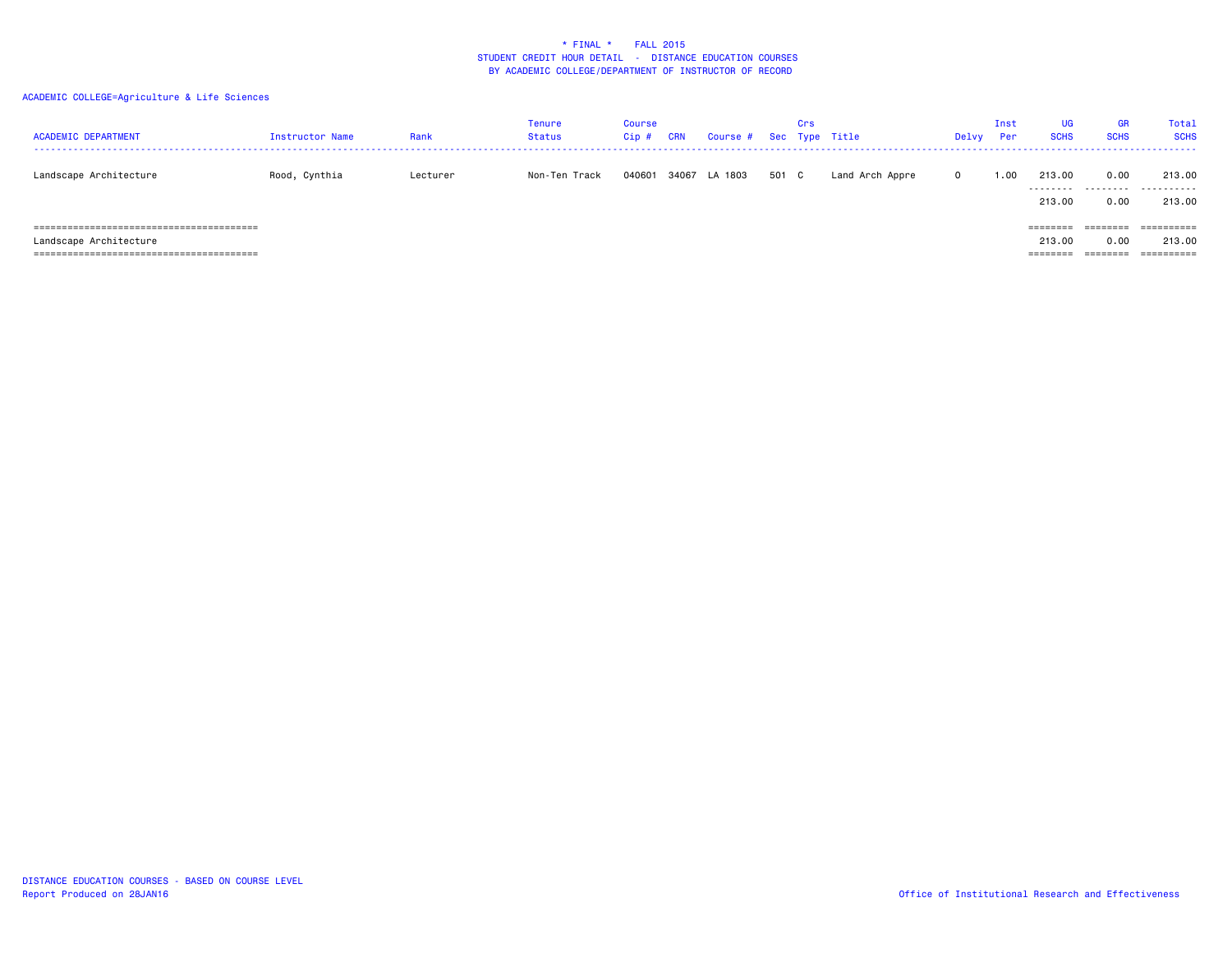| <b>ACADEMIC DEPARTMENT</b> | Instructor Name | Rank     | Tenure<br>Status | Course<br>$Cip$ # | <b>CRN</b> | Course # Sec Type Title |       | Crs |                 | Delvy       | Inst<br>Per | <b>UG</b><br><b>SCHS</b> | GR<br><b>SCHS</b> | <b>Total</b><br><b>SCHS</b> |
|----------------------------|-----------------|----------|------------------|-------------------|------------|-------------------------|-------|-----|-----------------|-------------|-------------|--------------------------|-------------------|-----------------------------|
| Landscape Architecture     | Rood, Cynthia   | Lecturer | Non-Ten Track    | 040601            |            | 34067 LA 1803           | 501 C |     | Land Arch Appre | $\mathbf 0$ | 1.00        | 213.00                   | 0.00              | 213.00<br>                  |
|                            |                 |          |                  |                   |            |                         |       |     |                 |             |             | 213,00                   | 0.00              | 213.00                      |
|                            |                 |          |                  |                   |            |                         |       |     |                 |             |             | ========                 | ========          | ==========                  |
| Landscape Architecture     |                 |          |                  |                   |            |                         |       |     |                 |             |             | 213,00                   | 0.00              | 213.00                      |
|                            |                 |          |                  |                   |            |                         |       |     |                 |             |             | ========                 | ========          | ==========                  |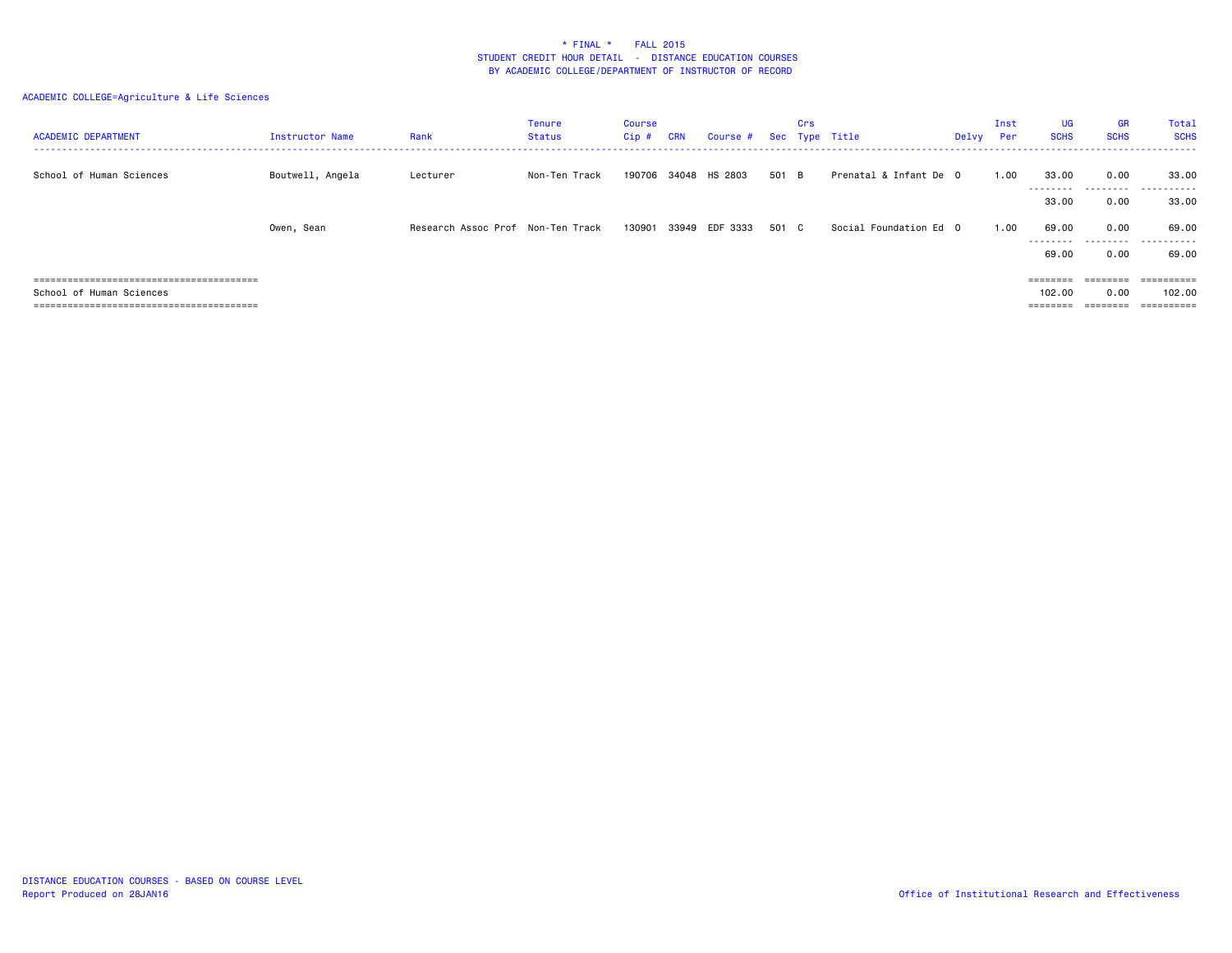| <b>ACADEMIC DEPARTMENT</b> | <b>Instructor Name</b> | Rank                              | Tenure<br>Status | Course<br>$Cip$ # | <b>CRN</b> | Course # | Sec   | Crs | Type Title             | Delvy | Inst<br>Per | <b>UG</b><br><b>SCHS</b>       | <b>GR</b><br><b>SCHS</b>     | Total<br><b>SCHS</b>               |
|----------------------------|------------------------|-----------------------------------|------------------|-------------------|------------|----------|-------|-----|------------------------|-------|-------------|--------------------------------|------------------------------|------------------------------------|
| School of Human Sciences   | Boutwell, Angela       | Lecturer                          | Non-Ten Track    | 190706            | 34048      | HS 2803  | 501 B |     | Prenatal & Infant De 0 |       | 1.00        | 33.00<br>.<br>33.00            | 0.00<br>.<br>0.00            | 33.00<br>.<br>33.00                |
|                            | Owen, Sean             | Research Assoc Prof Non-Ten Track |                  | 130901 33949      |            | EDF 3333 | 501 C |     | Social Foundation Ed 0 |       | 1.00        | 69.00<br>.                     | 0.00                         | 69.00<br>                          |
|                            |                        |                                   |                  |                   |            |          |       |     |                        |       |             | 69.00                          | 0.00                         | 69.00                              |
| School of Human Sciences   |                        |                                   |                  |                   |            |          |       |     |                        |       |             | 102.00<br>________<br>======== | 0.00<br>________<br>======== | ==========<br>102.00<br>========== |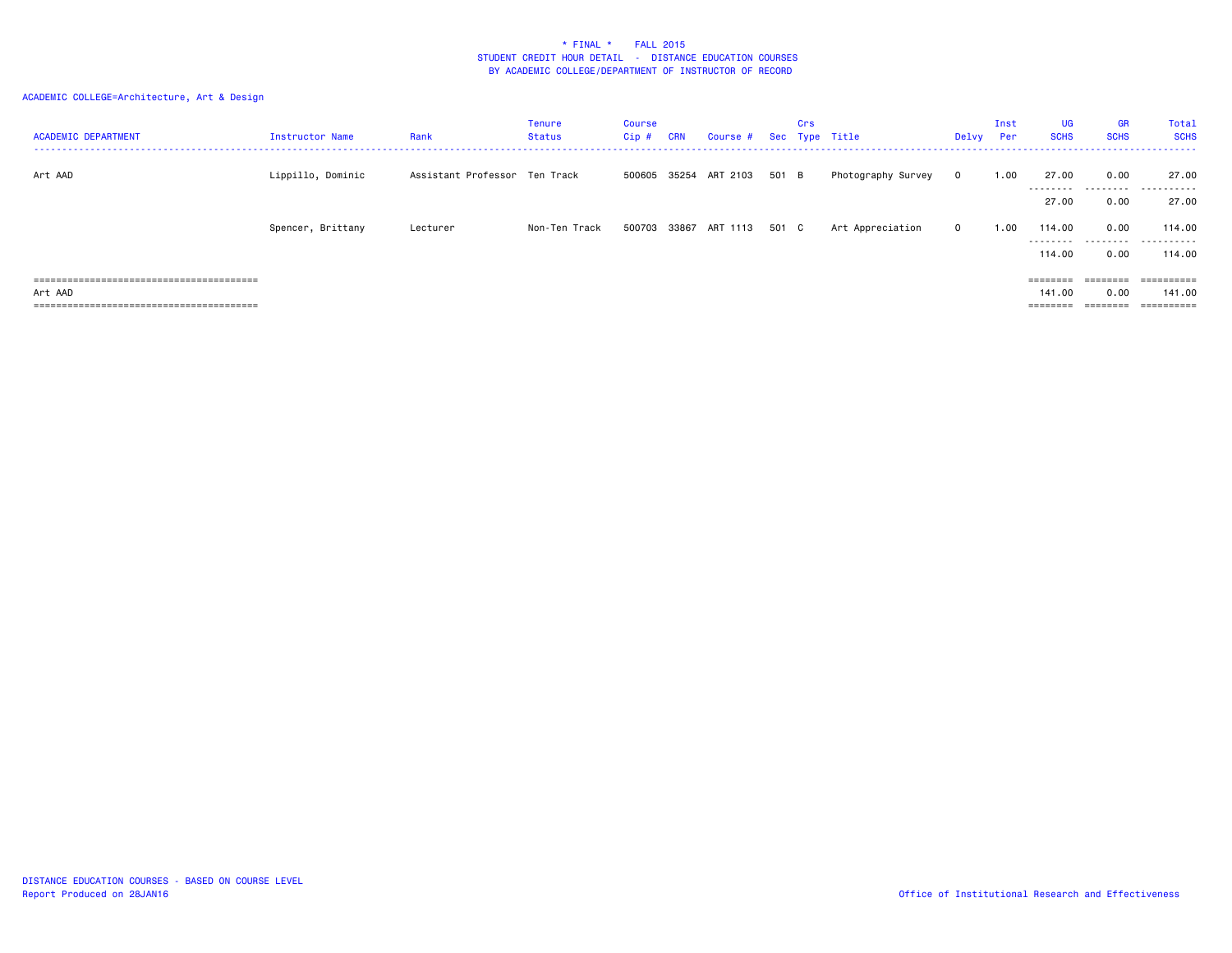# ACADEMIC COLLEGE=Architecture, Art & Design

| <b>ACADEMIC DEPARTMENT</b> | Instructor Name   | Rank                          | <b>Tenure</b><br>Status | Course<br>$Cip$ # | <b>CRN</b> | Course #                    |       | Crs | Sec Type Title     | Delvy       | Inst<br>Per | <b>UG</b><br><b>SCHS</b> | <b>GR</b><br><b>SCHS</b> | Total<br><b>SCHS</b> |
|----------------------------|-------------------|-------------------------------|-------------------------|-------------------|------------|-----------------------------|-------|-----|--------------------|-------------|-------------|--------------------------|--------------------------|----------------------|
| Art AAD                    | Lippillo, Dominic | Assistant Professor Ten Track |                         |                   |            | 500605 35254 ART 2103 501 B |       |     | Photography Survey | $\mathbf 0$ | 1.00        | 27.00<br>---------       | 0.00                     | 27.00<br>            |
|                            |                   |                               |                         |                   |            |                             |       |     |                    |             |             | 27.00                    | 0.00                     | 27.00                |
|                            | Spencer, Brittany | Lecturer                      | Non-Ten Track           | 500703            |            | 33867 ART 1113              | 501 C |     | Art Appreciation   | $\mathbf 0$ | 1.00        | 114.00<br>---------      | 0.00<br>.                | 114.00<br>.          |
|                            |                   |                               |                         |                   |            |                             |       |     |                    |             |             | 114,00                   | 0.00                     | 114.00               |
|                            |                   |                               |                         |                   |            |                             |       |     |                    |             |             | ========                 |                          | ==========           |
| Art AAD                    |                   |                               |                         |                   |            |                             |       |     |                    |             |             | 141.00                   | 0.00                     | 141.00<br>========== |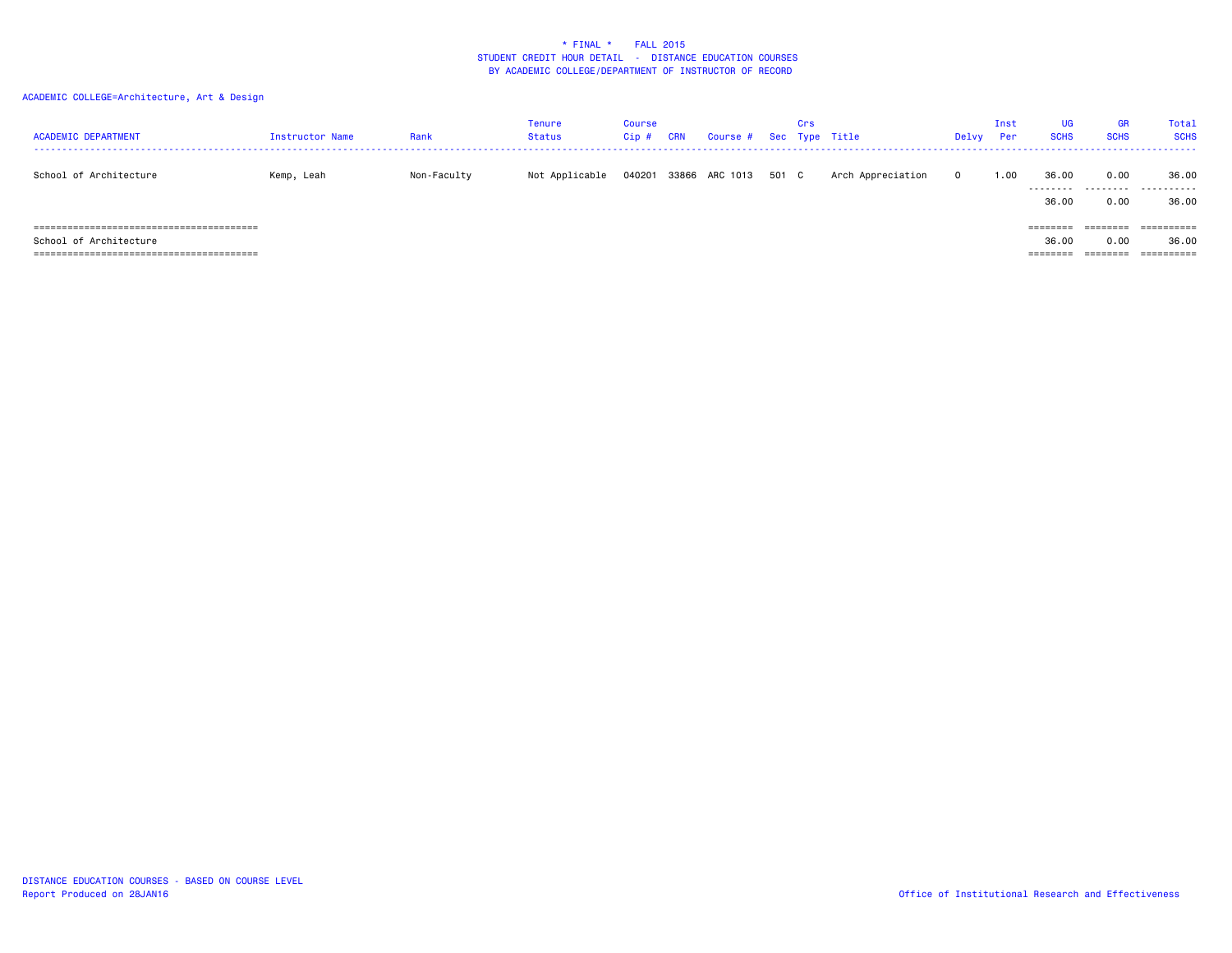# ACADEMIC COLLEGE=Architecture, Art & Design

| <b>ACADEMIC DEPARTMENT</b> | <b>Instructor Name</b> | Rank        | <b>Tenure</b><br><b>Status</b> | <b>Course</b><br>Cip | CRN | Course # Sec Type Title | Crs |                   | Delvy    | Inst<br>Per | <b>UG</b><br><b>SCHS</b> | <b>GR</b><br><b>SCHS</b> | Total<br><b>SCHS</b> |
|----------------------------|------------------------|-------------|--------------------------------|----------------------|-----|-------------------------|-----|-------------------|----------|-------------|--------------------------|--------------------------|----------------------|
| School of Architecture     | Kemp, Leah             | Non-Faculty | Not Applicable                 | 040201               |     | 33866 ARC 1013 501 C    |     | Arch Appreciation | $\Omega$ | 1.00        | 36.00<br>---------       | 0.00<br>.                | 36.00<br>.           |
|                            |                        |             |                                |                      |     |                         |     |                   |          |             | 36.00                    | 0.00                     | 36.00                |
|                            |                        |             |                                |                      |     |                         |     |                   |          |             |                          | ========                 |                      |
| School of Architecture     |                        |             |                                |                      |     |                         |     |                   |          |             | 36.00                    | 0.00                     | 36.00                |
|                            |                        |             |                                |                      |     |                         |     |                   |          |             | ========                 | ========                 |                      |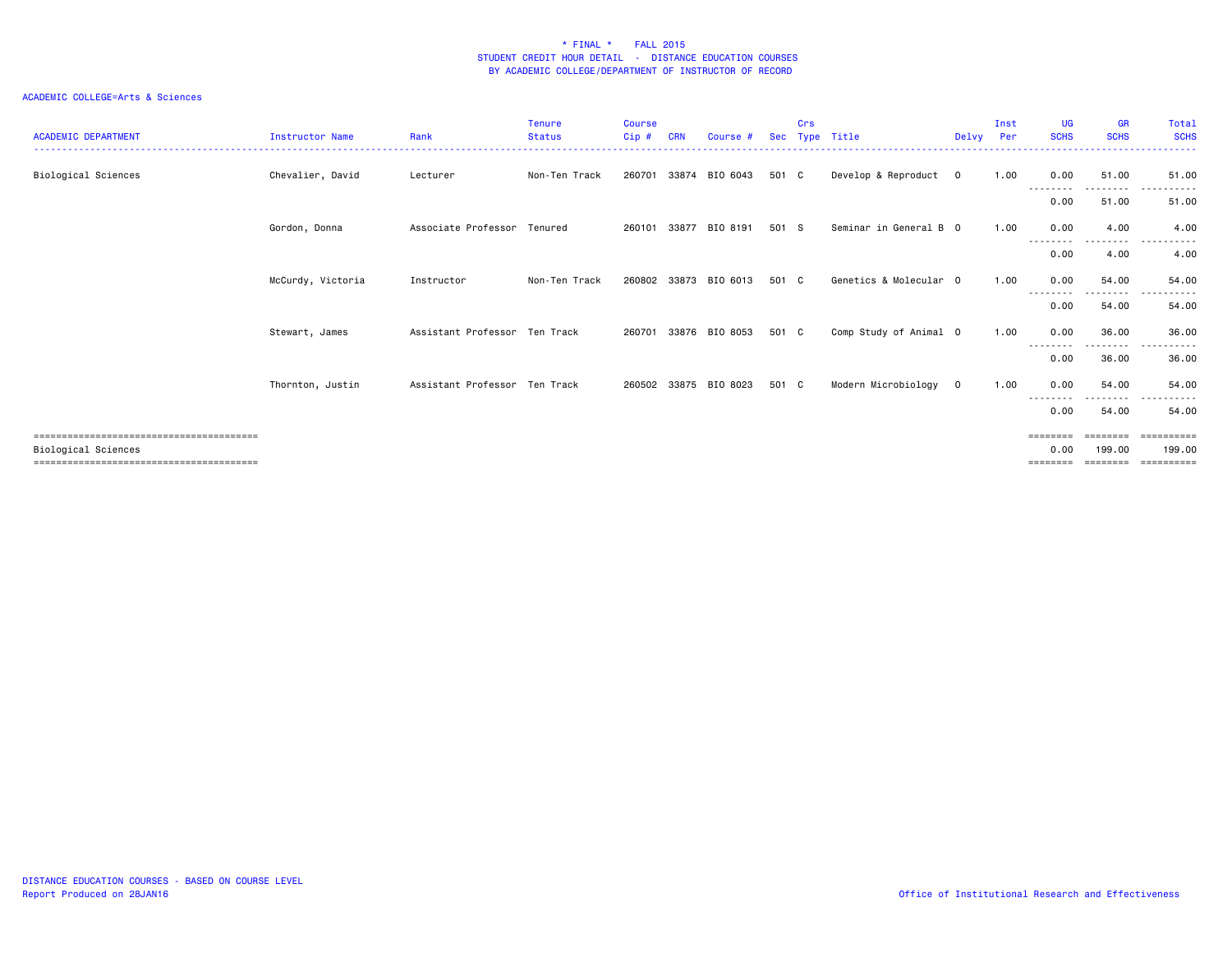| <b>ACADEMIC DEPARTMENT</b> | <b>Instructor Name</b> | Rank                          | <b>Tenure</b><br><b>Status</b> | Course<br>Cip# | CRN   | Course #       | <b>Sec</b> | Crs | Type Title             | Delvy        | Inst<br>Per | <b>UG</b><br><b>SCHS</b> | <b>GR</b><br><b>SCHS</b> | Total<br><b>SCHS</b>               |
|----------------------------|------------------------|-------------------------------|--------------------------------|----------------|-------|----------------|------------|-----|------------------------|--------------|-------------|--------------------------|--------------------------|------------------------------------|
| Biological Sciences        | Chevalier, David       | Lecturer                      | Non-Ten Track                  | 260701         | 33874 | BIO 6043       | 501 C      |     | Develop & Reproduct    | $\mathbf{0}$ | 1.00        | 0.00<br>--------         | 51.00<br>.               | 51.00<br>. <b>.</b> .              |
|                            |                        |                               |                                |                |       |                |            |     |                        |              |             | 0.00                     | 51.00                    | 51.00                              |
|                            | Gordon, Donna          | Associate Professor Tenured   |                                | 260101         | 33877 | BIO 8191       | 501 S      |     | Seminar in General B 0 |              | 1.00        | 0.00                     | 4.00<br>. <b>.</b>       | 4.00<br>$- - -$<br>.               |
|                            |                        |                               |                                |                |       |                |            |     |                        |              |             | 0.00                     | 4.00                     | 4.00                               |
|                            | McCurdy, Victoria      | Instructor                    | Non-Ten Track                  | 260802         | 33873 | BIO 6013       | 501 C      |     | Genetics & Molecular 0 |              | 1.00        | 0.00<br>--------         | 54.00<br>.               | 54.00<br>.<br>$  -$                |
|                            |                        |                               |                                |                |       |                |            |     |                        |              |             | 0.00                     | 54.00                    | 54.00                              |
|                            | Stewart, James         | Assistant Professor Ten Track |                                | 260701         | 33876 | BIO 8053       | 501 C      |     | Comp Study of Animal 0 |              | 1.00        | 0.00<br>--------         | 36.00<br>.               | 36.00<br>.<br>$\sim$ $\sim$ $\sim$ |
|                            |                        |                               |                                |                |       |                |            |     |                        |              |             | 0.00                     | 36.00                    | 36.00                              |
|                            | Thornton, Justin       | Assistant Professor Ten Track |                                | 260502         |       | 33875 BIO 8023 | 501 C      |     | Modern Microbiology    | $\mathbf 0$  | 1.00        | 0.00<br>-----            | 54.00<br>. <b>.</b>      | 54.00<br>. <b>.</b>                |
|                            |                        |                               |                                |                |       |                |            |     |                        |              |             | 0.00                     | 54.00                    | 54.00                              |
| Biological Sciences        |                        |                               |                                |                |       |                |            |     |                        |              |             | ========<br>0.00<br>==== | ========<br>199.00       | ==========<br>199.00<br>------     |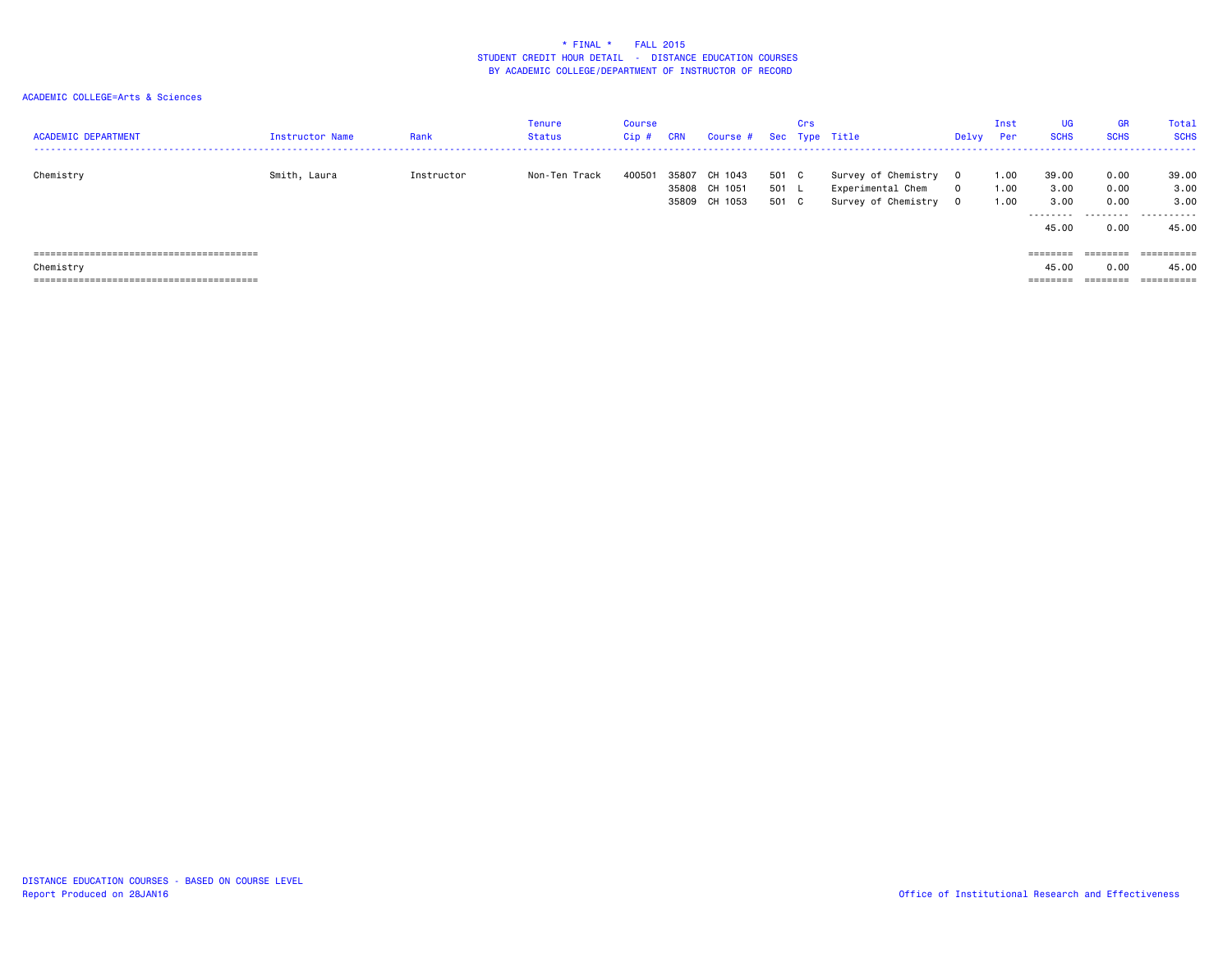| <b>ACADEMIC DEPARTMENT</b>           | Instructor Name | Rank       | Tenure<br>Status | <b>Course</b><br>$Cip$ # | <b>CRN</b> | Course # Sec Type Title                      |                         | Crs |                                                                 | Delvy                            | Inst<br>Per          | UG<br><b>SCHS</b>                           | GR<br><b>SCHS</b>                 | <b>Total</b><br><b>SCHS</b>         |
|--------------------------------------|-----------------|------------|------------------|--------------------------|------------|----------------------------------------------|-------------------------|-----|-----------------------------------------------------------------|----------------------------------|----------------------|---------------------------------------------|-----------------------------------|-------------------------------------|
| Chemistry                            | Smith, Laura    | Instructor | Non-Ten Track    | 400501                   | 35807      | 1043<br>CH<br>35808 CH 1051<br>35809 CH 1053 | 501 C<br>501 L<br>501 C |     | Survey of Chemistry<br>Experimental Chem<br>Survey of Chemistry | $\Omega$<br>$\Omega$<br>$\Omega$ | 1.00<br>1.00<br>1.00 | 39.00<br>3.00<br>3.00<br>---------<br>45.00 | 0.00<br>0.00<br>0.00<br>.<br>0.00 | 39.00<br>3.00<br>3,00<br>.<br>45.00 |
|                                      |                 |            |                  |                          |            |                                              |                         |     |                                                                 |                                  |                      | ========                                    |                                   | ==========                          |
| Chemistry                            |                 |            |                  |                          |            |                                              |                         |     |                                                                 |                                  |                      | 45.00                                       | 0.00                              | 45.00                               |
| ==================================== |                 |            |                  |                          |            |                                              |                         |     |                                                                 |                                  |                      | ========                                    |                                   | ==========                          |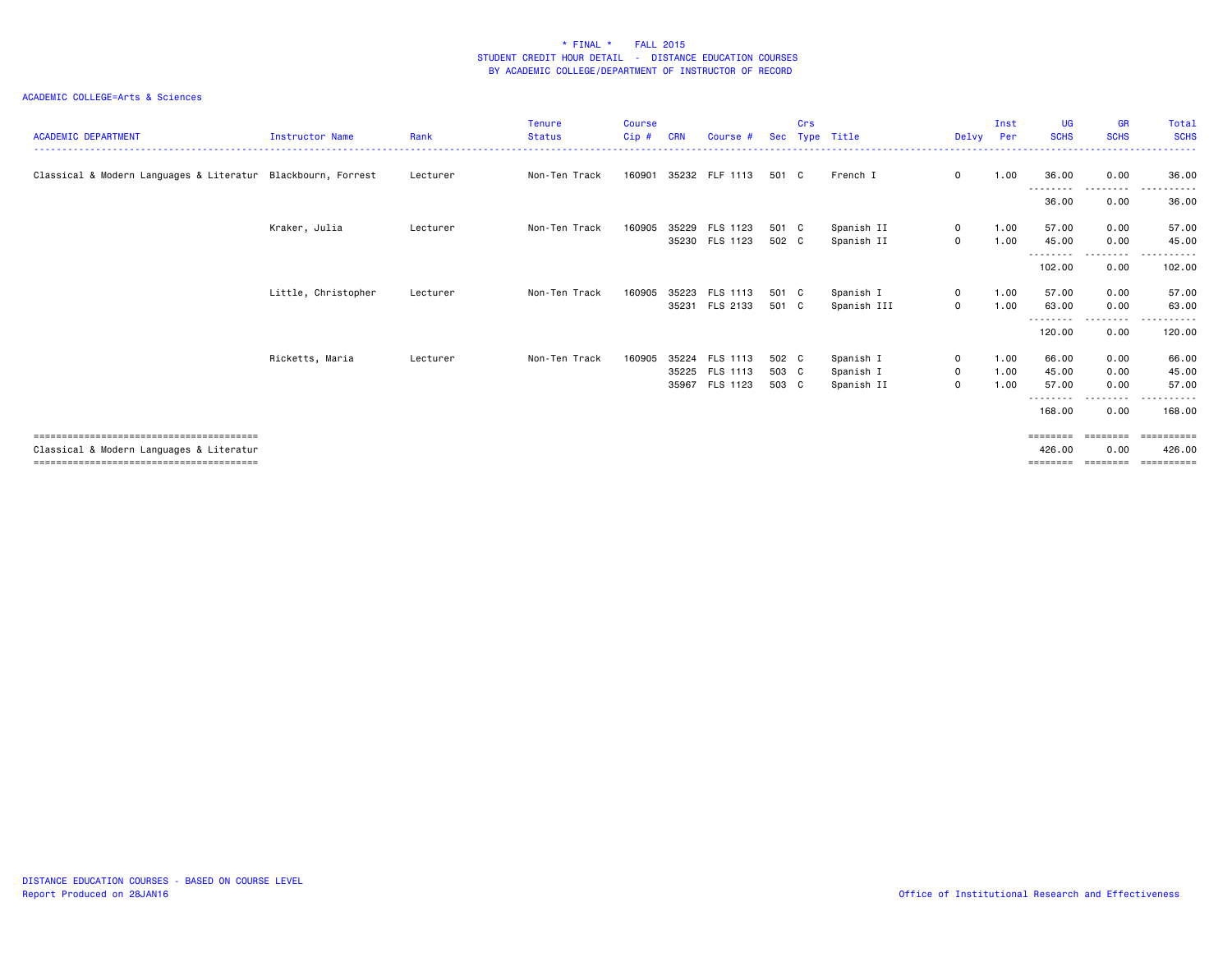| <b>ACADEMIC DEPARTMENT</b>                                   | <b>Instructor Name</b> | Rank     | <b>Tenure</b><br><b>Status</b> | <b>Course</b><br>$Cip$ # | <b>CRN</b> | Course #                                           | <b>Sec</b>              | Crs | Type Title                           | Delvv                                 | Inst<br>Per          | <b>UG</b><br><b>SCHS</b>                | <b>GR</b><br><b>SCHS</b>          | Total<br><b>SCHS</b>                      |
|--------------------------------------------------------------|------------------------|----------|--------------------------------|--------------------------|------------|----------------------------------------------------|-------------------------|-----|--------------------------------------|---------------------------------------|----------------------|-----------------------------------------|-----------------------------------|-------------------------------------------|
| Classical & Modern Languages & Literatur Blackbourn, Forrest |                        | Lecturer | Non-Ten Track                  | 160901                   |            | 35232 FLF 1113                                     | 501 C                   |     | French I                             | $\mathbf 0$                           | 1.00                 | 36.00<br>---------                      | 0.00<br>.<br>$\sim$ $\sim$ $\sim$ | 36.00<br>.                                |
|                                                              |                        |          |                                |                          |            |                                                    |                         |     |                                      |                                       |                      | 36.00                                   | 0.00                              | 36.00                                     |
|                                                              | Kraker, Julia          | Lecturer | Non-Ten Track                  | 160905                   | 35229      | FLS 1123<br>35230 FLS 1123                         | 501 C<br>502 C          |     | Spanish II<br>Spanish II             | $\mathbf{0}$<br>$\mathbf 0$           | 1.00<br>1.00         | 57.00<br>45.00                          | 0.00<br>0.00                      | 57.00<br>45.00                            |
|                                                              |                        |          |                                |                          |            |                                                    |                         |     |                                      |                                       |                      | <u>.</u><br>102.00                      | .<br>0.00                         | .<br>102.00                               |
|                                                              | Little, Christopher    | Lecturer | Non-Ten Track                  | 160905                   |            | 35223 FLS 1113<br>35231 FLS 2133                   | 501 C<br>501 C          |     | Spanish I<br>Spanish III             | $\mathbf 0$<br>$\circ$                | 1.00<br>1.00         | 57.00<br>63.00                          | 0.00<br>0.00                      | 57.00<br>63.00                            |
|                                                              |                        |          |                                |                          |            |                                                    |                         |     |                                      |                                       |                      | .<br>120.00                             | . <b>.</b><br>0.00                | .<br>120.00                               |
|                                                              | Ricketts, Maria        | Lecturer | Non-Ten Track                  | 160905                   |            | 35224 FLS 1113<br>35225 FLS 1113<br>35967 FLS 1123 | 502 C<br>503 C<br>503 C |     | Spanish I<br>Spanish I<br>Spanish II | $\circ$<br>$\mathbf 0$<br>$\mathbf 0$ | 1.00<br>1.00<br>1.00 | 66.00<br>45.00<br>57.00                 | 0.00<br>0.00<br>0.00              | 66.00<br>45.00<br>57.00                   |
|                                                              |                        |          |                                |                          |            |                                                    |                         |     |                                      |                                       |                      | --------<br>168,00                      | .<br>0.00                         | .<br>168,00                               |
| Classical & Modern Languages & Literatur                     |                        |          |                                |                          |            |                                                    |                         |     |                                      |                                       |                      | $=$ = = = = = = =<br>426.00<br>======== | ========<br>0.00<br>========      | <b>ESSESSESS</b><br>426.00<br>----------- |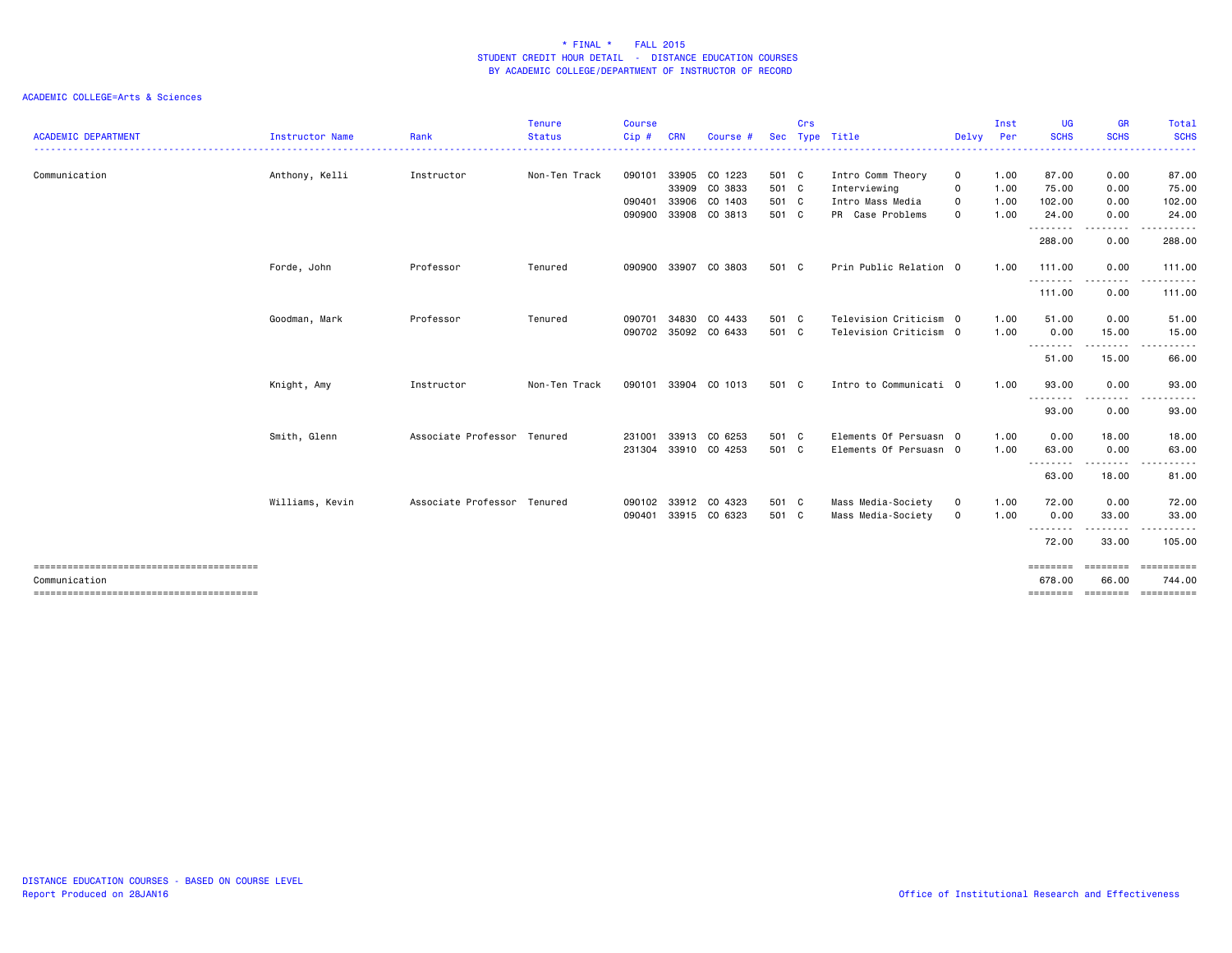|                            |                 |                             | <b>Tenure</b> | <b>Course</b> |            |               |            | Crs |                        |             | Inst | <b>UG</b>                 | <b>GR</b>          | Total                |
|----------------------------|-----------------|-----------------------------|---------------|---------------|------------|---------------|------------|-----|------------------------|-------------|------|---------------------------|--------------------|----------------------|
| <b>ACADEMIC DEPARTMENT</b> | Instructor Name | Rank                        | <b>Status</b> | Cip#          | <b>CRN</b> | Course        | <b>Sec</b> |     | Type Title             | Delvy Per   |      | <b>SCHS</b>               | <b>SCHS</b>        | <b>SCHS</b>          |
| Communication              | Anthony, Kelli  | Instructor                  | Non-Ten Track | 090101        |            | 33905 CO 1223 | 501 C      |     | Intro Comm Theory      | $\mathbf 0$ | 1.00 | 87.00                     | 0.00               | 87.00                |
|                            |                 |                             |               |               |            | 33909 CO 3833 | 501 C      |     | Interviewing           | $\mathbf 0$ | 1.00 | 75.00                     | 0.00               | 75.00                |
|                            |                 |                             |               | 090401        | 33906      | CO 1403       | 501 C      |     | Intro Mass Media       | $\mathbf 0$ | 1.00 | 102.00                    | 0.00               | 102.00               |
|                            |                 |                             |               | 090900        |            | 33908 CO 3813 | 501 C      |     | PR Case Problems       | $\mathbf 0$ | 1.00 | 24.00<br>.                | 0.00               | 24.00                |
|                            |                 |                             |               |               |            |               |            |     |                        |             |      | 288.00                    | 0.00               | 288.00               |
|                            | Forde, John     | Professor                   | Tenured       | 090900        | 33907      | CO 3803       | 501 C      |     | Prin Public Relation 0 |             | 1.00 | 111.00                    | 0.00               | 111.00               |
|                            |                 |                             |               |               |            |               |            |     |                        |             |      | .<br>111.00               | 0.00               | 111.00               |
|                            | Goodman, Mark   | Professor                   | Tenured       | 090701        |            | 34830 CO 4433 | 501 C      |     | Television Criticism 0 |             | 1.00 | 51.00                     | 0.00               | 51.00                |
|                            |                 |                             |               | 090702        |            | 35092 CO 6433 | 501 C      |     | Television Criticism 0 |             | 1.00 | 0.00<br><u>.</u>          | 15.00              | 15.00                |
|                            |                 |                             |               |               |            |               |            |     |                        |             |      | 51.00                     | 15.00              | 66.00                |
|                            | Knight, Amy     | Instructor                  | Non-Ten Track | 090101        |            | 33904 CO 1013 | 501 C      |     | Intro to Communicati 0 |             | 1.00 | 93.00                     | 0.00               | 93.00                |
|                            |                 |                             |               |               |            |               |            |     |                        |             |      | <u>.</u><br>93.00         | 0.00               | 93.00                |
|                            | Smith, Glenn    | Associate Professor Tenured |               | 231001        |            | 33913 CO 6253 | 501 C      |     | Elements Of Persuasn 0 |             | 1.00 | 0.00                      | 18.00              | 18.00                |
|                            |                 |                             |               | 231304        |            | 33910 CO 4253 | 501 C      |     | Elements Of Persuasn 0 |             | 1.00 | 63.00<br>.                | 0.00<br>.          | 63.00<br>.           |
|                            |                 |                             |               |               |            |               |            |     |                        |             |      | 63.00                     | 18.00              | 81.00                |
|                            | Williams, Kevin | Associate Professor Tenured |               | 090102        |            | 33912 CO 4323 | 501 C      |     | Mass Media-Society     | $\mathbf 0$ | 1.00 | 72.00                     | 0.00               | 72.00                |
|                            |                 |                             |               | 090401        |            | 33915 CO 6323 | 501 C      |     | Mass Media-Society     | $\mathbf 0$ | 1.00 | 0.00<br>.                 | 33.00<br>- - - - - | 33.00                |
|                            |                 |                             |               |               |            |               |            |     |                        |             |      | 72.00                     | 33.00              | 105.00               |
| Communication              |                 |                             |               |               |            |               |            |     |                        |             |      | <b>ESSESSES</b><br>678.00 | ========<br>66.00  | ==========<br>744.00 |
|                            |                 |                             |               |               |            |               |            |     |                        |             |      | ========                  | ========           | -----------          |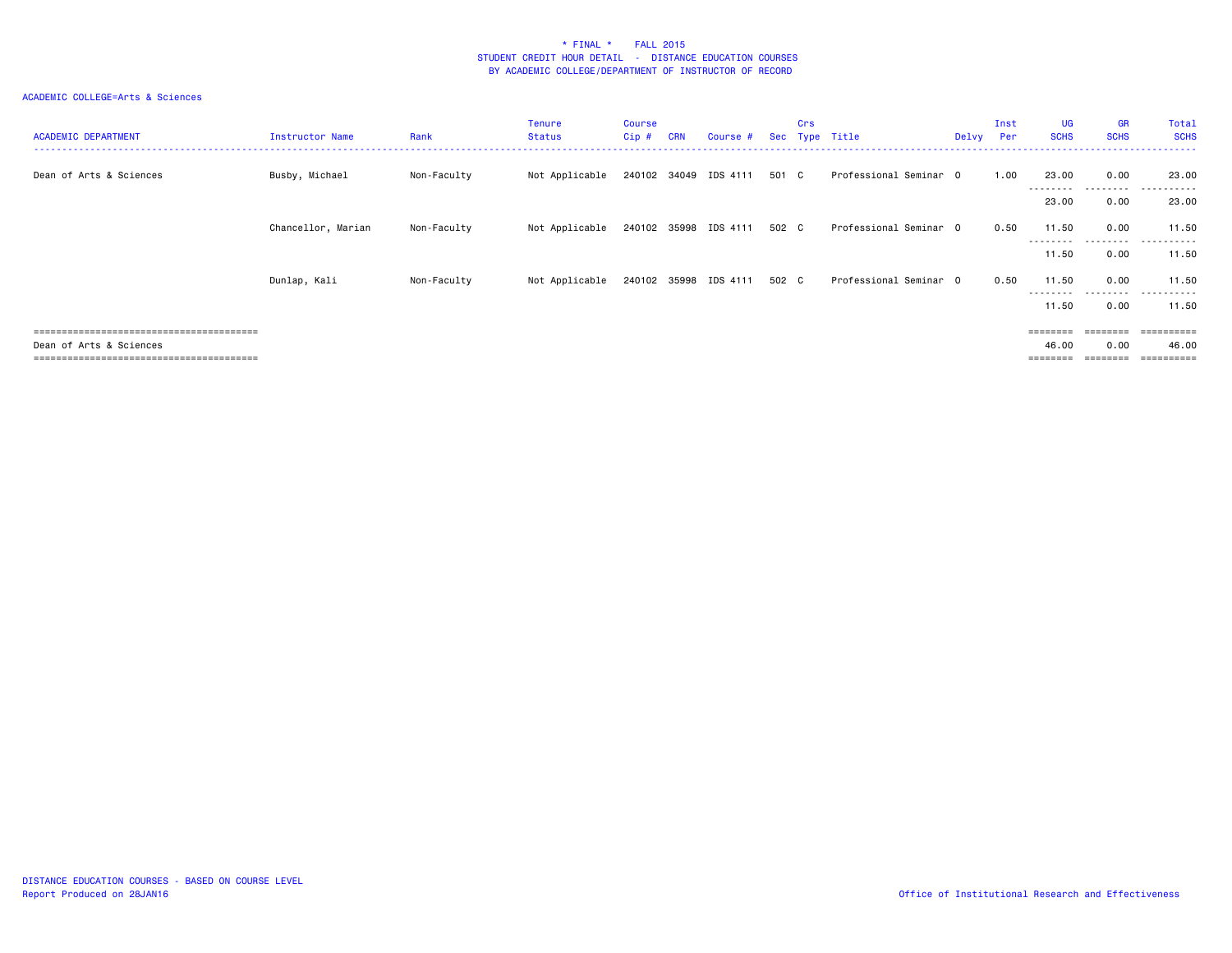| <b>ACADEMIC DEPARTMENT</b> | Instructor Name    | Rank        | <b>Tenure</b><br><b>Status</b> | <b>Course</b><br>Cip# | <b>CRN</b> | Course #              | Sec   | Crs | Type Title             | Delvy | Inst<br>Per | UG<br><b>SCHS</b>  | <b>GR</b><br><b>SCHS</b> | Total<br><b>SCHS</b> |
|----------------------------|--------------------|-------------|--------------------------------|-----------------------|------------|-----------------------|-------|-----|------------------------|-------|-------------|--------------------|--------------------------|----------------------|
| Dean of Arts & Sciences    | Busby, Michael     | Non-Faculty | Not Applicable                 |                       |            | 240102 34049 IDS 4111 | 501 C |     | Professional Seminar 0 |       | 1.00        | 23.00<br>--------- | 0.00<br>.                | 23,00<br>.           |
|                            |                    |             |                                |                       |            |                       |       |     |                        |       |             | 23.00              | 0.00                     | 23.00                |
|                            | Chancellor, Marian | Non-Faculty | Not Applicable                 |                       |            | 240102 35998 IDS 4111 | 502 C |     | Professional Seminar 0 |       | 0.50        | 11.50<br>--------- | 0.00                     | 11.50<br>.           |
|                            |                    |             |                                |                       |            |                       |       |     |                        |       |             | 11.50              | 0.00                     | 11.50                |
|                            | Dunlap, Kali       | Non-Faculty | Not Applicable                 |                       |            | 240102 35998 IDS 4111 | 502 C |     | Professional Seminar O |       | 0.50        | 11.50<br>--------- | 0.00<br>.                | 11.50<br>.           |
|                            |                    |             |                                |                       |            |                       |       |     |                        |       |             | 11.50              | 0.00                     | 11.50                |
|                            |                    |             |                                |                       |            |                       |       |     |                        |       |             |                    |                          | eessesses            |
| Dean of Arts & Sciences    |                    |             |                                |                       |            |                       |       |     |                        |       |             | 46.00              | 0.00                     | 46.00                |
|                            |                    |             |                                |                       |            |                       |       |     |                        |       |             | ========           | ========                 | -----------          |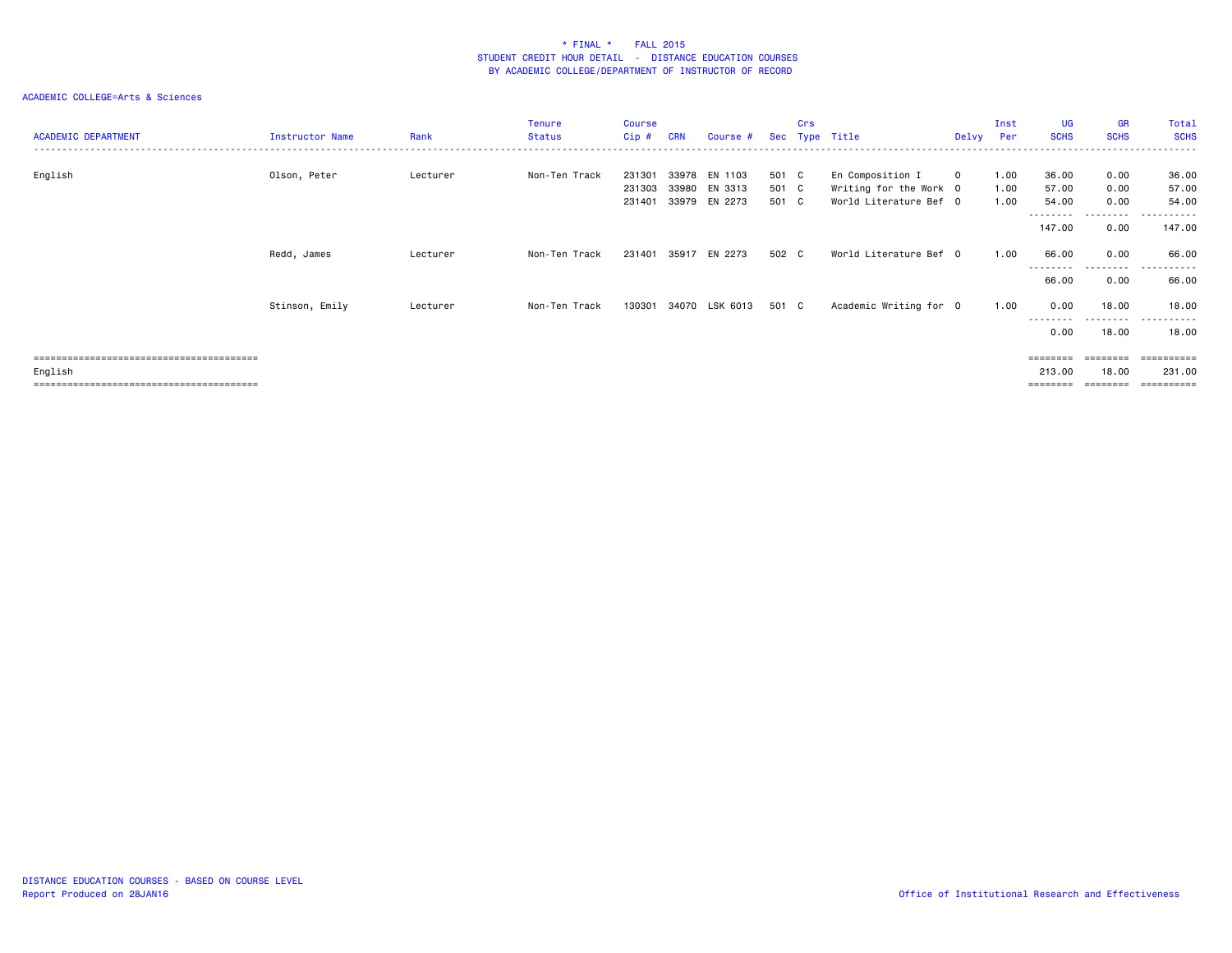| <b>ACADEMIC DEPARTMENT</b> | Instructor Name | Rank     | Tenure<br><b>Status</b> | Course<br>$Cip$ #          | <b>CRN</b> | Course #                                        |                         | Crs | Sec Type Title                                                       |              | Inst<br>Delvy Per    | <b>UG</b><br><b>SCHS</b> | <b>GR</b><br><b>SCHS</b> | Total<br><b>SCHS</b>    |
|----------------------------|-----------------|----------|-------------------------|----------------------------|------------|-------------------------------------------------|-------------------------|-----|----------------------------------------------------------------------|--------------|----------------------|--------------------------|--------------------------|-------------------------|
| English                    | Olson, Peter    | Lecturer | Non-Ten Track           | 231301<br>231303<br>231401 |            | 33978 EN 1103<br>33980 EN 3313<br>33979 EN 2273 | 501 C<br>501 C<br>501 C |     | En Composition I<br>Writing for the Work 0<br>World Literature Bef 0 | $\mathbf{O}$ | 1.00<br>1.00<br>1.00 | 36.00<br>57.00<br>54.00  | 0.00<br>0.00<br>0.00     | 36.00<br>57.00<br>54.00 |
|                            |                 |          |                         |                            |            |                                                 |                         |     |                                                                      |              |                      | --------<br>147.00       | ---------<br>0.00        | .<br>147.00             |
|                            | Redd, James     | Lecturer | Non-Ten Track           | 231401                     | 35917      | EN 2273                                         | 502 C                   |     | World Literature Bef 0                                               |              | 1.00                 | 66.00                    | 0.00                     | 66.00                   |
|                            |                 |          |                         |                            |            |                                                 |                         |     |                                                                      |              |                      | ---------<br>66.00       | ---------<br>0.00        | $- - -$<br>.<br>66.00   |
|                            | Stinson, Emily  | Lecturer | Non-Ten Track           | 130301                     |            | 34070 LSK 6013                                  | 501 C                   |     | Academic Writing for 0                                               |              | 1.00                 | 0.00                     | 18.00                    | 18.00                   |
|                            |                 |          |                         |                            |            |                                                 |                         |     |                                                                      |              |                      | 0.00                     | .<br>18.00               | 18.00                   |
|                            |                 |          |                         |                            |            |                                                 |                         |     |                                                                      |              |                      | ========                 |                          | =========               |
| English                    |                 |          |                         |                            |            |                                                 |                         |     |                                                                      |              |                      | 213.00                   | 18.00                    | 231.00                  |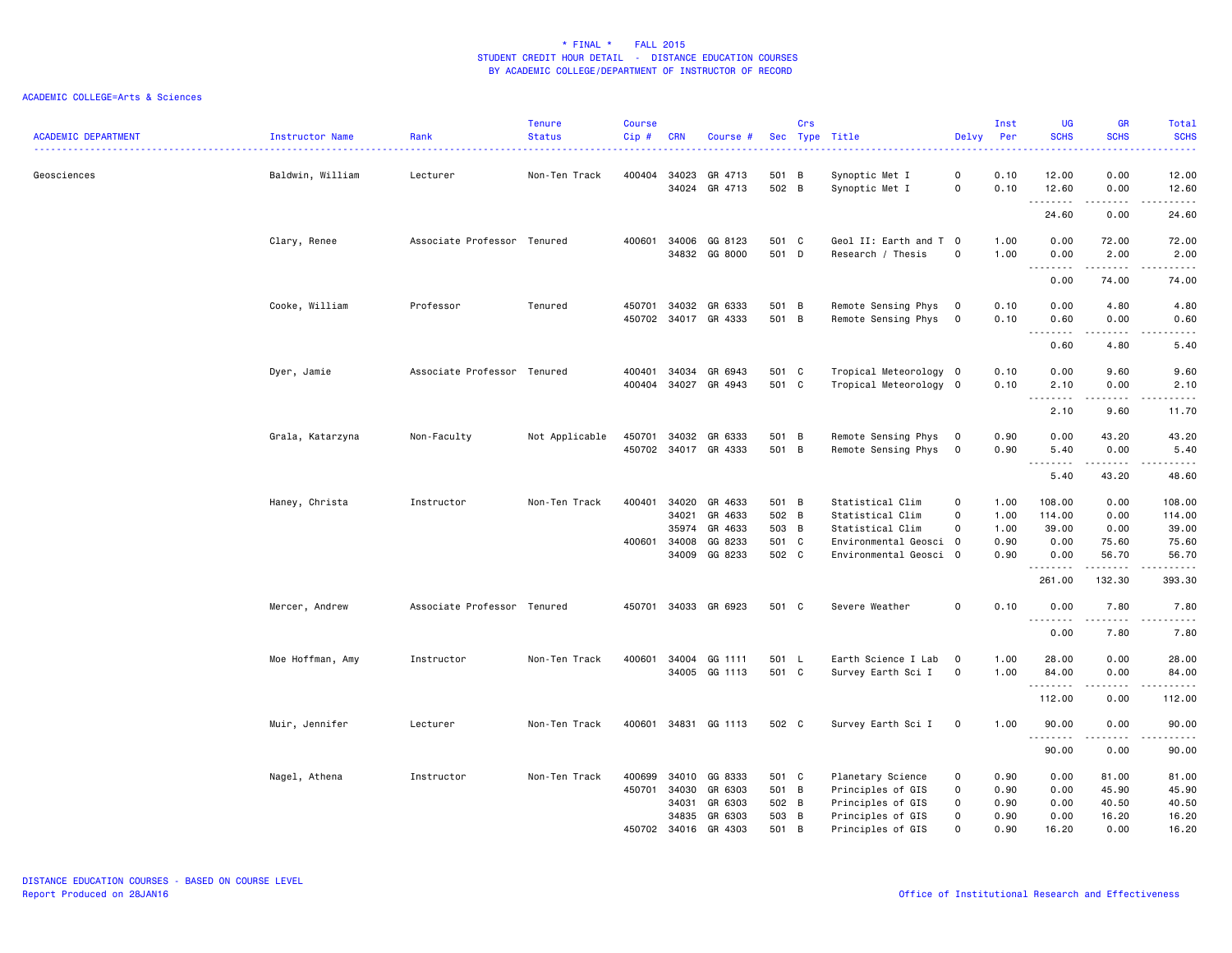| <b>ACADEMIC DEPARTMENT</b> | <b>Instructor Name</b> | Rank                        | <b>Tenure</b><br><b>Status</b> | <b>Course</b><br>Cip# | <b>CRN</b>              | Course #                                     | Sec                     | Crs | Type Title                                                  | Delvy                           | Inst<br>Per          | UG<br><b>SCHS</b>         | <b>GR</b><br><b>SCHS</b>                                                                                                                                             | Total<br><b>SCHS</b><br>$\frac{1}{2} \left( \frac{1}{2} \right) \left( \frac{1}{2} \right) \left( \frac{1}{2} \right) \left( \frac{1}{2} \right)$ |
|----------------------------|------------------------|-----------------------------|--------------------------------|-----------------------|-------------------------|----------------------------------------------|-------------------------|-----|-------------------------------------------------------------|---------------------------------|----------------------|---------------------------|----------------------------------------------------------------------------------------------------------------------------------------------------------------------|---------------------------------------------------------------------------------------------------------------------------------------------------|
| Geosciences                | Baldwin, William       | Lecturer                    | Non-Ten Track                  | 400404                | 34023<br>34024          | GR 4713<br>GR 4713                           | 501 B<br>502 B          |     | Synoptic Met I<br>Synoptic Met I                            | 0<br>0                          | 0.10<br>0.10         | 12.00<br>12.60<br>.       | 0.00<br>0.00                                                                                                                                                         | 12.00<br>12.60<br>$\frac{1}{2}$                                                                                                                   |
|                            |                        |                             |                                |                       |                         |                                              |                         |     |                                                             |                                 |                      | 24.60                     | 0.00                                                                                                                                                                 | 24.60                                                                                                                                             |
|                            | Clary, Renee           | Associate Professor Tenured |                                | 400601                | 34006                   | GG 8123<br>34832 GG 8000                     | 501 C<br>501 D          |     | Geol II: Earth and T 0<br>Research / Thesis                 | $\mathbf 0$                     | 1.00<br>1.00         | 0.00<br>0.00<br>.         | 72.00<br>2.00<br>.                                                                                                                                                   | 72.00<br>2.00<br>.                                                                                                                                |
|                            |                        |                             |                                |                       |                         |                                              |                         |     |                                                             |                                 |                      | 0.00                      | 74.00                                                                                                                                                                | 74.00                                                                                                                                             |
|                            | Cooke, William         | Professor                   | Tenured                        | 450701                |                         | 34032 GR 6333<br>450702 34017 GR 4333        | 501 B<br>501 B          |     | Remote Sensing Phys<br>Remote Sensing Phys 0                | $\overline{0}$                  | 0.10<br>0.10         | 0.00<br>0.60<br>د د د د   | 4.80<br>0.00<br>$\sim$ $\sim$ $\sim$ $\sim$                                                                                                                          | 4.80<br>0.60<br>.                                                                                                                                 |
|                            |                        |                             |                                |                       |                         |                                              |                         |     |                                                             |                                 |                      | 0.60                      | 4.80                                                                                                                                                                 | 5.40                                                                                                                                              |
|                            | Dyer, Jamie            | Associate Professor Tenured |                                | 400401<br>400404      | 34034                   | GR 6943<br>34027 GR 4943                     | 501 C<br>501 C          |     | Tropical Meteorology 0<br>Tropical Meteorology 0            |                                 | 0.10<br>0.10         | 0.00<br>2.10<br>.         | 9.60<br>0.00<br>$\frac{1}{2} \left( \frac{1}{2} \right) \left( \frac{1}{2} \right) \left( \frac{1}{2} \right) \left( \frac{1}{2} \right) \left( \frac{1}{2} \right)$ | 9.60<br>2.10<br>$\begin{array}{cccccccccccccc} \bullet & \bullet & \bullet & \bullet & \bullet & \bullet & \bullet \end{array}$                   |
|                            |                        |                             |                                |                       |                         |                                              |                         |     |                                                             |                                 |                      | 2.10                      | 9.60                                                                                                                                                                 | 11.70                                                                                                                                             |
|                            | Grala, Katarzyna       | Non-Faculty                 | Not Applicable                 |                       |                         | 450701 34032 GR 6333<br>450702 34017 GR 4333 | 501 B<br>501 B          |     | Remote Sensing Phys<br>Remote Sensing Phys                  | $\overline{0}$<br>$\mathbf 0$   | 0.90<br>0.90         | 0.00<br>5.40<br>.         | 43.20<br>0.00<br>$- - - - -$                                                                                                                                         | 43.20<br>5.40<br>.                                                                                                                                |
|                            |                        |                             |                                |                       |                         |                                              |                         |     |                                                             |                                 |                      | 5.40                      | 43.20                                                                                                                                                                | 48.60                                                                                                                                             |
|                            | Haney, Christa         | Instructor                  | Non-Ten Track                  | 400401                | 34020<br>34021          | GR 4633<br>GR 4633<br>35974 GR 4633          | 501 B<br>502 B<br>503 B |     | Statistical Clim<br>Statistical Clim<br>Statistical Clim    | $\mathbf 0$<br>0<br>$\mathbf 0$ | 1.00<br>1.00<br>1.00 | 108.00<br>114.00<br>39.00 | 0.00<br>0.00<br>0.00                                                                                                                                                 | 108.00<br>114.00<br>39.00                                                                                                                         |
|                            |                        |                             |                                | 400601                | 34008<br>34009          | GG 8233<br>GG 8233                           | 501 C<br>502 C          |     | Environmental Geosci 0<br>Environmental Geosci 0            |                                 | 0.90<br>0.90         | 0.00<br>0.00<br>.         | 75.60<br>56.70<br>.                                                                                                                                                  | 75.60<br>56.70<br>.                                                                                                                               |
|                            |                        |                             |                                |                       |                         |                                              |                         |     |                                                             |                                 |                      | 261.00                    | 132.30                                                                                                                                                               | 393.30                                                                                                                                            |
|                            | Mercer, Andrew         | Associate Professor Tenured |                                |                       |                         | 450701 34033 GR 6923                         | 501 C                   |     | Severe Weather                                              | 0                               | 0.10                 | 0.00                      | 7.80                                                                                                                                                                 | 7.80                                                                                                                                              |
|                            |                        |                             |                                |                       |                         |                                              |                         |     |                                                             |                                 |                      | ----<br>0.00              | 7.80                                                                                                                                                                 | 7.80                                                                                                                                              |
|                            | Moe Hoffman, Amy       | Instructor                  | Non-Ten Track                  | 400601                |                         | 34004 GG 1111<br>34005 GG 1113               | 501 L<br>501 C          |     | Earth Science I Lab<br>Survey Earth Sci I                   | $\overline{0}$<br>$\mathbf{o}$  | 1.00<br>1.00         | 28.00<br>84.00            | 0.00<br>0.00                                                                                                                                                         | 28.00<br>84.00                                                                                                                                    |
|                            |                        |                             |                                |                       |                         |                                              |                         |     |                                                             |                                 |                      | .<br>112.00               | $\sim$ $\sim$ $\sim$ $\sim$<br>0.00                                                                                                                                  | .<br>112.00                                                                                                                                       |
|                            | Muir, Jennifer         | Lecturer                    | Non-Ten Track                  |                       |                         | 400601 34831 GG 1113                         | 502 C                   |     | Survey Earth Sci I                                          | $\mathbf 0$                     | 1.00                 | 90.00                     | 0.00                                                                                                                                                                 | 90.00                                                                                                                                             |
|                            |                        |                             |                                |                       |                         |                                              |                         |     |                                                             |                                 |                      | .<br>90.00                | .<br>0.00                                                                                                                                                            | .<br>90.00                                                                                                                                        |
|                            | Nagel, Athena          | Instructor                  | Non-Ten Track                  | 400699<br>450701      | 34010<br>34030<br>34031 | GG 8333<br>GR 6303<br>GR 6303                | 501 C<br>501 B<br>502 B |     | Planetary Science<br>Principles of GIS<br>Principles of GIS | 0<br>0<br>0                     | 0.90<br>0.90<br>0.90 | 0.00<br>0.00<br>0.00      | 81.00<br>45.90<br>40.50                                                                                                                                              | 81.00<br>45.90<br>40.50                                                                                                                           |
|                            |                        |                             |                                | 450702                | 34016                   | 34835 GR 6303<br>GR 4303                     | 503 B<br>501            | B   | Principles of GIS<br>Principles of GIS                      | 0<br>$\Omega$                   | 0.90<br>0.90         | 0.00<br>16.20             | 16.20<br>0.00                                                                                                                                                        | 16.20<br>16.20                                                                                                                                    |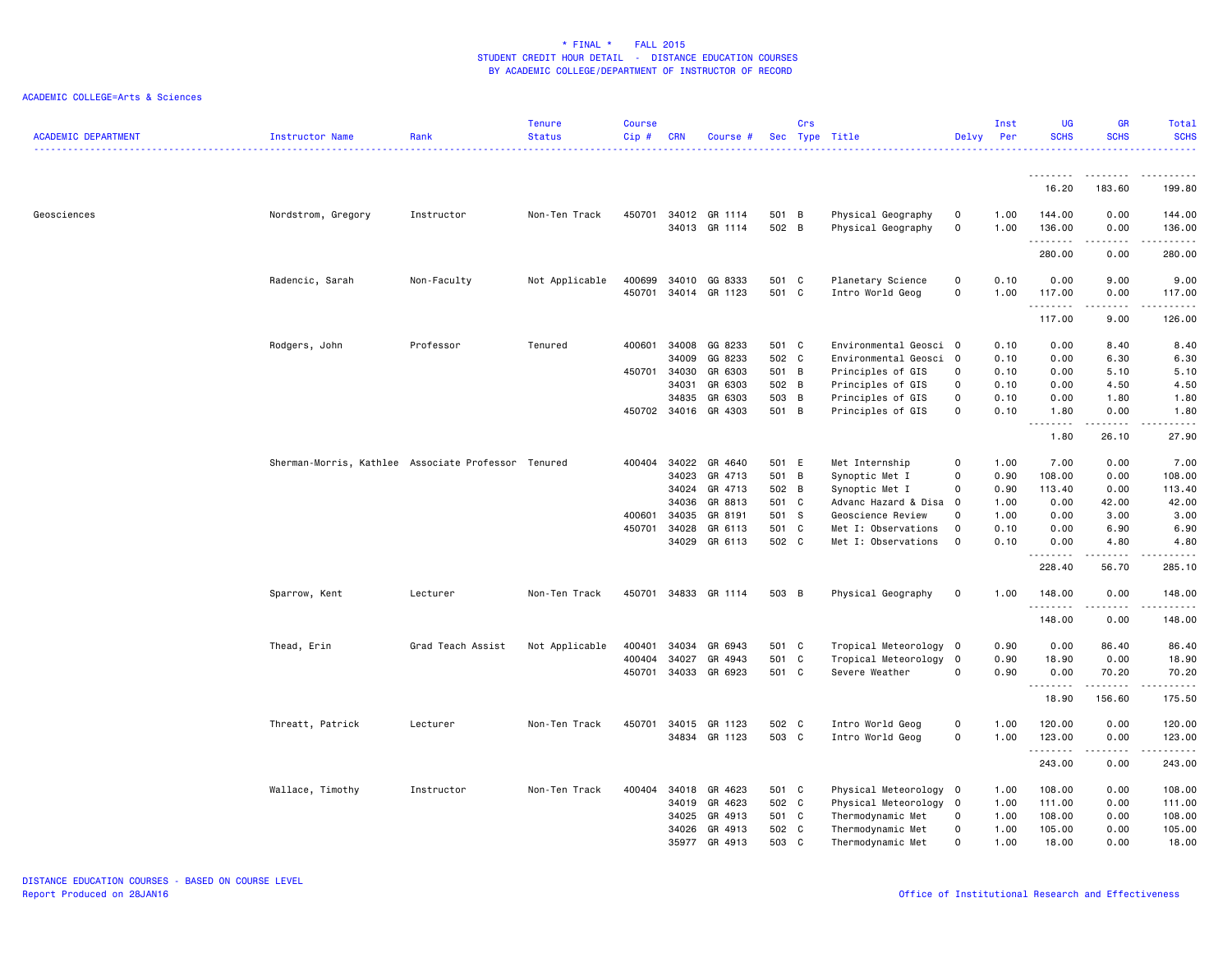| <b>ACADEMIC DEPARTMENT</b> | Instructor Name                                     | Rank              | <b>Tenure</b><br><b>Status</b> | <b>Course</b><br>Cip# | <b>CRN</b> | Course #                       |                | Crs | Sec Type Title                           | Delvy                   | Inst<br>Per  | <b>UG</b><br><b>SCHS</b> | <b>GR</b><br><b>SCHS</b> | Total<br><b>SCHS</b>                                                                                                                                                                      |
|----------------------------|-----------------------------------------------------|-------------------|--------------------------------|-----------------------|------------|--------------------------------|----------------|-----|------------------------------------------|-------------------------|--------------|--------------------------|--------------------------|-------------------------------------------------------------------------------------------------------------------------------------------------------------------------------------------|
|                            |                                                     |                   |                                |                       |            |                                |                |     |                                          |                         |              |                          |                          |                                                                                                                                                                                           |
|                            |                                                     |                   |                                |                       |            |                                |                |     |                                          |                         |              | 16.20                    | 183.60                   | 199.80                                                                                                                                                                                    |
| Geosciences                | Nordstrom, Gregory                                  | Instructor        | Non-Ten Track                  | 450701                |            | 34012 GR 1114<br>34013 GR 1114 | 501 B<br>502 B |     | Physical Geography<br>Physical Geography | 0<br>0                  | 1.00<br>1.00 | 144.00<br>136.00         | 0.00<br>0.00             | 144.00<br>136.00                                                                                                                                                                          |
|                            |                                                     |                   |                                |                       |            |                                |                |     |                                          |                         |              | .<br>280.00              | .<br>0.00                | .<br>280.00                                                                                                                                                                               |
|                            | Radencic, Sarah                                     | Non-Faculty       | Not Applicable                 | 400699                | 34010      | GG 8333                        | 501 C          |     | Planetary Science                        | $\mathbf 0$             | 0.10         | 0.00                     | 9.00                     | 9.00                                                                                                                                                                                      |
|                            |                                                     |                   |                                | 450701                |            | 34014 GR 1123                  | 501 C          |     | Intro World Geog                         | $\mathbf 0$             | 1.00         | 117.00<br>.              | 0.00                     | 117.00                                                                                                                                                                                    |
|                            |                                                     |                   |                                |                       |            |                                |                |     |                                          |                         |              | 117.00                   | 9.00                     | 126.00                                                                                                                                                                                    |
|                            | Rodgers, John                                       | Professor         | Tenured                        | 400601                | 34008      | GG 8233                        | 501 C          |     | Environmental Geosci 0                   |                         | 0.10         | 0.00                     | 8.40                     | 8.40                                                                                                                                                                                      |
|                            |                                                     |                   |                                |                       | 34009      | GG 8233                        | 502 C          |     | Environmental Geosci 0                   |                         | 0.10         | 0.00                     | 6.30                     | 6.30                                                                                                                                                                                      |
|                            |                                                     |                   |                                | 450701                | 34030      | GR 6303                        | 501 B          |     | Principles of GIS                        | $\mathbf 0$             | 0.10         | 0.00                     | 5.10                     | 5.10                                                                                                                                                                                      |
|                            |                                                     |                   |                                |                       | 34031      | GR 6303                        | 502 B          |     | Principles of GIS                        | 0                       | 0.10         | 0.00                     | 4.50                     | 4.50                                                                                                                                                                                      |
|                            |                                                     |                   |                                |                       | 34835      | GR 6303                        | 503 B          |     | Principles of GIS                        | 0                       | 0.10         | 0.00                     | 1.80                     | 1.80                                                                                                                                                                                      |
|                            |                                                     |                   |                                | 450702                |            | 34016 GR 4303                  | 501 B          |     | Principles of GIS                        | 0                       | 0.10         | 1.80<br>.                | 0.00                     | 1.80<br>$- - - -$                                                                                                                                                                         |
|                            |                                                     |                   |                                |                       |            |                                |                |     |                                          |                         |              | 1.80                     | 26.10                    | 27.90                                                                                                                                                                                     |
|                            | Sherman-Morris, Kathlee Associate Professor Tenured |                   |                                |                       |            | 400404 34022 GR 4640           | 501 E          |     | Met Internship                           | $\mathbf 0$             | 1.00         | 7.00                     | 0.00                     | 7.00                                                                                                                                                                                      |
|                            |                                                     |                   |                                |                       | 34023      | GR 4713                        | 501 B          |     | Synoptic Met I                           | $\mathbf 0$             | 0.90         | 108.00                   | 0.00                     | 108.00                                                                                                                                                                                    |
|                            |                                                     |                   |                                |                       | 34024      | GR 4713                        | 502 B          |     | Synoptic Met I                           | $\Omega$                | 0.90         | 113.40                   | 0.00                     | 113.40                                                                                                                                                                                    |
|                            |                                                     |                   |                                |                       | 34036      | GR 8813                        | 501 C          |     | Advanc Hazard & Disa 0                   |                         | 1.00         | 0.00                     | 42.00                    | 42.00                                                                                                                                                                                     |
|                            |                                                     |                   |                                | 400601                | 34035      | GR 8191                        | 501 S          |     | Geoscience Review                        | 0                       | 1.00         | 0.00                     | 3.00                     | 3.00                                                                                                                                                                                      |
|                            |                                                     |                   |                                | 450701                | 34028      | GR 6113                        | 501 C          |     | Met I: Observations                      | 0                       | 0.10         | 0.00                     | 6.90                     | 6.90                                                                                                                                                                                      |
|                            |                                                     |                   |                                |                       | 34029      | GR 6113                        | 502 C          |     | Met I: Observations                      | 0                       | 0.10         | 0.00<br>.                | 4.80<br>.                | 4.80<br>.                                                                                                                                                                                 |
|                            |                                                     |                   |                                |                       |            |                                |                |     |                                          |                         |              | 228.40                   | 56.70                    | 285.10                                                                                                                                                                                    |
|                            | Sparrow, Kent                                       | Lecturer          | Non-Ten Track                  | 450701                |            | 34833 GR 1114                  | 503 B          |     | Physical Geography                       | $\mathbf 0$             | 1.00         | 148.00                   | 0.00                     | 148.00                                                                                                                                                                                    |
|                            |                                                     |                   |                                |                       |            |                                |                |     |                                          |                         |              | .<br>148.00              | .<br>0.00                | <u>.</u><br>148.00                                                                                                                                                                        |
|                            | Thead, Erin                                         | Grad Teach Assist | Not Applicable                 | 400401                | 34034      | GR 6943                        | 501 C          |     | Tropical Meteorology 0                   |                         | 0.90         | 0.00                     | 86.40                    | 86.40                                                                                                                                                                                     |
|                            |                                                     |                   |                                | 400404                | 34027      | GR 4943                        | 501 C          |     | Tropical Meteorology                     | $\overline{\mathbf{0}}$ | 0.90         | 18.90                    | 0.00                     | 18.90                                                                                                                                                                                     |
|                            |                                                     |                   |                                |                       |            | 450701 34033 GR 6923           | 501 C          |     | Severe Weather                           | $\mathbf 0$             | 0.90         | 0.00<br><u>.</u>         | 70.20<br>.               | 70.20<br>.                                                                                                                                                                                |
|                            |                                                     |                   |                                |                       |            |                                |                |     |                                          |                         |              | 18.90                    | 156.60                   | 175.50                                                                                                                                                                                    |
|                            | Threatt, Patrick                                    | Lecturer          | Non-Ten Track                  | 450701                |            | 34015 GR 1123                  | 502 C          |     | Intro World Geog                         | $\mathsf 0$             | 1.00         | 120.00                   | 0.00                     | 120.00                                                                                                                                                                                    |
|                            |                                                     |                   |                                |                       |            | 34834 GR 1123                  | 503 C          |     | Intro World Geog                         | $\circ$                 | 1.00         | 123.00                   | 0.00                     | 123.00                                                                                                                                                                                    |
|                            |                                                     |                   |                                |                       |            |                                |                |     |                                          |                         |              | .<br>243.00              | .<br>0.00                | $\frac{1}{2} \left( \frac{1}{2} \right) \left( \frac{1}{2} \right) \left( \frac{1}{2} \right) \left( \frac{1}{2} \right) \left( \frac{1}{2} \right) \left( \frac{1}{2} \right)$<br>243.00 |
|                            |                                                     |                   |                                |                       |            |                                |                |     |                                          |                         |              |                          |                          |                                                                                                                                                                                           |
|                            | Wallace, Timothy                                    | Instructor        | Non-Ten Track                  | 400404                | 34018      | GR 4623                        | 501 C          |     | Physical Meteorology 0                   |                         | 1.00         | 108.00                   | 0.00                     | 108.00                                                                                                                                                                                    |
|                            |                                                     |                   |                                |                       | 34019      | GR 4623                        | 502 C          |     | Physical Meteorology 0                   |                         | 1.00         | 111.00                   | 0.00                     | 111.00                                                                                                                                                                                    |
|                            |                                                     |                   |                                |                       | 34025      | GR 4913                        | 501 C          |     | Thermodynamic Met                        | 0                       | 1.00         | 108.00                   | 0.00                     | 108.00                                                                                                                                                                                    |
|                            |                                                     |                   |                                |                       |            | 34026 GR 4913                  | 502 C          |     | Thermodynamic Met                        | $\mathbf 0$             | 1.00         | 105.00                   | 0.00                     | 105.00                                                                                                                                                                                    |
|                            |                                                     |                   |                                |                       |            | 35977 GR 4913                  | 503 C          |     | Thermodynamic Met                        | $\Omega$                | 1.00         | 18.00                    | 0.00                     | 18.00                                                                                                                                                                                     |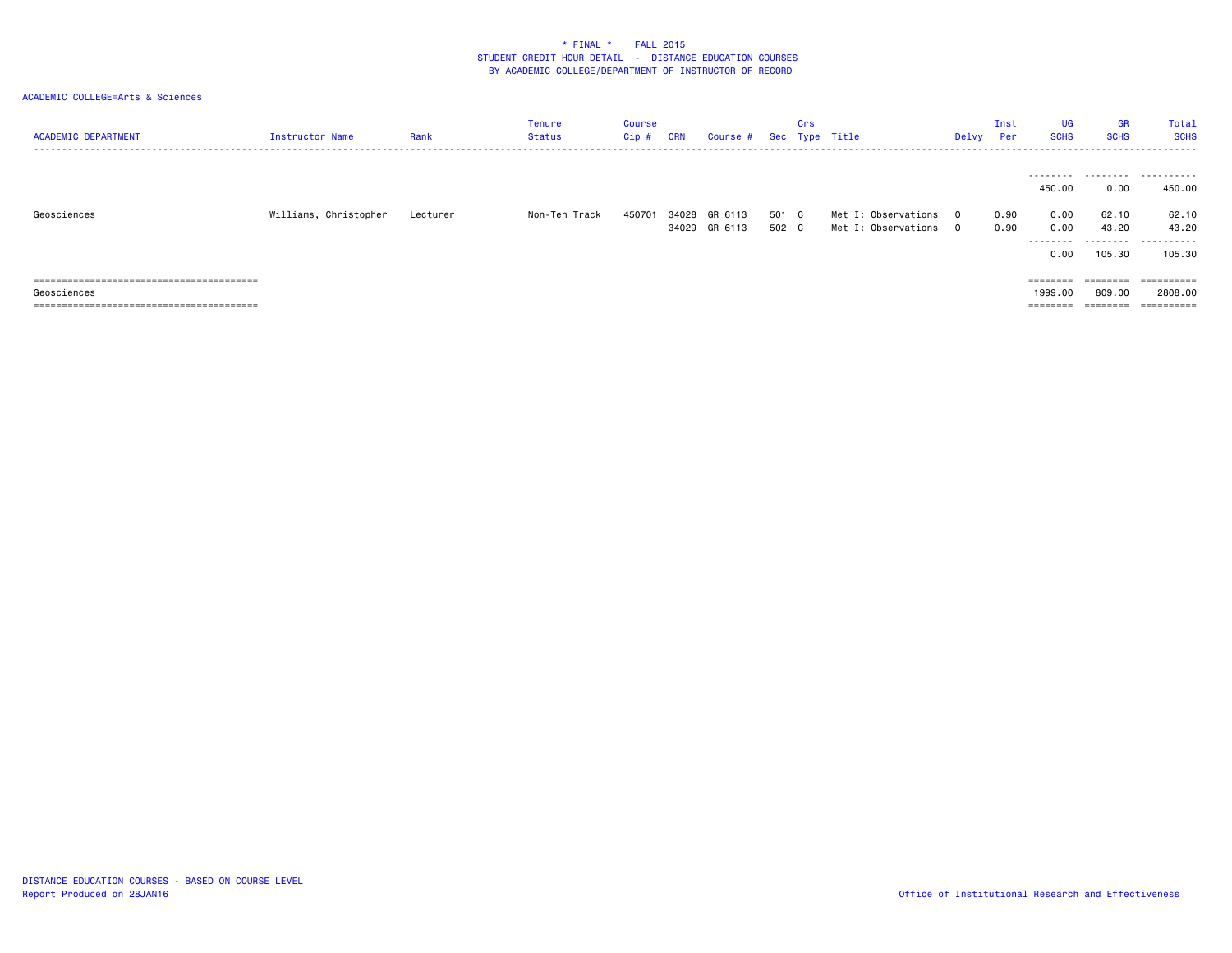| <b>ACADEMIC DEPARTMENT</b> | <b>Instructor Name</b> | Rank     | Tenure<br>Status | <b>Course</b><br>$Cip$ # | <b>CRN</b> | Course #                 |                | Crs | Sec Type Title                             | Delvy                            | Inst<br>Per  | <b>UG</b><br><b>SCHS</b>            | <b>GR</b><br><b>SCHS</b>         | Total<br><b>SCHS</b>                   |
|----------------------------|------------------------|----------|------------------|--------------------------|------------|--------------------------|----------------|-----|--------------------------------------------|----------------------------------|--------------|-------------------------------------|----------------------------------|----------------------------------------|
| Geosciences                | Williams, Christopher  | Lecturer | Non-Ten Track    | 450701                   | 34028      | GR 6113<br>34029 GR 6113 | 501 C<br>502 C |     | Met I: Observations<br>Met I: Observations | $\overline{0}$<br>$\overline{0}$ | 0.90<br>0.90 | 450.00<br>0.00<br>0.00<br>.<br>0.00 | 0.00<br>62.10<br>43.20<br>105.30 | <br>450.00<br>62.10<br>43.20<br>105.30 |
|                            |                        |          |                  |                          |            |                          |                |     |                                            |                                  |              |                                     | $=$ = = = = = = =                | ==========                             |
| Geosciences                |                        |          |                  |                          |            |                          |                |     |                                            |                                  |              | 1999.00                             | 809.00                           | 2808.00                                |
|                            |                        |          |                  |                          |            |                          |                |     |                                            |                                  |              | $=$ = = = = = = =                   |                                  | ==========                             |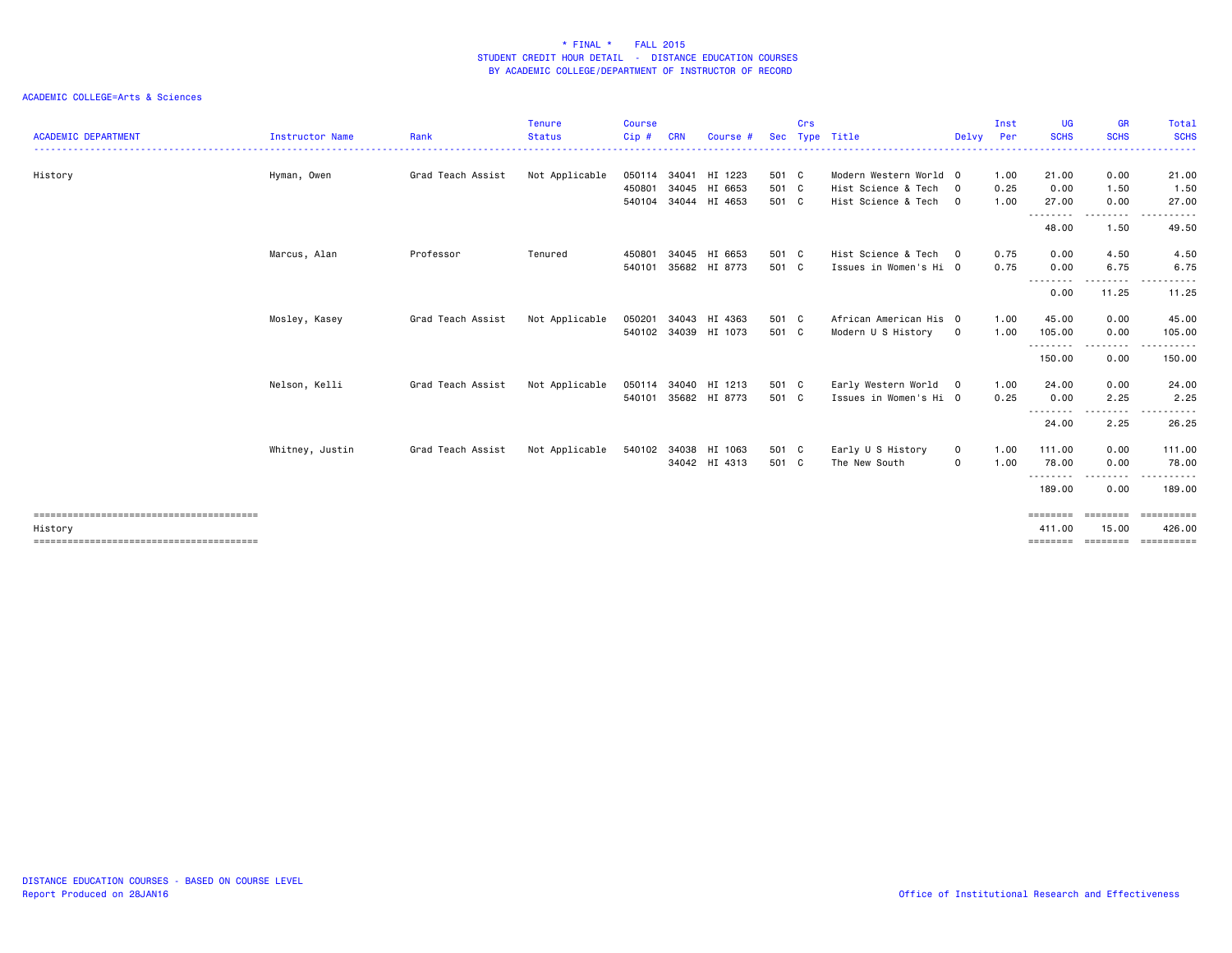| <b>ACADEMIC DEPARTMENT</b> | <b>Instructor Name</b> | Rank              | <b>Tenure</b><br><b>Status</b> | <b>Course</b><br>$Cip$ # | <b>CRN</b> | Course #             | <b>Sec</b> | Crs | Type Title             | Delvy       | Inst<br>Per | <b>UG</b><br><b>SCHS</b> | <b>GR</b><br><b>SCHS</b>                                                                                                                                     | Total<br><b>SCHS</b> |
|----------------------------|------------------------|-------------------|--------------------------------|--------------------------|------------|----------------------|------------|-----|------------------------|-------------|-------------|--------------------------|--------------------------------------------------------------------------------------------------------------------------------------------------------------|----------------------|
|                            |                        |                   | <u>.</u>                       |                          |            |                      |            |     |                        |             |             |                          |                                                                                                                                                              |                      |
| History                    | Hyman, Owen            | Grad Teach Assist | Not Applicable                 | 050114                   |            | 34041 HI 1223        | 501 C      |     | Modern Western World 0 |             | 1.00        | 21.00                    | 0.00                                                                                                                                                         | 21.00                |
|                            |                        |                   |                                | 450801                   |            | 34045 HI 6653        | 501 C      |     | Hist Science & Tech 0  |             | 0.25        | 0.00                     | 1.50                                                                                                                                                         | 1.50                 |
|                            |                        |                   |                                | 540104                   |            | 34044 HI 4653        | 501 C      |     | Hist Science & Tech 0  |             | 1.00        | 27.00                    | 0.00                                                                                                                                                         | 27.00                |
|                            |                        |                   |                                |                          |            |                      |            |     |                        |             |             | ----<br>----<br>48.00    | 1.50                                                                                                                                                         | 49.50                |
|                            | Marcus, Alan           | Professor         | Tenured                        | 450801                   |            | 34045 HI 6653        | 501 C      |     | Hist Science & Tech 0  |             | 0.75        | 0.00                     | 4.50                                                                                                                                                         | 4.50                 |
|                            |                        |                   |                                | 540101                   |            | 35682 HI 8773        | 501 C      |     | Issues in Women's Hi 0 |             | 0.75        | 0.00                     | 6.75                                                                                                                                                         | 6.75                 |
|                            |                        |                   |                                |                          |            |                      |            |     |                        |             |             | . <b>. .</b> .<br>0.00   | . <u>.</u> .<br>11.25                                                                                                                                        | 11.25                |
|                            | Mosley, Kasey          | Grad Teach Assist | Not Applicable                 | 050201                   |            | 34043 HI 4363        | 501 C      |     | African American His 0 |             | 1.00        | 45.00                    | 0.00                                                                                                                                                         | 45.00                |
|                            |                        |                   |                                |                          |            | 540102 34039 HI 1073 | 501 C      |     | Modern U S History     | $\mathbf 0$ | 1.00        | 105.00                   | 0.00                                                                                                                                                         | 105.00               |
|                            |                        |                   |                                |                          |            |                      |            |     |                        |             |             | .<br>150.00              | .<br>0.00                                                                                                                                                    | .<br>150.00          |
|                            | Nelson, Kelli          | Grad Teach Assist | Not Applicable                 | 050114                   |            | 34040 HI 1213        | 501 C      |     | Early Western World 0  |             | 1.00        | 24.00                    | 0.00                                                                                                                                                         | 24.00                |
|                            |                        |                   |                                | 540101                   |            | 35682 HI 8773        | 501 C      |     | Issues in Women's Hi 0 |             | 0.25        | 0.00                     | 2.25                                                                                                                                                         | 2.25                 |
|                            |                        |                   |                                |                          |            |                      |            |     |                        |             |             | --------<br>24.00        | 2.25                                                                                                                                                         | 26.25                |
|                            | Whitney, Justin        | Grad Teach Assist | Not Applicable                 |                          |            | 540102 34038 HI 1063 | 501 C      |     | Early U S History      | $\mathbf 0$ | 1.00        | 111.00                   | 0.00                                                                                                                                                         | 111.00               |
|                            |                        |                   |                                |                          |            | 34042 HI 4313        | 501 C      |     | The New South          | $\mathbf 0$ | 1.00        | 78.00                    | 0.00                                                                                                                                                         | 78.00                |
|                            |                        |                   |                                |                          |            |                      |            |     |                        |             |             | --------<br>189.00       | $\frac{1}{2} \left( \frac{1}{2} \right) \left( \frac{1}{2} \right) \left( \frac{1}{2} \right) \left( \frac{1}{2} \right) \left( \frac{1}{2} \right)$<br>0.00 | <u>.</u><br>189.00   |
|                            |                        |                   |                                |                          |            |                      |            |     |                        |             |             | ========                 |                                                                                                                                                              | ==================   |
| History                    |                        |                   |                                |                          |            |                      |            |     |                        |             |             | 411.00<br>========       | 15.00<br>========                                                                                                                                            | 426.00<br>========== |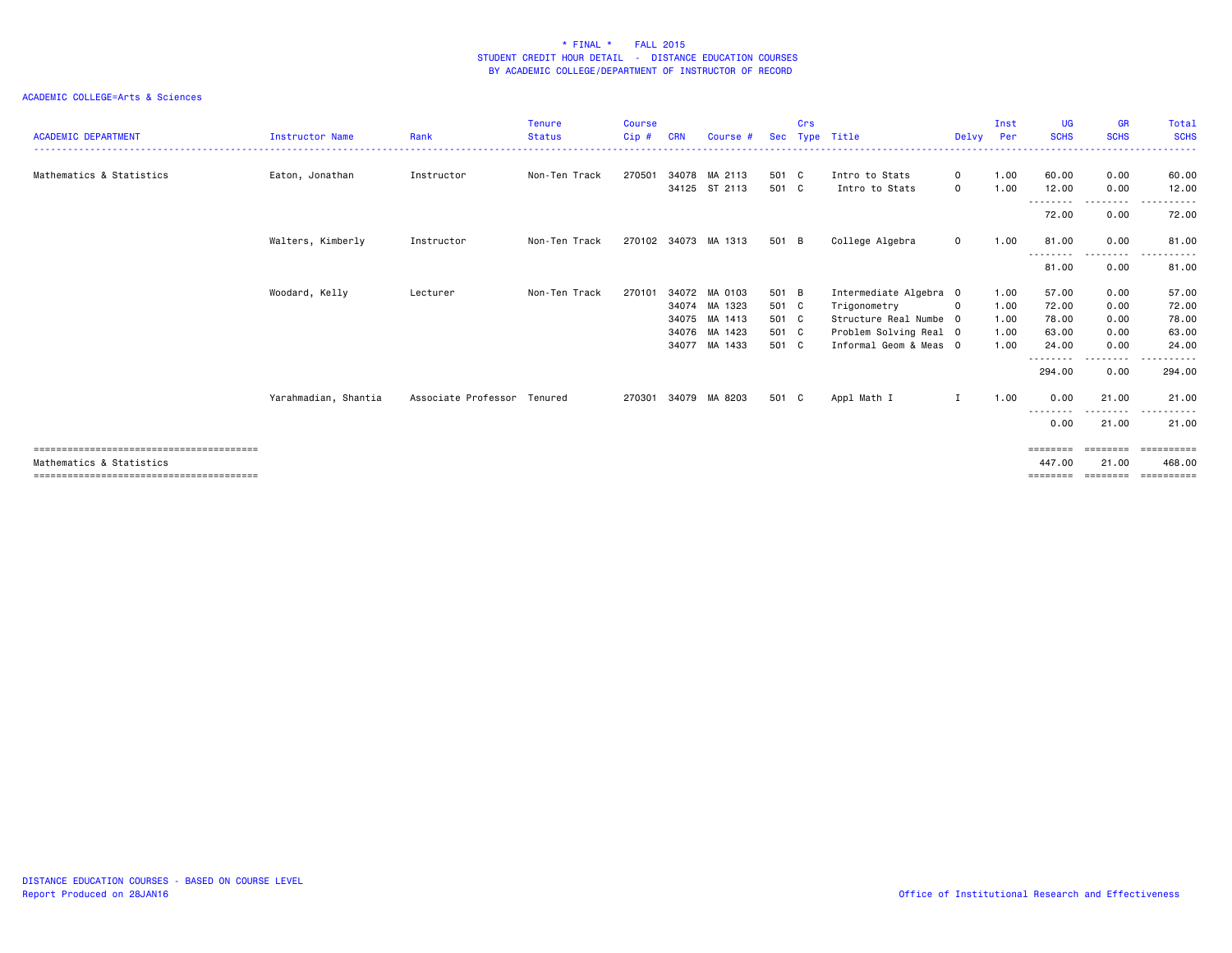| <b>ACADEMIC DEPARTMENT</b> | <b>Instructor Name</b> | Rank                        | <b>Tenure</b><br><b>Status</b> | <b>Course</b><br>Cip# | <b>CRN</b> | Course #                       |                | Crs | Sec Type Title                   | Delvy                | Inst<br>Per  | <b>UG</b><br><b>SCHS</b> | <b>GR</b><br><b>SCHS</b> | Total<br><b>SCHS</b>                                                                                                                                                                     |
|----------------------------|------------------------|-----------------------------|--------------------------------|-----------------------|------------|--------------------------------|----------------|-----|----------------------------------|----------------------|--------------|--------------------------|--------------------------|------------------------------------------------------------------------------------------------------------------------------------------------------------------------------------------|
| Mathematics & Statistics   | Eaton, Jonathan        | Instructor                  | Non-Ten Track                  | 270501                |            | 34078 MA 2113<br>34125 ST 2113 | 501 C<br>501 C |     | Intro to Stats<br>Intro to Stats | $\Omega$<br>$\Omega$ | 1.00<br>1.00 | 60.00<br>12.00           | 0.00<br>0.00             | 60.00<br>12.00                                                                                                                                                                           |
|                            |                        |                             |                                |                       |            |                                |                |     |                                  |                      |              | <u>.</u><br>72.00        | $\frac{1}{2}$<br>0.00    | $\cdots$<br>72.00                                                                                                                                                                        |
|                            | Walters, Kimberly      | Instructor                  | Non-Ten Track                  |                       |            | 270102 34073 MA 1313           | 501 B          |     | College Algebra                  | $\mathbf{O}$         | 1.00         | 81.00<br><u>.</u>        | 0.00<br>. <b>.</b>       | 81.00<br>$\frac{1}{2} \left( \frac{1}{2} \right) \left( \frac{1}{2} \right) \left( \frac{1}{2} \right) \left( \frac{1}{2} \right) \left( \frac{1}{2} \right) \left( \frac{1}{2} \right)$ |
|                            |                        |                             |                                |                       |            |                                |                |     |                                  |                      |              | 81.00                    | 0.00                     | 81.00                                                                                                                                                                                    |
|                            | Woodard, Kelly         | Lecturer                    | Non-Ten Track                  | 270101                |            | 34072 MA 0103                  | 501 B          |     | Intermediate Algebra 0           |                      | 1.00         | 57.00                    | 0.00                     | 57.00                                                                                                                                                                                    |
|                            |                        |                             |                                |                       |            | 34074 MA 1323                  | 501 C          |     | Trigonometry                     | $\Omega$             | 1.00         | 72.00                    | 0.00                     | 72.00                                                                                                                                                                                    |
|                            |                        |                             |                                |                       |            | 34075 MA 1413                  | 501 C          |     | Structure Real Numbe 0           |                      | 1.00         | 78.00                    | 0.00                     | 78.00                                                                                                                                                                                    |
|                            |                        |                             |                                |                       |            | 34076 MA 1423                  | 501 C          |     | Problem Solving Real 0           |                      | 1.00         | 63.00                    | 0.00                     | 63.00                                                                                                                                                                                    |
|                            |                        |                             |                                |                       |            | 34077 MA 1433                  | 501 C          |     | Informal Geom & Meas 0           |                      | 1.00         | 24.00                    | 0.00                     | 24,00                                                                                                                                                                                    |
|                            |                        |                             |                                |                       |            |                                |                |     |                                  |                      |              | .<br>294.00              | .<br>0.00                | 294.00                                                                                                                                                                                   |
|                            | Yarahmadian, Shantia   | Associate Professor Tenured |                                | 270301                |            | 34079 MA 8203                  | 501 C          |     | Appl Math I                      | Ι.                   | 1.00         | 0.00<br>--------         | 21.00<br><u>.</u>        | 21.00<br>.<br>$- - -$                                                                                                                                                                    |
|                            |                        |                             |                                |                       |            |                                |                |     |                                  |                      |              | 0.00                     | 21.00                    | 21.00                                                                                                                                                                                    |
|                            |                        |                             |                                |                       |            |                                |                |     |                                  |                      |              | ========                 | ========                 | ==========                                                                                                                                                                               |
| Mathematics & Statistics   |                        |                             |                                |                       |            |                                |                |     |                                  |                      |              | 447.00                   | 21.00                    | 468,00                                                                                                                                                                                   |
|                            |                        |                             |                                |                       |            |                                |                |     |                                  |                      |              |                          |                          |                                                                                                                                                                                          |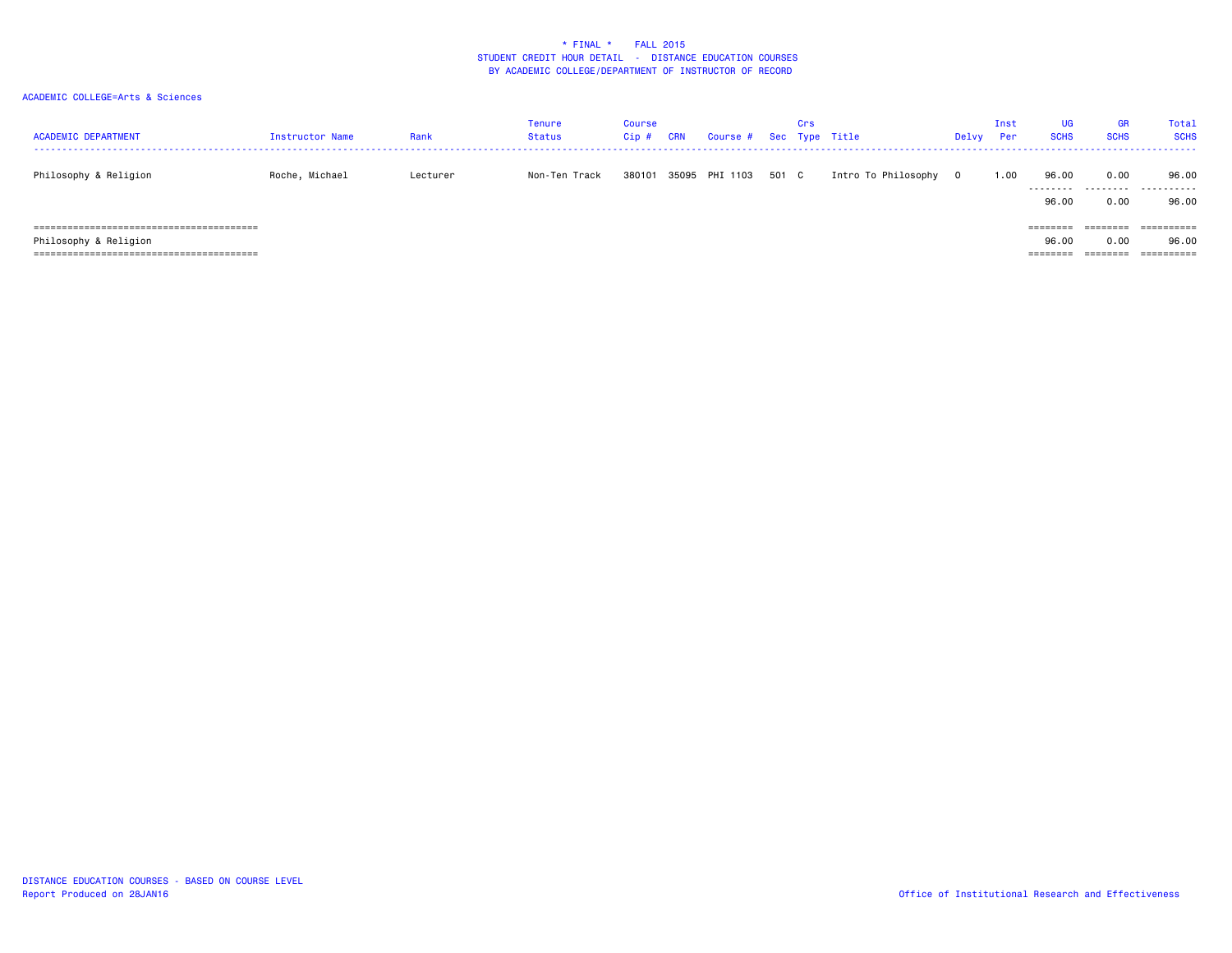| <b>ACADEMIC DEPARTMENT</b> | Instructor Name | Rank     | Tenure<br><b>Status</b> | Course<br>Cip | <b>CRN</b> | Course # Sec Type Title |       | Crs |                     | Delvy | Inst<br>Per | UG<br><b>SCHS</b>             | <b>GR</b><br><b>SCHS</b>     | Total<br><b>SCH</b>               |
|----------------------------|-----------------|----------|-------------------------|---------------|------------|-------------------------|-------|-----|---------------------|-------|-------------|-------------------------------|------------------------------|-----------------------------------|
| Philosophy & Religion      | Roche, Michael  | Lecturer | Non-Ten Track           | 380101        |            | 35095 PHI 1103          | 501 C |     | Intro To Philosophy | 0     | 1.00        | 96.00<br>---------<br>96.00   | 0.00<br>.<br>0.00            | 96.00<br>.<br>96.00               |
| Philosophy & Religion      |                 |          |                         |               |            |                         |       |     |                     |       |             | ========<br>96.00<br>======== | ========<br>0.00<br>======== | ==========<br>96.00<br>========== |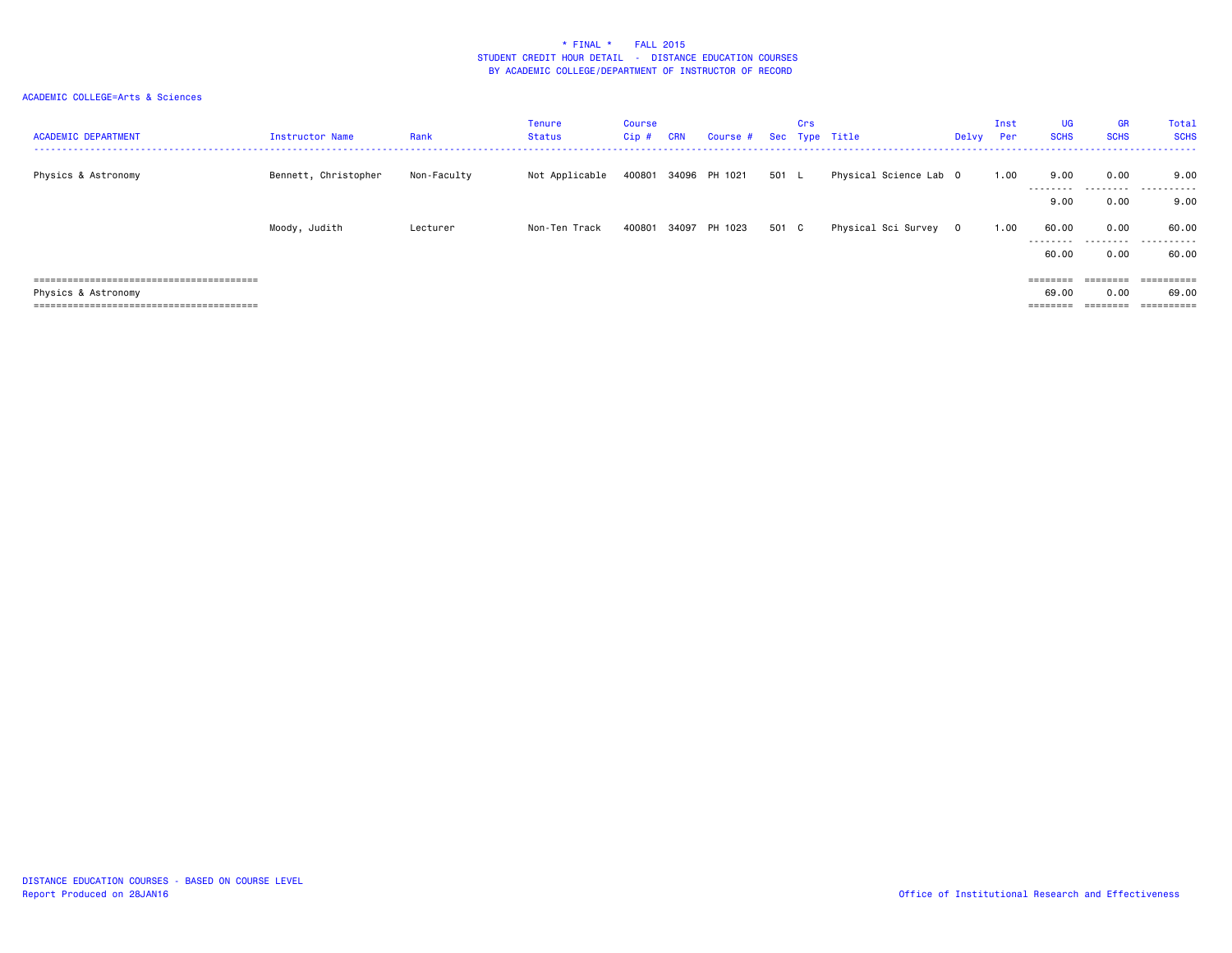| <b>ACADEMIC DEPARTMENT</b> | <b>Instructor Name</b> | Rank        | <b>Tenure</b><br>Status | <b>Course</b><br>$Cip$ # | <b>CRN</b> | Course #             |       | Crs | Sec Type Title         | Delvy | Inst<br>Per | <b>UG</b><br><b>SCHS</b> | <b>GR</b><br><b>SCHS</b> | Total<br><b>SCHS</b> |
|----------------------------|------------------------|-------------|-------------------------|--------------------------|------------|----------------------|-------|-----|------------------------|-------|-------------|--------------------------|--------------------------|----------------------|
| Physics & Astronomy        | Bennett, Christopher   | Non-Faculty | Not Applicable          | 400801                   |            | 34096 PH 1021        | 501 L |     | Physical Science Lab 0 |       | 1.00        | 9.00<br>--------         | 0.00<br>.                | 9.00<br>.            |
|                            |                        |             |                         |                          |            |                      |       |     |                        |       |             | 9.00                     | 0.00                     | 9.00                 |
|                            | Moody, Judith          | Lecturer    | Non-Ten Track           |                          |            | 400801 34097 PH 1023 | 501 C |     | Physical Sci Survey 0  |       | 1.00        | 60.00<br>.               | 0.00<br>.                | 60.00<br>.           |
|                            |                        |             |                         |                          |            |                      |       |     |                        |       |             | 60.00                    | 0.00                     | 60.00                |
|                            |                        |             |                         |                          |            |                      |       |     |                        |       |             |                          | $=$ = = = = = = =        | ==========           |
| Physics & Astronomy        |                        |             |                         |                          |            |                      |       |     |                        |       |             | 69.00                    | 0.00                     | 69.00                |
|                            |                        |             |                         |                          |            |                      |       |     |                        |       |             | ========                 | $=$ = = = = = = =        | ==========           |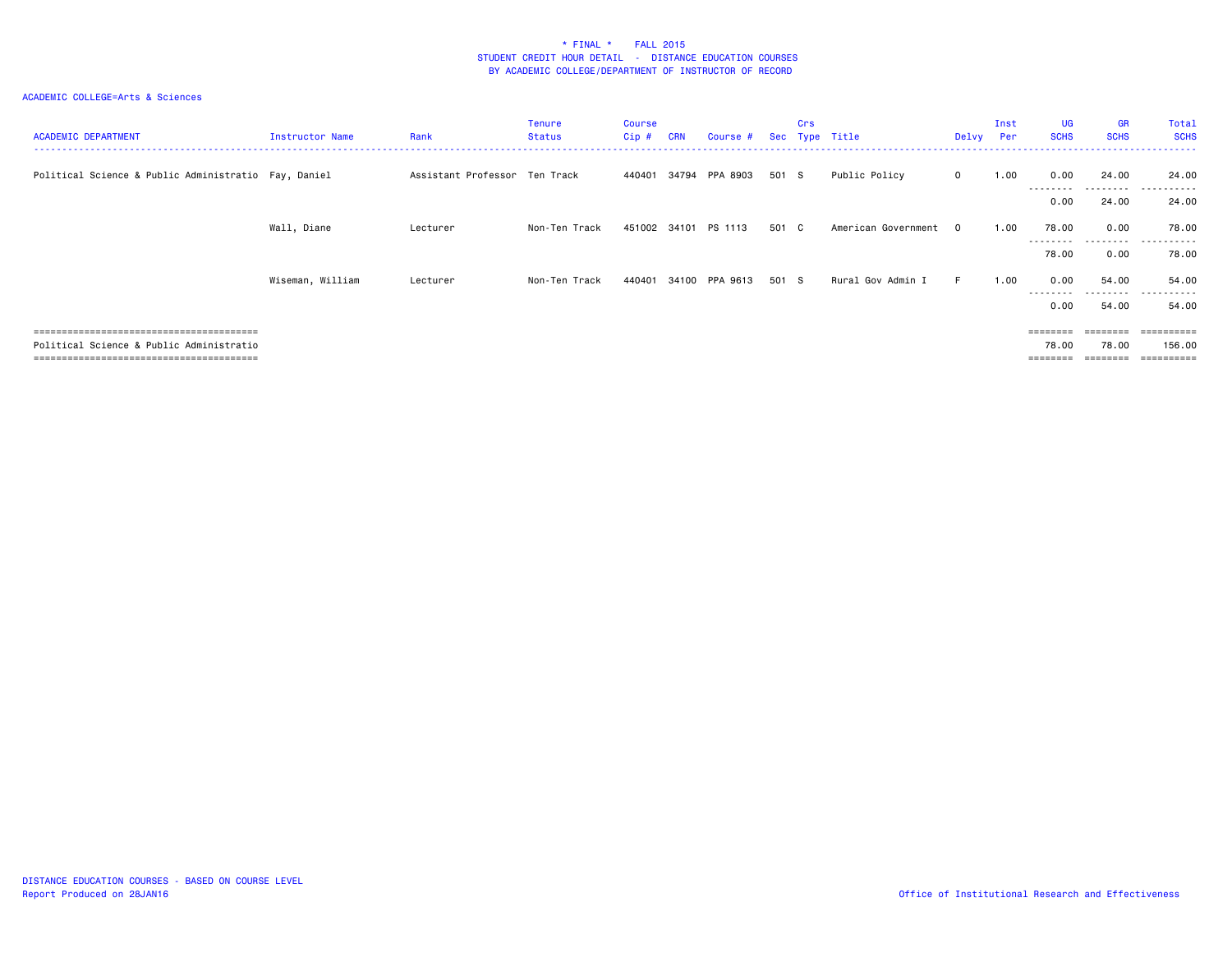| <b>ACADEMIC DEPARTMENT</b>                           | Instructor Name  | Rank                          | <b>Tenure</b><br><b>Status</b> | <b>Course</b><br>$Cip$ # | <b>CRN</b> | Course #       |       | <b>Crs</b> | Sec Type Title      | Delvy Per    | Inst | <b>UG</b><br><b>SCHS</b> | <b>GR</b><br><b>SCHS</b> | Total<br><b>SCHS</b>  |
|------------------------------------------------------|------------------|-------------------------------|--------------------------------|--------------------------|------------|----------------|-------|------------|---------------------|--------------|------|--------------------------|--------------------------|-----------------------|
| Political Science & Public Administratio Fay, Daniel |                  | Assistant Professor Ten Track |                                | 440401                   |            | 34794 PPA 8903 | 501 S |            | Public Policy       | $\mathbf{0}$ | 1.00 | 0.00<br>--------         | 24.00<br>---------       | 24.00<br>.            |
|                                                      |                  |                               |                                |                          |            |                |       |            |                     |              |      | 0.00                     | 24.00                    | 24.00                 |
|                                                      | Wall, Diane      | Lecturer                      | Non-Ten Track                  | 451002 34101             |            | PS 1113        | 501 C |            | American Government | $\Omega$     | 1.00 | 78.00<br>---------       | 0.00<br>.                | 78.00<br>.            |
|                                                      |                  |                               |                                |                          |            |                |       |            |                     |              |      | 78.00                    | 0.00                     | 78.00                 |
|                                                      | Wiseman, William | Lecturer                      | Non-Ten Track                  | 440401                   |            | 34100 PPA 9613 | 501 S |            | Rural Gov Admin I   | F.           | 1.00 | 0.00<br>---------        | 54.00<br>.               | 54.00<br>.            |
|                                                      |                  |                               |                                |                          |            |                |       |            |                     |              |      | 0.00                     | 54.00                    | 54.00                 |
|                                                      |                  |                               |                                |                          |            |                |       |            |                     |              |      |                          | ========                 | =========             |
| Political Science & Public Administratio             |                  |                               |                                |                          |            |                |       |            |                     |              |      | 78.00                    | 78.00                    | 156,00                |
|                                                      |                  |                               |                                |                          |            |                |       |            |                     |              |      | ========                 |                          | $=$ = = = = = = = = = |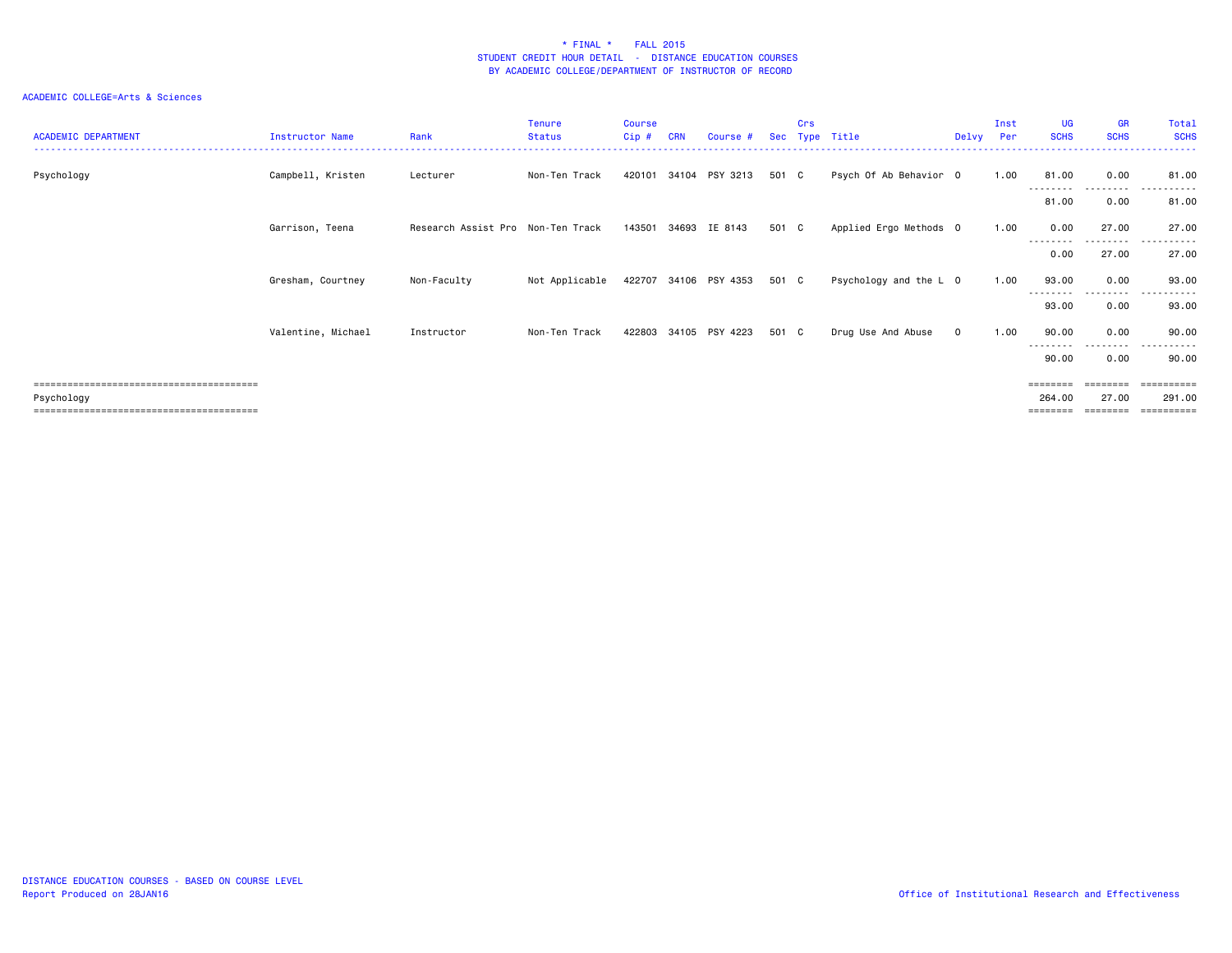| <b>ACADEMIC DEPARTMENT</b> | <b>Instructor Name</b> | Rank                              | Tenure<br><b>Status</b> | <b>Course</b><br>Cip# | <b>CRN</b> | Course #              | Sec   | Crs<br>Type | Title                  | Delvy        | Inst<br>Per | <b>UG</b><br><b>SCHS</b> | <b>GR</b><br><b>SCHS</b> | Total<br><b>SCHS</b>      |
|----------------------------|------------------------|-----------------------------------|-------------------------|-----------------------|------------|-----------------------|-------|-------------|------------------------|--------------|-------------|--------------------------|--------------------------|---------------------------|
| Psychology                 | Campbell, Kristen      | Lecturer                          | Non-Ten Track           |                       |            | 420101 34104 PSY 3213 | 501 C |             | Psych Of Ab Behavior 0 |              | 1.00        | 81.00                    | 0.00<br>--------         | 81.00<br>------           |
|                            |                        |                                   |                         |                       |            |                       |       |             |                        |              |             | 81.00                    | 0.00                     | 81.00                     |
|                            | Garrison, Teena        | Research Assist Pro Non-Ten Track |                         |                       |            | 143501 34693 IE 8143  | 501 C |             | Applied Ergo Methods 0 |              | 1.00        | 0.00                     | 27.00                    | 27.00                     |
|                            |                        |                                   |                         |                       |            |                       |       |             |                        |              |             | .<br>0.00                | --------<br>27.00        | .<br>27.00                |
|                            | Gresham, Courtney      | Non-Faculty                       | Not Applicable          |                       |            | 422707 34106 PSY 4353 | 501 C |             | Psychology and the L 0 |              | 1.00        | 93.00                    | 0.00                     | 93.00                     |
|                            |                        |                                   |                         |                       |            |                       |       |             |                        |              |             | --------<br>93.00        | .<br>0.00                | -------<br>$  -$<br>93.00 |
|                            | Valentine, Michael     | Instructor                        | Non-Ten Track           |                       |            | 422803 34105 PSY 4223 | 501 C |             | Drug Use And Abuse     | $\mathbf{0}$ | 1.00        | 90.00                    | 0.00                     | 90.00                     |
|                            |                        |                                   |                         |                       |            |                       |       |             |                        |              |             | ---------<br>90.00       | .<br>0.00                | .<br>90.00                |
| Psychology                 |                        |                                   |                         |                       |            |                       |       |             |                        |              |             | ========<br>264.00       | ========<br>27.00        | ==========<br>291.00      |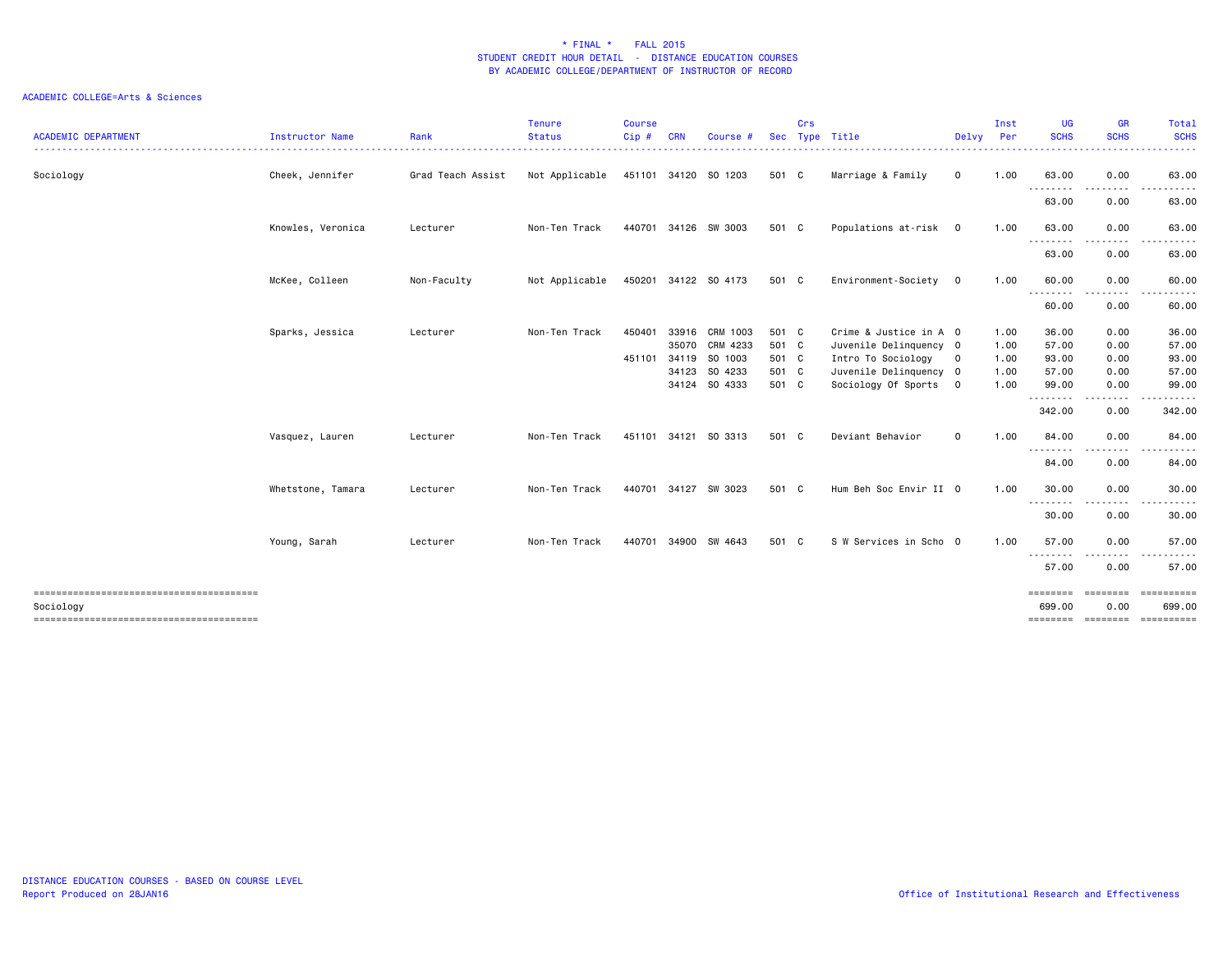| 0.00<br>Sociology<br>Cheek, Jennifer<br>Grad Teach Assist<br>Not Applicable<br>451101 34120 S0 1203<br>501 C<br>Marriage & Family<br>0<br>1.00<br>63.00<br>--------<br>--------<br>63.00<br>0.00<br>Knowles, Veronica<br>Non-Ten Track<br>440701 34126 SW 3003<br>501 C<br>Populations at-risk 0<br>1.00<br>63.00<br>0.00<br>Lecturer<br>.<br>.<br>63.00<br>0.00 | Total<br><b>SCHS</b><br>. |
|------------------------------------------------------------------------------------------------------------------------------------------------------------------------------------------------------------------------------------------------------------------------------------------------------------------------------------------------------------------|---------------------------|
|                                                                                                                                                                                                                                                                                                                                                                  | 63.00                     |
|                                                                                                                                                                                                                                                                                                                                                                  | ------<br>63.00           |
|                                                                                                                                                                                                                                                                                                                                                                  | 63.00                     |
|                                                                                                                                                                                                                                                                                                                                                                  | 63.00                     |
| McKee, Colleen<br>Non-Faculty<br>Not Applicable<br>450201 34122 SO 4173<br>501 C<br>Environment-Society<br>1.00<br>60.00<br>0.00<br>$\overline{0}$                                                                                                                                                                                                               | 60.00                     |
| --------<br>$\frac{1}{2} \left( \frac{1}{2} \right) \left( \frac{1}{2} \right) \left( \frac{1}{2} \right) \left( \frac{1}{2} \right) \left( \frac{1}{2} \right) \left( \frac{1}{2} \right)$<br>60.00<br>0.00                                                                                                                                                     | .<br>60.00                |
| Sparks, Jessica<br>33916 CRM 1003<br>Lecturer<br>Non-Ten Track<br>450401<br>501 C<br>Crime & Justice in A 0<br>1.00<br>36.00<br>0.00<br>35070 CRM 4233<br>501 C<br>Juvenile Delinquency 0<br>57.00<br>0.00<br>1.00                                                                                                                                               | 36.00<br>57.00            |
| 34119 SO 1003<br>501 C<br>Intro To Sociology<br>451101<br>1.00<br>93.00<br>0.00                                                                                                                                                                                                                                                                                  | 93.00                     |
| $\mathbf{O}$<br>34123 SO 4233<br>501 C<br>57.00<br>0.00                                                                                                                                                                                                                                                                                                          | 57.00                     |
| Juvenile Delinquency 0<br>1.00                                                                                                                                                                                                                                                                                                                                   |                           |
| 34124 SO 4333<br>501 C<br>Sociology Of Sports<br>1.00<br>99.00<br>0.00<br>$\overline{\mathbf{0}}$<br><u>.</u>                                                                                                                                                                                                                                                    | 99.00                     |
| 342.00<br>0.00                                                                                                                                                                                                                                                                                                                                                   | 342.00                    |
| Deviant Behavior<br>$\mathbf 0$<br>1.00<br>84.00<br>0.00<br>Vasquez, Lauren<br>Non-Ten Track<br>451101<br>34121<br>SO 3313<br>501 C<br>Lecturer<br>---------<br>.                                                                                                                                                                                                | 84.00<br>. <b>.</b> .     |
| 84.00<br>0.00                                                                                                                                                                                                                                                                                                                                                    | 84.00                     |
| Hum Beh Soc Envir II 0<br>30.00<br>0.00<br>Whetstone, Tamara<br>Non-Ten Track<br>440701<br>34127 SW 3023<br>501 C<br>1.00<br>Lecturer<br>.                                                                                                                                                                                                                       | 30.00                     |
| 0.00<br>30.00                                                                                                                                                                                                                                                                                                                                                    | 30.00                     |
| 501 C<br>S W Services in Scho 0<br>57.00<br>0.00<br>Young, Sarah<br>Non-Ten Track<br>440701<br>34900<br>SW 4643<br>1.00<br>Lecturer<br>.<br>$\frac{1}{2} \left( \frac{1}{2} \right) \left( \frac{1}{2} \right) \left( \frac{1}{2} \right) \left( \frac{1}{2} \right) \left( \frac{1}{2} \right)$                                                                 | 57.00<br>.                |
| 57.00<br>0.00                                                                                                                                                                                                                                                                                                                                                    | 57.00                     |
| --------------------------------------<br>========<br><b>EDEDEED</b>                                                                                                                                                                                                                                                                                             | -----------               |
| Sociology<br>699.00<br>0.00<br>===============================                                                                                                                                                                                                                                                                                                   | 699.00                    |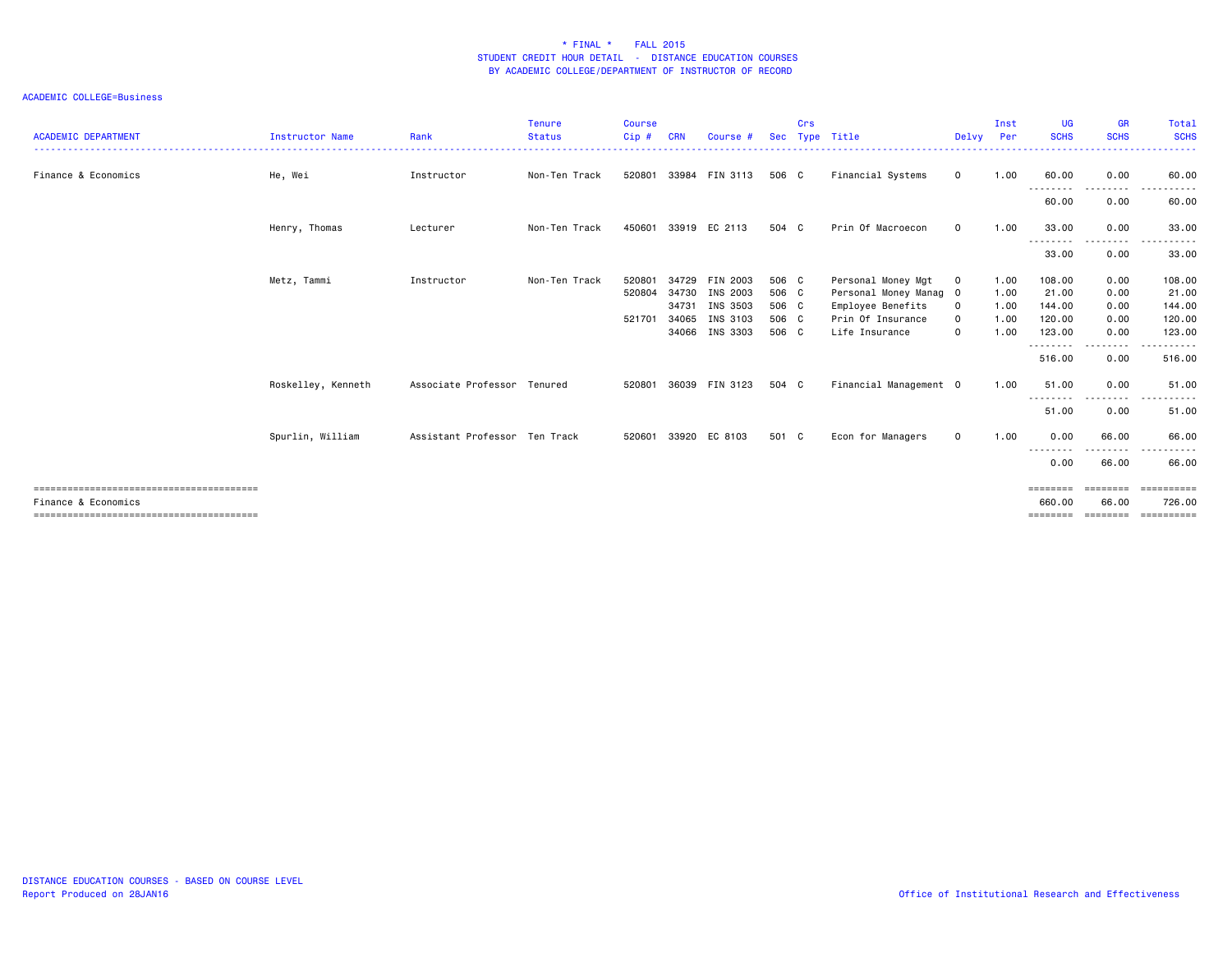#### ACADEMIC COLLEGE=Business

| <b>ACADEMIC DEPARTMENT</b> | <b>Instructor Name</b> | Rank                          | <b>Tenure</b><br><b>Status</b><br>. | <b>Course</b><br>Cip# | <b>CRN</b> | Course #       | <b>Sec</b> | Crs | Type Title             | Delvy Per    | Inst | <b>UG</b><br><b>SCHS</b>            | <b>GR</b><br><b>SCHS</b>                 | <b>Total</b><br><b>SCHS</b><br>------ |
|----------------------------|------------------------|-------------------------------|-------------------------------------|-----------------------|------------|----------------|------------|-----|------------------------|--------------|------|-------------------------------------|------------------------------------------|---------------------------------------|
| Finance & Economics        | He, Wei                | Instructor                    | Non-Ten Track                       | 520801                | 33984      | FIN 3113       | 506 C      |     | Financial Systems      | $\mathbf 0$  | 1.00 | 60.00                               | 0.00                                     | 60.00                                 |
|                            |                        |                               |                                     |                       |            |                |            |     |                        |              |      | ---------<br>60.00                  | --------<br>0.00                         | ------<br>60.00                       |
|                            | Henry, Thomas          | Lecturer                      | Non-Ten Track                       | 450601                |            | 33919 EC 2113  | 504 C      |     | Prin Of Macroecon      | $\mathbf{O}$ | 1.00 | 33.00                               | 0.00                                     | 33.00                                 |
|                            |                        |                               |                                     |                       |            |                |            |     |                        |              |      | ---------<br>33.00                  | 0.00                                     | 33.00                                 |
|                            | Metz, Tammi            | Instructor                    | Non-Ten Track                       | 520801                |            | 34729 FIN 2003 | 506 C      |     | Personal Money Mgt     | 0            | 1.00 | 108.00                              | 0.00                                     | 108.00                                |
|                            |                        |                               |                                     | 520804                | 34730      | INS 2003       | 506 C      |     | Personal Money Manag 0 |              | 1.00 | 21.00                               | 0.00                                     | 21.00                                 |
|                            |                        |                               |                                     |                       |            | 34731 INS 3503 | 506 C      |     | Employee Benefits      | $\mathbf{o}$ | 1.00 | 144.00                              | 0.00                                     | 144.00                                |
|                            |                        |                               |                                     | 521701                | 34065      | INS 3103       | 506 C      |     | Prin Of Insurance      | $\mathbf 0$  | 1.00 | 120.00                              | 0.00                                     | 120.00                                |
|                            |                        |                               |                                     |                       |            | 34066 INS 3303 | 506 C      |     | Life Insurance         | $\mathbf 0$  | 1.00 | 123.00<br>---------                 | 0.00<br>.                                | 123.00                                |
|                            |                        |                               |                                     |                       |            |                |            |     |                        |              |      | 516.00                              | 0.00                                     | 516.00                                |
|                            | Roskelley, Kenneth     | Associate Professor Tenured   |                                     | 520801                |            | 36039 FIN 3123 | 504 C      |     | Financial Management 0 |              | 1.00 | 51.00                               | 0.00                                     | 51.00                                 |
|                            |                        |                               |                                     |                       |            |                |            |     |                        |              |      | . <b>. .</b> .<br>$\cdots$<br>51.00 | 0.00                                     | 51.00                                 |
|                            | Spurlin, William       | Assistant Professor Ten Track |                                     | 520601                |            | 33920 EC 8103  | 501 C      |     | Econ for Managers      | $\mathbf 0$  | 1.00 | 0.00                                | 66.00                                    | 66.00                                 |
|                            |                        |                               |                                     |                       |            |                |            |     |                        |              |      | --------<br>0.00                    | 66.00                                    | 66.00                                 |
| Finance & Economics        |                        |                               |                                     |                       |            |                |            |     |                        |              |      | ========<br>660,00<br>========      | ===================<br>66.00<br>======== | 726.00<br>==========                  |
|                            |                        |                               |                                     |                       |            |                |            |     |                        |              |      |                                     |                                          |                                       |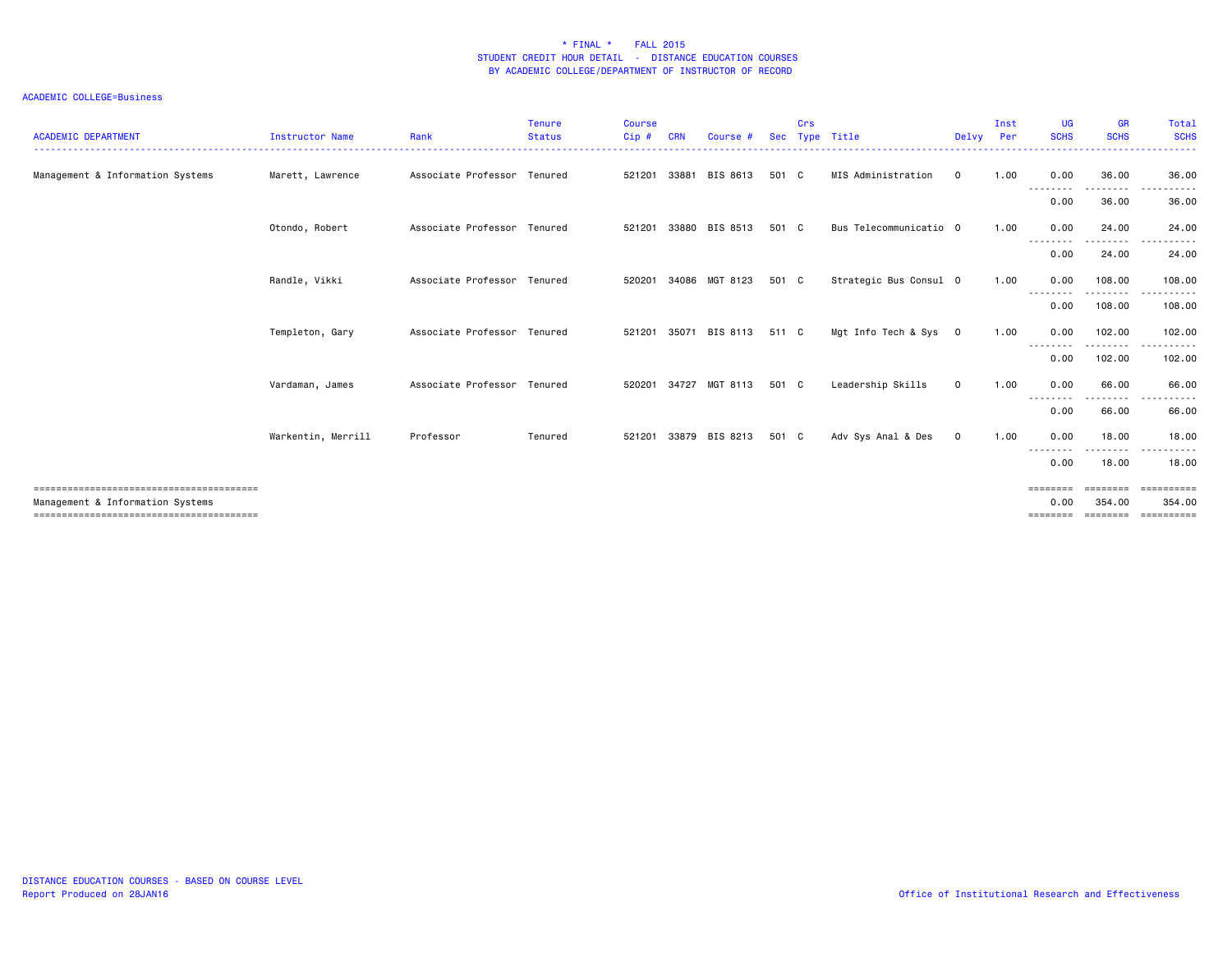#### ACADEMIC COLLEGE=Business

| <b>ACADEMIC DEPARTMENT</b>       | <b>Instructor Name</b> | Rank                        | <b>Tenure</b><br><b>Status</b><br>----------------- | Course<br>Cip# | <b>CRN</b> | Course #              | <b>Sec</b> | Crs | Type Title<br>----------------------- | Delvv       | Inst<br>Per | <b>UG</b><br><b>SCHS</b>  | <b>GR</b><br><b>SCHS</b> | Total<br><b>SCHS</b><br>------     |
|----------------------------------|------------------------|-----------------------------|-----------------------------------------------------|----------------|------------|-----------------------|------------|-----|---------------------------------------|-------------|-------------|---------------------------|--------------------------|------------------------------------|
| Management & Information Systems | Marett, Lawrence       | Associate Professor Tenured |                                                     | 521201         | 33881      | BIS 8613              | 501 C      |     | MIS Administration                    | $\mathbf 0$ | 1.00        | 0.00<br>--------          | 36.00<br>------          | 36.00<br>------                    |
|                                  |                        |                             |                                                     |                |            |                       |            |     |                                       |             |             | 0.00                      | 36.00                    | 36.00                              |
|                                  | Otondo, Robert         | Associate Professor Tenured |                                                     |                |            | 521201 33880 BIS 8513 | 501 C      |     | Bus Telecommunicatio 0                |             | 1.00        | 0.00<br><u>.</u>          | 24.00<br>---------       | 24.00<br>.<br>$\sim$ $\sim$ $\sim$ |
|                                  |                        |                             |                                                     |                |            |                       |            |     |                                       |             |             | 0.00                      | 24.00                    | 24.00                              |
|                                  | Randle, Vikki          | Associate Professor Tenured |                                                     | 520201         | 34086      | MGT 8123              | 501 C      |     | Strategic Bus Consul 0                |             | 1.00        | 0.00<br>--------          | 108.00<br>. <sub>.</sub> | 108.00<br>.                        |
|                                  |                        |                             |                                                     |                |            |                       |            |     |                                       |             |             | 0.00                      | 108.00                   | 108,00                             |
|                                  | Templeton, Gary        | Associate Professor Tenured |                                                     |                |            | 521201 35071 BIS 8113 | 511 C      |     | Mgt Info Tech & Sys 0                 |             | 1.00        | 0.00<br>---------         | 102.00<br>---------      | 102.00<br>.                        |
|                                  |                        |                             |                                                     |                |            |                       |            |     |                                       |             |             | 0.00                      | 102.00                   | 102.00                             |
|                                  | Vardaman, James        | Associate Professor Tenured |                                                     | 520201         | 34727      | MGT 8113              | 501 C      |     | Leadership Skills                     | $\mathbf 0$ | 1.00        | 0.00<br>--------          | 66.00<br>---------       | 66.00<br>------<br>.               |
|                                  |                        |                             |                                                     |                |            |                       |            |     |                                       |             |             | 0.00                      | 66.00                    | 66.00                              |
|                                  | Warkentin, Merrill     | Professor                   | Tenured                                             |                |            | 521201 33879 BIS 8213 | 501 C      |     | Adv Sys Anal & Des                    | $\mathbf 0$ | 1.00        | 0.00<br>--------          | 18.00<br>.               | 18.00<br>.                         |
|                                  |                        |                             |                                                     |                |            |                       |            |     |                                       |             |             | 0.00                      | 18.00                    | 18.00                              |
|                                  |                        |                             |                                                     |                |            |                       |            |     |                                       |             |             | $=$ = = = = = = =         | ---------                | ==========                         |
| Management & Information Systems |                        |                             |                                                     |                |            |                       |            |     |                                       |             |             | 0.00<br>$=$ = = = = = = = | 354,00<br>========       | 354.00<br><b>CONSIDERED</b>        |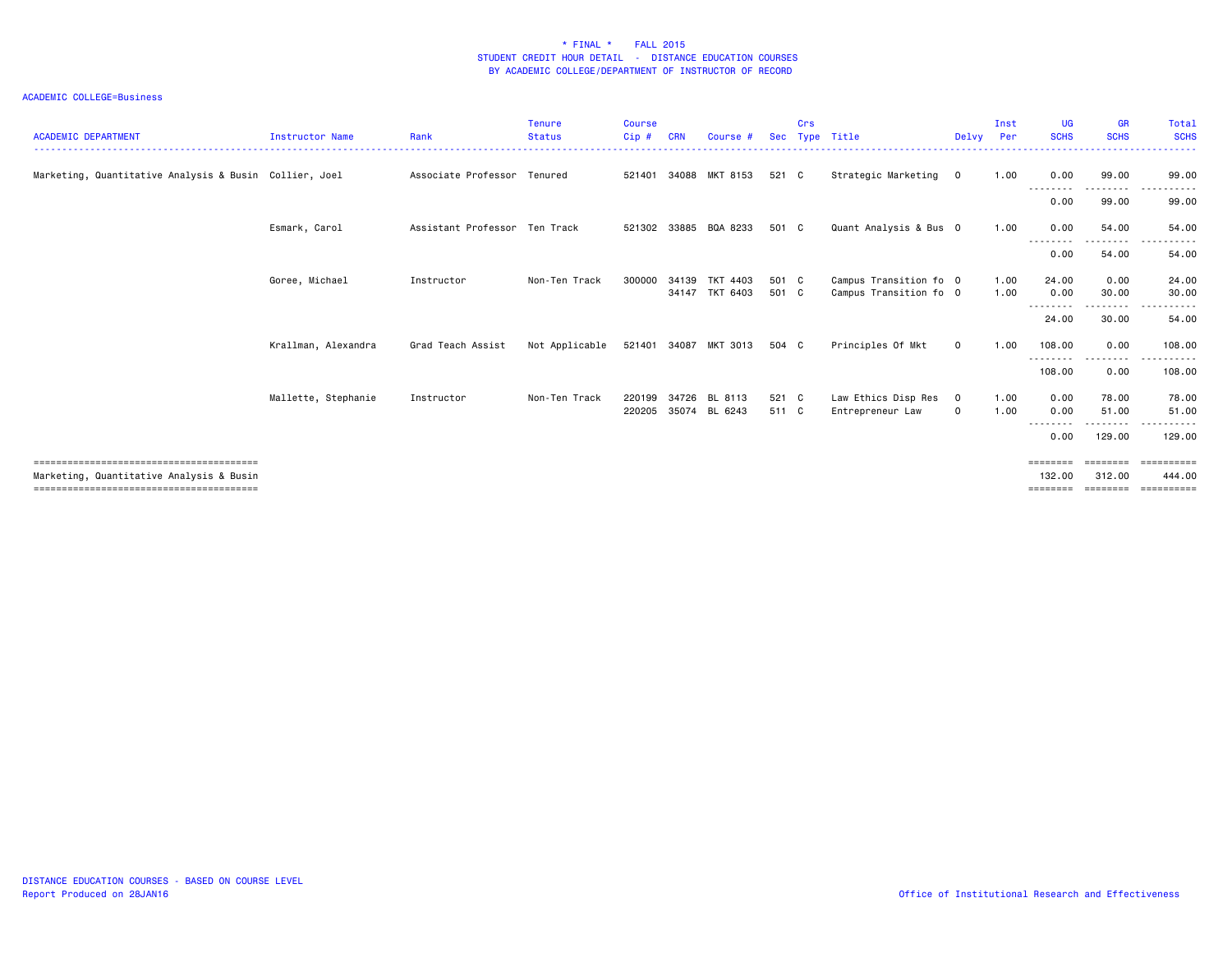### ACADEMIC COLLEGE=Business

| <b>ACADEMIC DEPARTMENT</b>                             | <b>Instructor Name</b> | Rank                          | Tenure<br><b>Status</b> | <b>Course</b><br>Cip# | <b>CRN</b> | Course #                   |                | Crs | Sec Type Title                                   | Delvy                  | Inst<br>Per  | <b>UG</b><br><b>SCHS</b>       | <b>GR</b><br><b>SCHS</b>       | Total<br><b>SCHS</b><br>.                                                                                                |
|--------------------------------------------------------|------------------------|-------------------------------|-------------------------|-----------------------|------------|----------------------------|----------------|-----|--------------------------------------------------|------------------------|--------------|--------------------------------|--------------------------------|--------------------------------------------------------------------------------------------------------------------------|
| Marketing, Quantitative Analysis & Busin Collier, Joel |                        | Associate Professor Tenured   |                         | 521401                | 34088      | MKT 8153                   | 521 C          |     | Strategic Marketing                              | $\mathbf 0$            | 1.00         | 0.00                           | 99.00                          | 99.00                                                                                                                    |
|                                                        |                        |                               |                         |                       |            |                            |                |     |                                                  |                        |              | --------<br>0.00               | ---------<br>99.00             | $\cdots$<br>. <b>.</b><br>99.00                                                                                          |
|                                                        | Esmark, Carol          | Assistant Professor Ten Track |                         |                       |            | 521302 33885 BQA 8233      | 501 C          |     | Quant Analysis & Bus 0                           |                        | 1.00         | 0.00                           | 54.00                          | 54.00                                                                                                                    |
|                                                        |                        |                               |                         |                       |            |                            |                |     |                                                  |                        |              | --------<br>0.00               | ---------<br>54.00             | ------<br>.<br>54.00                                                                                                     |
|                                                        | Goree, Michael         | Instructor                    | Non-Ten Track           | 300000                | 34139      | TKT 4403<br>34147 TKT 6403 | 501 C<br>501 C |     | Campus Transition fo 0<br>Campus Transition fo 0 |                        | 1.00<br>1.00 | 24.00<br>0.00                  | 0.00<br>30.00                  | 24.00<br>30.00                                                                                                           |
|                                                        |                        |                               |                         |                       |            |                            |                |     |                                                  |                        |              | - - - - - - - -<br>24.00       | .<br>30.00                     | $\begin{array}{cccccccccccccc} \bullet & \bullet & \bullet & \bullet & \bullet & \bullet & \bullet \end{array}$<br>54.00 |
|                                                        | Krallman, Alexandra    | Grad Teach Assist             | Not Applicable          | 521401                | 34087      | MKT 3013                   | 504 C          |     | Principles Of Mkt                                | $\mathbf 0$            | 1.00         | 108.00                         | 0.00                           | 108,00                                                                                                                   |
|                                                        |                        |                               |                         |                       |            |                            |                |     |                                                  |                        |              | ---------<br>108.00            | .<br>0.00                      | ------<br>108.00                                                                                                         |
|                                                        | Mallette, Stephanie    | Instructor                    | Non-Ten Track           | 220199<br>220205      | 34726      | BL 8113<br>35074 BL 6243   | 521 C<br>511 C |     | Law Ethics Disp Res<br>Entrepreneur Law          | $\mathbf 0$<br>$\circ$ | 1.00<br>1.00 | 0.00<br>0.00<br>--------       | 78.00<br>51.00<br>.            | 78.00<br>51.00<br>-------<br>$  -$                                                                                       |
|                                                        |                        |                               |                         |                       |            |                            |                |     |                                                  |                        |              | 0.00                           | 129.00                         | 129.00                                                                                                                   |
| Marketing, Quantitative Analysis & Busin               |                        |                               |                         |                       |            |                            |                |     |                                                  |                        |              | ========<br>132,00<br>======== | ========<br>312,00<br>======== | ==========<br>444.00<br>==========                                                                                       |

DISTANCE EDUCATION COURSES - BASED ON COURSE LEVEL Report Produced on 28JAN16 Office of Institutional Research and Effectiveness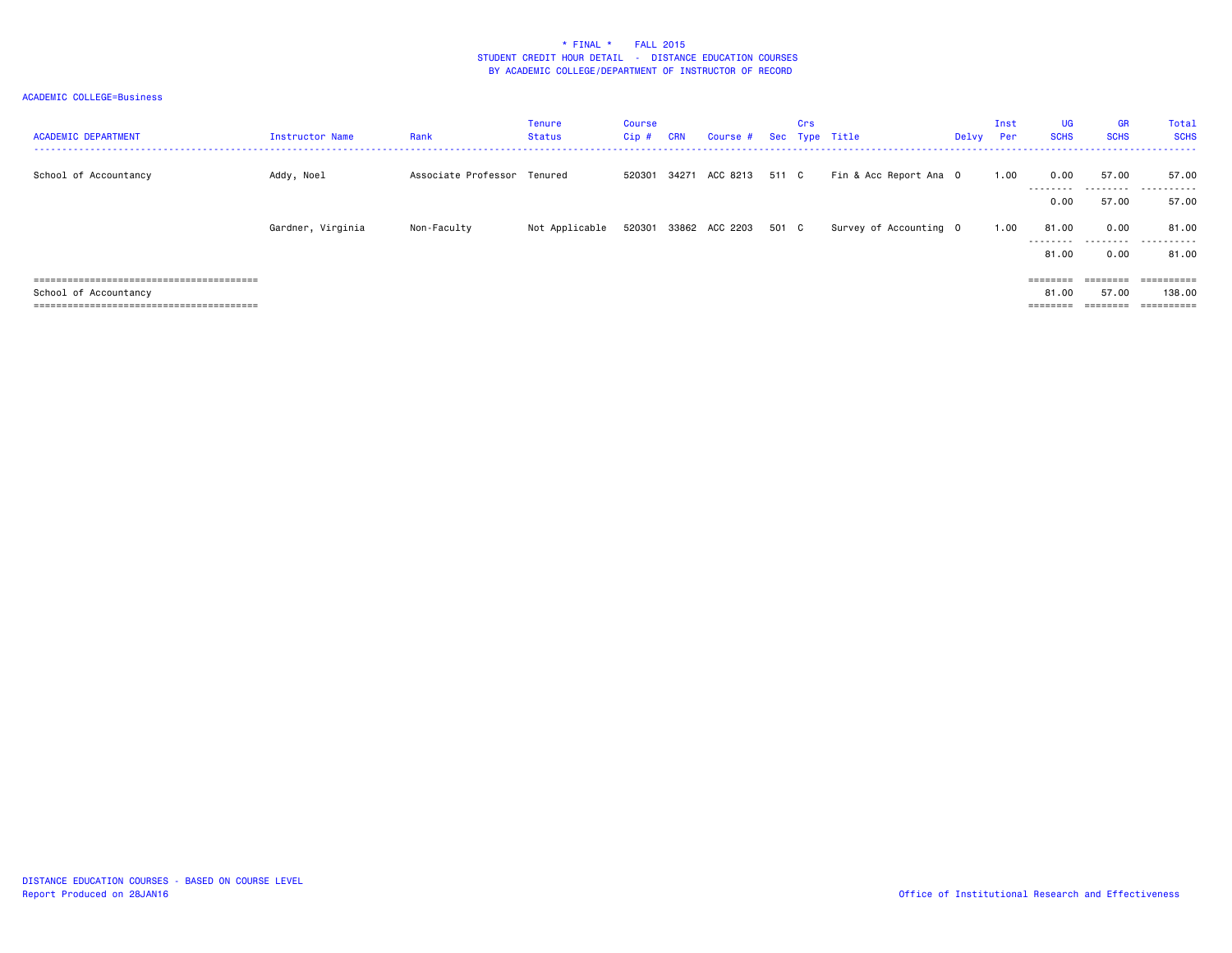#### ACADEMIC COLLEGE=Business

| <b>ACADEMIC DEPARTMENT</b> | <b>Instructor Name</b> | Rank                        | <b>Tenure</b><br>Status | <b>Course</b><br>Cip# | <b>CRN</b> | Course #                    | Crs | Sec Type Title         | Delvy | Inst<br>Per | <b>UG</b><br><b>SCHS</b>                                         | <b>GR</b><br><b>SCHS</b> | Total<br><b>SCHS</b> |
|----------------------------|------------------------|-----------------------------|-------------------------|-----------------------|------------|-----------------------------|-----|------------------------|-------|-------------|------------------------------------------------------------------|--------------------------|----------------------|
| School of Accountancy      | Addy, Noel             | Associate Professor Tenured |                         |                       |            | 520301 34271 ACC 8213 511 C |     | Fin & Acc Report Ana 0 |       | 1.00        | 0.00<br>---------                                                | 57.00                    | 57.00<br>            |
|                            |                        |                             |                         |                       |            |                             |     |                        |       |             | 0.00                                                             | 57.00                    | 57.00                |
|                            | Gardner, Virginia      | Non-Faculty                 | Not Applicable          |                       |            | 520301 33862 ACC 2203 501 C |     | Survey of Accounting 0 |       | 1.00        | 81.00<br>---------                                               | 0.00                     | 81.00<br>.           |
|                            |                        |                             |                         |                       |            |                             |     |                        |       |             | 81.00                                                            | 0.00                     | 81.00                |
|                            |                        |                             |                         |                       |            |                             |     |                        |       |             |                                                                  | ========                 | ==========           |
| School of Accountancy      |                        |                             |                         |                       |            |                             |     |                        |       |             | 81.00                                                            | 57.00                    | 138,00               |
|                            |                        |                             |                         |                       |            |                             |     |                        |       |             | $\qquad \qquad \equiv \equiv \equiv \equiv \equiv \equiv \equiv$ | ========                 | ==========           |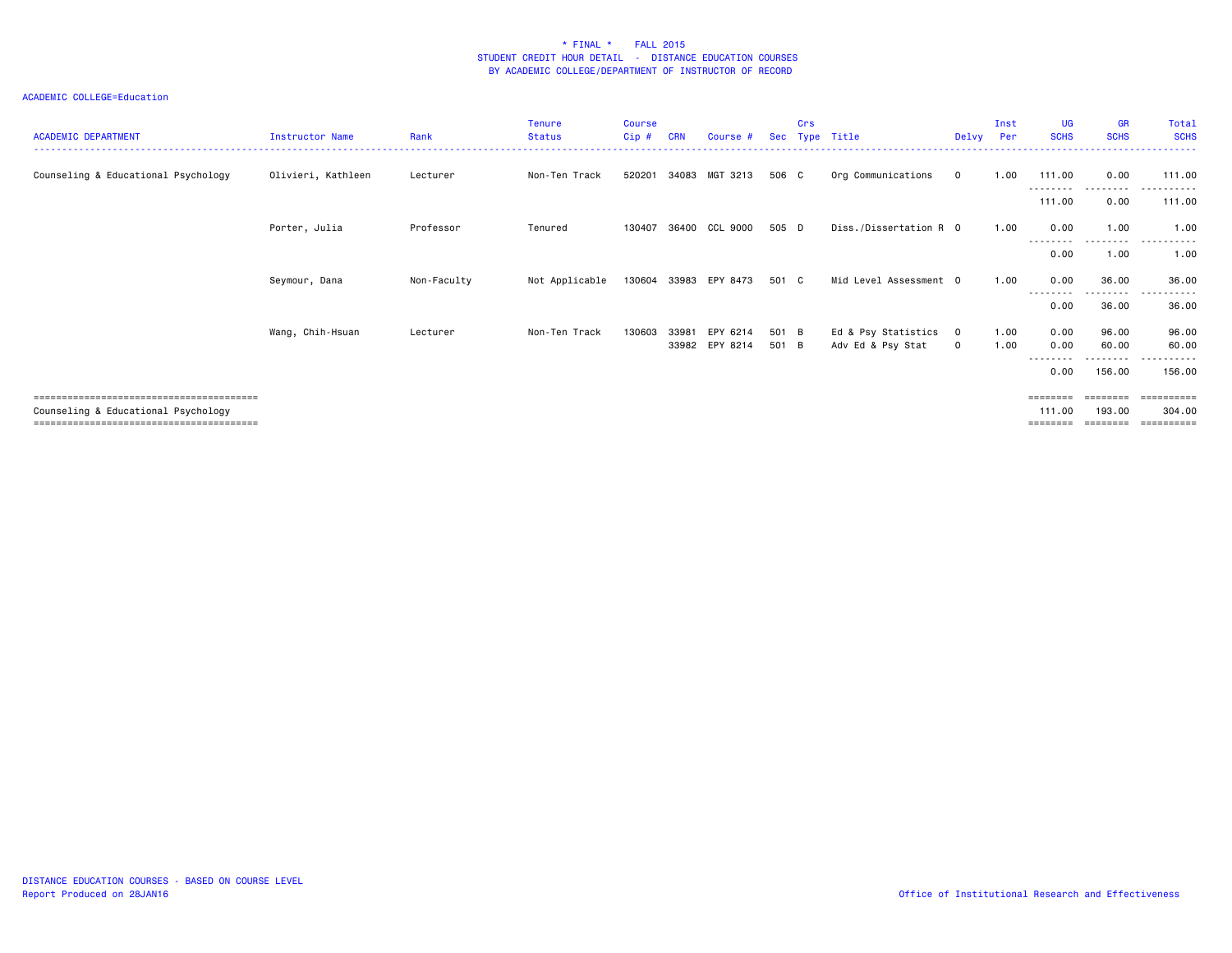| <b>Course</b><br><b>CRN</b><br>$Cip$ #<br>Course #<br><b>Sec</b> | Title                                 | UG<br>Inst<br><b>SCHS</b><br>Per                         | <b>GR</b><br>Total<br><b>SCHS</b><br><b>SCHS</b> |
|------------------------------------------------------------------|---------------------------------------|----------------------------------------------------------|--------------------------------------------------|
| MGT 3213<br>520201<br>34083                                      | Org Communications<br>$\mathbf 0$     | 1.00<br>111.00                                           | 0.00<br>111.00                                   |
|                                                                  |                                       | --------                                                 | .<br>-------<br>0.00<br>111.00                   |
| 36400 CCL 9000<br>130407                                         | Diss./Dissertation R 0                | 0.00<br>1.00                                             | 1.00<br>1.00                                     |
|                                                                  |                                       | ---------                                                | ---------<br>.<br>1.00<br>1.00                   |
| 33983 EPY 8473<br>130604                                         | Mid Level Assessment 0                | 0.00<br>1.00                                             | 36.00<br>36.00                                   |
|                                                                  |                                       |                                                          | . <b>.</b><br>36.00<br>36.00                     |
| EPY 6214<br>130603<br>33981                                      | Ed & Psy Statistics<br>$\overline{0}$ | 0.00<br>1.00                                             | 96.00<br>96.00                                   |
| 33982 EPY 8214                                                   | Adv Ed & Psy Stat<br>$\mathbf 0$      | 0.00<br>1.00<br>--------                                 | 60.00<br>60.00<br>---------<br>.                 |
|                                                                  |                                       | 0.00                                                     | 156.00<br>156.00                                 |
|                                                                  |                                       | ========                                                 | =======                                          |
|                                                                  |                                       | 111.00                                                   | 193,00<br>304.00<br>=========                    |
|                                                                  |                                       | Crs<br>Type<br>506 C<br>505 D<br>501 C<br>501 B<br>501 B | Delvy<br>111.00<br>0.00<br>0.00<br>========      |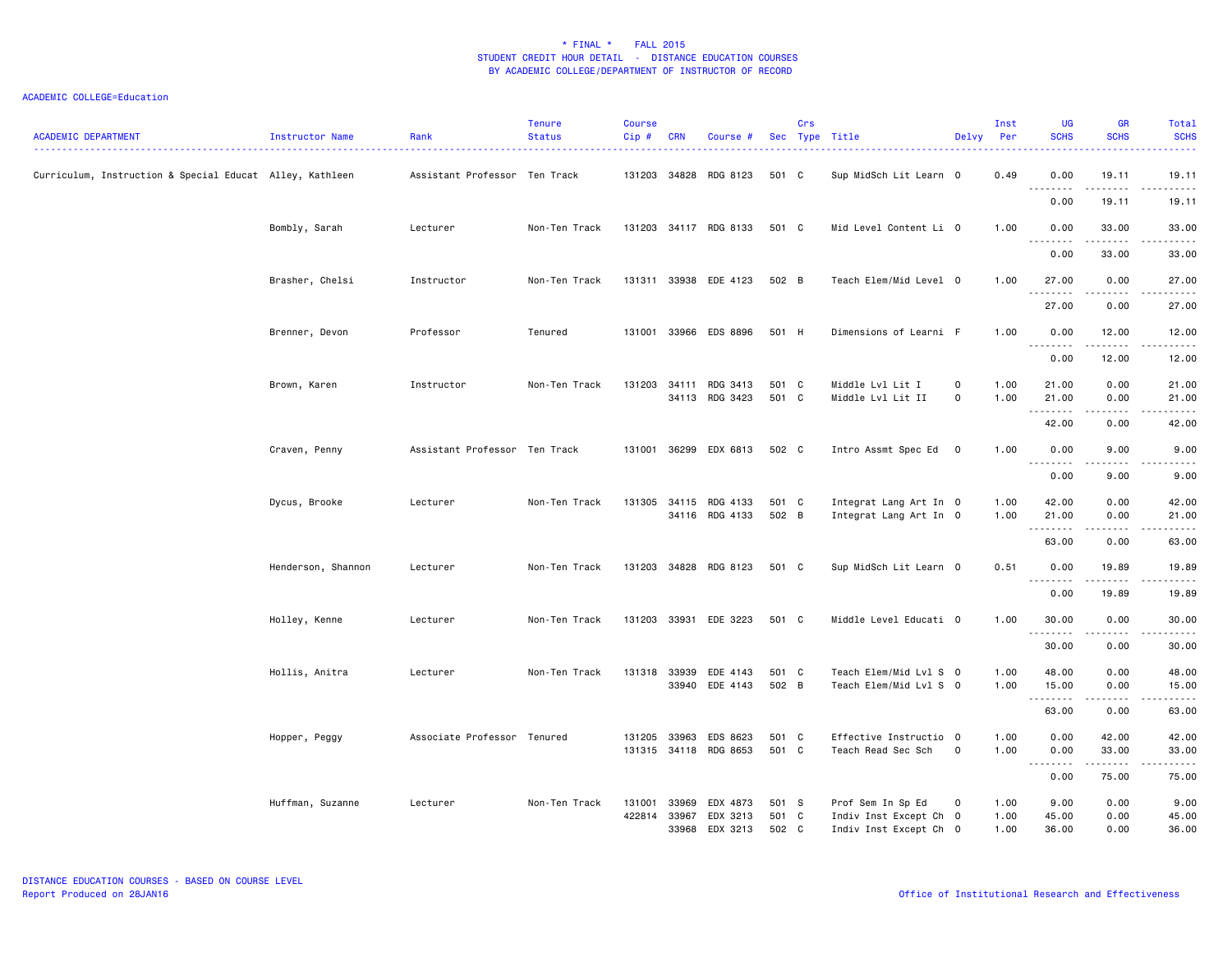| <b>ACADEMIC DEPARTMENT</b>                               | Instructor Name    | Rank                          | <b>Tenure</b><br><b>Status</b> | <b>Course</b><br>Cip# | <b>CRN</b> | Course #                          |              | Crs | Sec Type Title                               | Delvy Per                  | Inst         | <b>UG</b><br><b>SCHS</b> | <b>GR</b><br><b>SCHS</b>     | Total<br><b>SCHS</b>                                                                                                                                          |
|----------------------------------------------------------|--------------------|-------------------------------|--------------------------------|-----------------------|------------|-----------------------------------|--------------|-----|----------------------------------------------|----------------------------|--------------|--------------------------|------------------------------|---------------------------------------------------------------------------------------------------------------------------------------------------------------|
| Curriculum, Instruction & Special Educat Alley, Kathleen |                    | Assistant Professor Ten Track |                                | 131203                |            | 34828 RDG 8123                    | 501 C        |     | Sup MidSch Lit Learn 0                       |                            | 0.49         | 0.00<br>.                | 19.11<br>.                   | 19.11<br>.                                                                                                                                                    |
|                                                          |                    |                               |                                |                       |            |                                   |              |     |                                              |                            |              | 0.00                     | 19.11                        | 19.11                                                                                                                                                         |
|                                                          | Bombly, Sarah      | Lecturer                      | Non-Ten Track                  |                       |            | 131203 34117 RDG 8133             | 501 C        |     | Mid Level Content Li 0                       |                            | 1.00         | 0.00                     | 33.00                        | 33.00<br>.                                                                                                                                                    |
|                                                          |                    |                               |                                |                       |            |                                   |              |     |                                              |                            |              | 0.00                     | 33.00                        | 33.00                                                                                                                                                         |
|                                                          | Brasher, Chelsi    | Instructor                    | Non-Ten Track                  |                       |            | 131311 33938 EDE 4123             | 502 B        |     | Teach Elem/Mid Level 0                       |                            | 1.00         | 27.00                    | 0.00<br>.                    | 27.00<br>.                                                                                                                                                    |
|                                                          |                    |                               |                                |                       |            |                                   |              |     |                                              |                            |              | 27.00                    | 0.00                         | 27.00                                                                                                                                                         |
|                                                          | Brenner, Devon     | Professor                     | Tenured                        | 131001                |            | 33966 EDS 8896                    | 501 H        |     | Dimensions of Learni F                       |                            | 1.00         | 0.00<br>.                | 12.00                        | 12.00<br>$\frac{1}{2} \left( \frac{1}{2} \right) \left( \frac{1}{2} \right) \left( \frac{1}{2} \right) \left( \frac{1}{2} \right) \left( \frac{1}{2} \right)$ |
|                                                          |                    |                               |                                |                       |            |                                   |              |     |                                              |                            |              | 0.00                     | 12.00                        | 12.00                                                                                                                                                         |
|                                                          | Brown, Karen       | Instructor                    | Non-Ten Track                  | 131203                | 34111      | RDG 3413<br>34113 RDG 3423        | 501<br>501 C | C   | Middle Lvl Lit I<br>Middle Lvl Lit II        | $\mathbf 0$<br>$\mathsf 0$ | 1.00<br>1.00 | 21.00<br>21.00           | 0.00<br>0.00                 | 21.00<br>21.00                                                                                                                                                |
|                                                          |                    |                               |                                |                       |            |                                   |              |     |                                              |                            |              | .<br>42.00               | .<br>0.00                    | .<br>42.00                                                                                                                                                    |
|                                                          | Craven, Penny      | Assistant Professor Ten Track |                                |                       |            | 131001 36299 EDX 6813             | 502 C        |     | Intro Assmt Spec Ed 0                        |                            | 1.00         | 0.00                     | 9.00                         | 9.00                                                                                                                                                          |
|                                                          |                    |                               |                                |                       |            |                                   |              |     |                                              |                            |              | 0.00                     | 9.00                         | 9.00                                                                                                                                                          |
|                                                          | Dycus, Brooke      | Lecturer                      | Non-Ten Track                  | 131305                |            | 34115 RDG 4133                    | 501 C        |     | Integrat Lang Art In 0                       |                            | 1.00         | 42.00                    | 0.00                         | 42.00                                                                                                                                                         |
|                                                          |                    |                               |                                |                       |            | 34116 RDG 4133                    | 502 B        |     | Integrat Lang Art In 0                       |                            | 1.00         | 21.00<br>.               | 0.00<br>$\sim$ $\sim$ $\sim$ | 21.00<br>$\sim$ $\sim$ $\sim$ $\sim$ $\sim$                                                                                                                   |
|                                                          |                    |                               |                                |                       |            |                                   |              |     |                                              |                            |              | 63.00                    | 0.00                         | 63.00                                                                                                                                                         |
|                                                          | Henderson, Shannon | Lecturer                      | Non-Ten Track                  |                       |            | 131203 34828 RDG 8123             | 501 C        |     | Sup MidSch Lit Learn 0                       |                            | 0.51         | 0.00<br><u>.</u>         | 19.89<br>$- - - - -$         | 19.89<br>.                                                                                                                                                    |
|                                                          |                    |                               |                                |                       |            |                                   |              |     |                                              |                            |              | 0.00                     | 19.89                        | 19.89                                                                                                                                                         |
|                                                          | Holley, Kenne      | Lecturer                      | Non-Ten Track                  | 131203                |            | 33931 EDE 3223                    | 501 C        |     | Middle Level Educati 0                       |                            | 1.00         | 30.00<br>.               | 0.00<br>.                    | 30.00<br>.                                                                                                                                                    |
|                                                          |                    |                               |                                |                       |            |                                   |              |     |                                              |                            |              | 30.00                    | 0.00                         | 30.00                                                                                                                                                         |
|                                                          | Hollis, Anitra     | Lecturer                      | Non-Ten Track                  | 131318                | 33939      | EDE 4143                          | 501 C        |     | Teach Elem/Mid Lvl S 0                       |                            | 1.00         | 48.00                    | 0.00                         | 48.00                                                                                                                                                         |
|                                                          |                    |                               |                                |                       |            | 33940 EDE 4143                    | 502 B        |     | Teach Elem/Mid Lvl S 0                       |                            | 1.00         | 15.00<br>--------        | 0.00<br>.                    | 15.00<br>.                                                                                                                                                    |
|                                                          |                    |                               |                                |                       |            |                                   |              |     |                                              |                            |              | 63.00                    | 0.00                         | 63.00                                                                                                                                                         |
|                                                          | Hopper, Peggy      | Associate Professor Tenured   |                                | 131205                | 33963      | EDS 8623<br>131315 34118 RDG 8653 | 501<br>501 C | C   | Effective Instructio 0<br>Teach Read Sec Sch | $\mathbf 0$                | 1.00<br>1.00 | 0.00<br>0.00             | 42.00<br>33.00               | 42.00<br>33.00                                                                                                                                                |
|                                                          |                    |                               |                                |                       |            |                                   |              |     |                                              |                            |              | <b>.</b><br>0.00         | .<br>75.00                   | .<br>75.00                                                                                                                                                    |
|                                                          | Huffman, Suzanne   | Lecturer                      | Non-Ten Track                  | 131001                | 33969      | EDX 4873                          | 501 S        |     | Prof Sem In Sp Ed                            | $\mathbf 0$                | 1.00         | 9.00                     | 0.00                         | 9.00                                                                                                                                                          |
|                                                          |                    |                               |                                | 422814                | 33967      | EDX 3213                          | 501 C        |     | Indiv Inst Except Ch 0                       |                            | 1.00         | 45.00                    | 0.00                         | 45.00                                                                                                                                                         |
|                                                          |                    |                               |                                |                       | 33968      | EDX 3213                          | 502 C        |     | Indiv Inst Except Ch 0                       |                            | 1.00         | 36.00                    | 0.00                         | 36.00                                                                                                                                                         |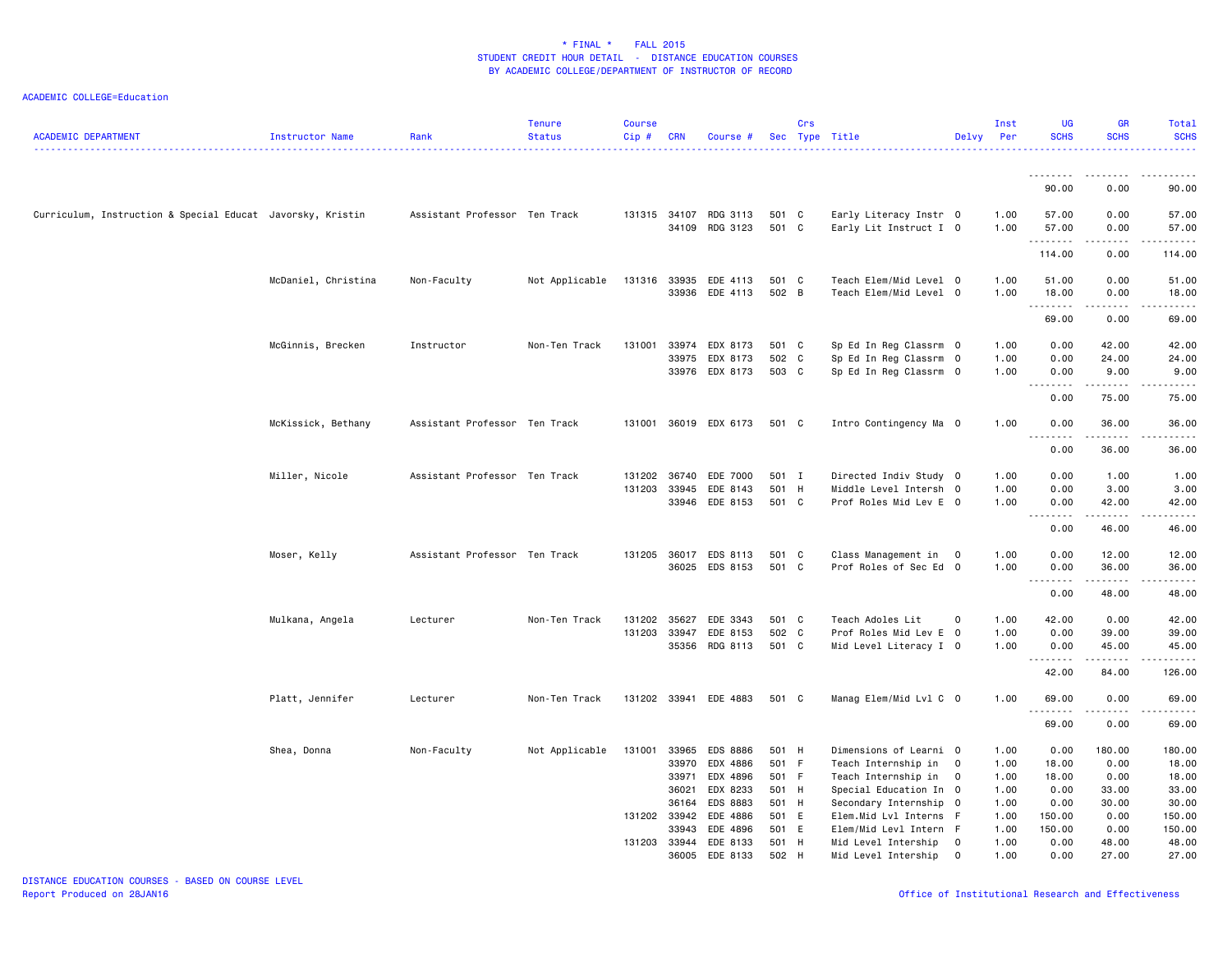| <b>ACADEMIC DEPARTMENT</b>                                 | Instructor Name     | Rank                          | <b>Tenure</b><br><b>Status</b> | <b>Course</b><br>$Cip$ # | <b>CRN</b> | Course #                                |              | Crs            | Sec Type Title                                   | Delvy          | Inst<br>Per  | <b>UG</b><br><b>SCHS</b> | <b>GR</b><br><b>SCHS</b>                                                                                                                                                                 | Total<br><b>SCHS</b> |
|------------------------------------------------------------|---------------------|-------------------------------|--------------------------------|--------------------------|------------|-----------------------------------------|--------------|----------------|--------------------------------------------------|----------------|--------------|--------------------------|------------------------------------------------------------------------------------------------------------------------------------------------------------------------------------------|----------------------|
|                                                            |                     |                               |                                |                          |            |                                         |              |                |                                                  |                |              | .                        | -----                                                                                                                                                                                    |                      |
|                                                            |                     |                               |                                |                          |            |                                         |              |                |                                                  |                |              | 90.00                    | 0.00                                                                                                                                                                                     | 90.00                |
| Curriculum, Instruction & Special Educat Javorsky, Kristin |                     | Assistant Professor Ten Track |                                |                          |            | 131315 34107 RDG 3113<br>34109 RDG 3123 | 501<br>501   | C<br>C         | Early Literacy Instr 0<br>Early Lit Instruct I 0 |                | 1.00<br>1.00 | 57.00<br>57.00<br>.      | 0.00<br>0.00<br>.                                                                                                                                                                        | 57.00<br>57.00<br>.  |
|                                                            |                     |                               |                                |                          |            |                                         |              |                |                                                  |                |              | 114.00                   | 0.00                                                                                                                                                                                     | 114.00               |
|                                                            | McDaniel, Christina | Non-Faculty                   | Not Applicable                 | 131316                   | 33935      | EDE 4113<br>33936 EDE 4113              | 501<br>502 B | C              | Teach Elem/Mid Level 0<br>Teach Elem/Mid Level 0 |                | 1.00<br>1.00 | 51.00<br>18.00           | 0.00<br>0.00                                                                                                                                                                             | 51.00<br>18.00       |
|                                                            |                     |                               |                                |                          |            |                                         |              |                |                                                  |                |              | .<br>69.00               | 0.00                                                                                                                                                                                     | 69.00                |
|                                                            | McGinnis, Brecken   | Instructor                    | Non-Ten Track                  | 131001                   | 33975      | 33974 EDX 8173<br>EDX 8173              | 501<br>502 C | C              | Sp Ed In Reg Classrm 0<br>Sp Ed In Reg Classrm 0 |                | 1.00<br>1.00 | 0.00<br>0.00             | 42.00<br>24.00                                                                                                                                                                           | 42.00<br>24.00       |
|                                                            |                     |                               |                                |                          |            | 33976 EDX 8173                          | 503 C        |                | Sp Ed In Reg Classrm 0                           |                | 1.00         | 0.00<br>.                | 9.00                                                                                                                                                                                     | 9.00                 |
|                                                            |                     |                               |                                |                          |            |                                         |              |                |                                                  |                |              | 0.00                     | 75.00                                                                                                                                                                                    | 75.00                |
|                                                            | McKissick, Bethany  | Assistant Professor Ten Track |                                | 131001                   |            | 36019 EDX 6173                          | 501 C        |                | Intro Contingency Ma 0                           |                | 1.00         | 0.00<br>.                | 36.00<br>$\frac{1}{2} \left( \frac{1}{2} \right) \left( \frac{1}{2} \right) \left( \frac{1}{2} \right) \left( \frac{1}{2} \right) \left( \frac{1}{2} \right) \left( \frac{1}{2} \right)$ | 36.00                |
|                                                            |                     |                               |                                |                          |            |                                         |              |                |                                                  |                |              | 0.00                     | 36.00                                                                                                                                                                                    | 36.00                |
|                                                            | Miller, Nicole      | Assistant Professor Ten Track |                                | 131202                   | 36740      | EDE 7000                                | 501          | I              | Directed Indiv Study 0                           |                | 1.00         | 0.00                     | 1.00                                                                                                                                                                                     | 1.00                 |
|                                                            |                     |                               |                                | 131203                   | 33945      | EDE 8143                                | 501          | H              | Middle Level Intersh 0                           |                | 1.00         | 0.00                     | 3.00                                                                                                                                                                                     | 3.00                 |
|                                                            |                     |                               |                                |                          |            | 33946 EDE 8153                          | 501 C        |                | Prof Roles Mid Lev E 0                           |                | 1.00         | 0.00<br><u>.</u>         | 42.00                                                                                                                                                                                    | 42.00                |
|                                                            |                     |                               |                                |                          |            |                                         |              |                |                                                  |                |              | 0.00                     | 46.00                                                                                                                                                                                    | 46.00                |
|                                                            | Moser, Kelly        | Assistant Professor Ten Track |                                | 131205 36017             |            | EDS 8113                                | 501          | C <sub>c</sub> | Class Management in                              | $\overline{0}$ | 1.00         | 0.00                     | 12.00                                                                                                                                                                                    | 12.00                |
|                                                            |                     |                               |                                |                          |            | 36025 EDS 8153                          | 501 C        |                | Prof Roles of Sec Ed 0                           |                | 1.00         | 0.00<br>.                | 36.00<br>.                                                                                                                                                                               | 36.00<br>.           |
|                                                            |                     |                               |                                |                          |            |                                         |              |                |                                                  |                |              | 0.00                     | 48.00                                                                                                                                                                                    | 48.00                |
|                                                            | Mulkana, Angela     | Lecturer                      | Non-Ten Track                  | 131202                   | 35627      | EDE 3343                                | 501          | $\mathbf{C}$   | Teach Adoles Lit                                 | 0              | 1.00         | 42.00                    | 0.00                                                                                                                                                                                     | 42.00                |
|                                                            |                     |                               |                                | 131203 33947             |            | EDE 8153                                | 502 C        |                | Prof Roles Mid Lev E 0                           |                | 1.00         | 0.00                     | 39.00                                                                                                                                                                                    | 39.00                |
|                                                            |                     |                               |                                |                          |            | 35356 RDG 8113                          | 501 C        |                | Mid Level Literacy I 0                           |                | 1.00         | 0.00<br>.                | 45.00<br>.                                                                                                                                                                               | 45.00<br><u>.</u>    |
|                                                            |                     |                               |                                |                          |            |                                         |              |                |                                                  |                |              | 42.00                    | 84.00                                                                                                                                                                                    | 126.00               |
|                                                            | Platt, Jennifer     | Lecturer                      | Non-Ten Track                  |                          |            | 131202 33941 EDE 4883                   | 501 C        |                | Manag Elem/Mid Lvl C 0                           |                | 1.00         | 69.00<br>.               | 0.00<br><u>.</u>                                                                                                                                                                         | 69.00<br>.           |
|                                                            |                     |                               |                                |                          |            |                                         |              |                |                                                  |                |              | 69.00                    | 0.00                                                                                                                                                                                     | 69.00                |
|                                                            | Shea, Donna         | Non-Faculty                   | Not Applicable                 | 131001                   | 33965      | EDS 8886                                | 501 H        |                | Dimensions of Learni 0                           |                | 1.00         | 0.00                     | 180.00                                                                                                                                                                                   | 180.00               |
|                                                            |                     |                               |                                |                          | 33970      | EDX 4886                                | 501          | - F            | Teach Internship in                              | $\overline{0}$ | 1.00         | 18.00                    | 0.00                                                                                                                                                                                     | 18.00                |
|                                                            |                     |                               |                                |                          | 33971      | EDX 4896                                | 501          | - F            | Teach Internship in                              | $\mathbf{0}$   | 1.00         | 18.00                    | 0.00                                                                                                                                                                                     | 18.00                |
|                                                            |                     |                               |                                |                          | 36021      | EDX 8233                                | 501          | H              | Special Education In 0                           |                | 1.00         | 0.00                     | 33.00                                                                                                                                                                                    | 33.00                |
|                                                            |                     |                               |                                |                          | 36164      | EDS 8883                                | 501          | H              | Secondary Internship 0                           |                | 1.00         | 0.00                     | 30.00                                                                                                                                                                                    | 30.00                |
|                                                            |                     |                               |                                | 131202 33942             |            | EDE 4886                                | 501          | E.             | Elem.Mid Lvl Interns F                           |                | 1.00         | 150.00                   | 0.00                                                                                                                                                                                     | 150.00               |
|                                                            |                     |                               |                                |                          | 33943      | EDE 4896                                | 501          | E              | Elem/Mid Levl Intern F                           |                | 1.00         | 150.00                   | 0.00                                                                                                                                                                                     | 150.00               |
|                                                            |                     |                               |                                | 131203 33944             |            | EDE 8133                                | 501          | H              | Mid Level Intership                              | $\mathbf{O}$   | 1.00         | 0.00                     | 48.00                                                                                                                                                                                    | 48.00                |
|                                                            |                     |                               |                                |                          | 36005      | EDE 8133                                | 502 H        |                | Mid Level Intership                              | $\mathbf 0$    | 1.00         | 0.00                     | 27.00                                                                                                                                                                                    | 27.00                |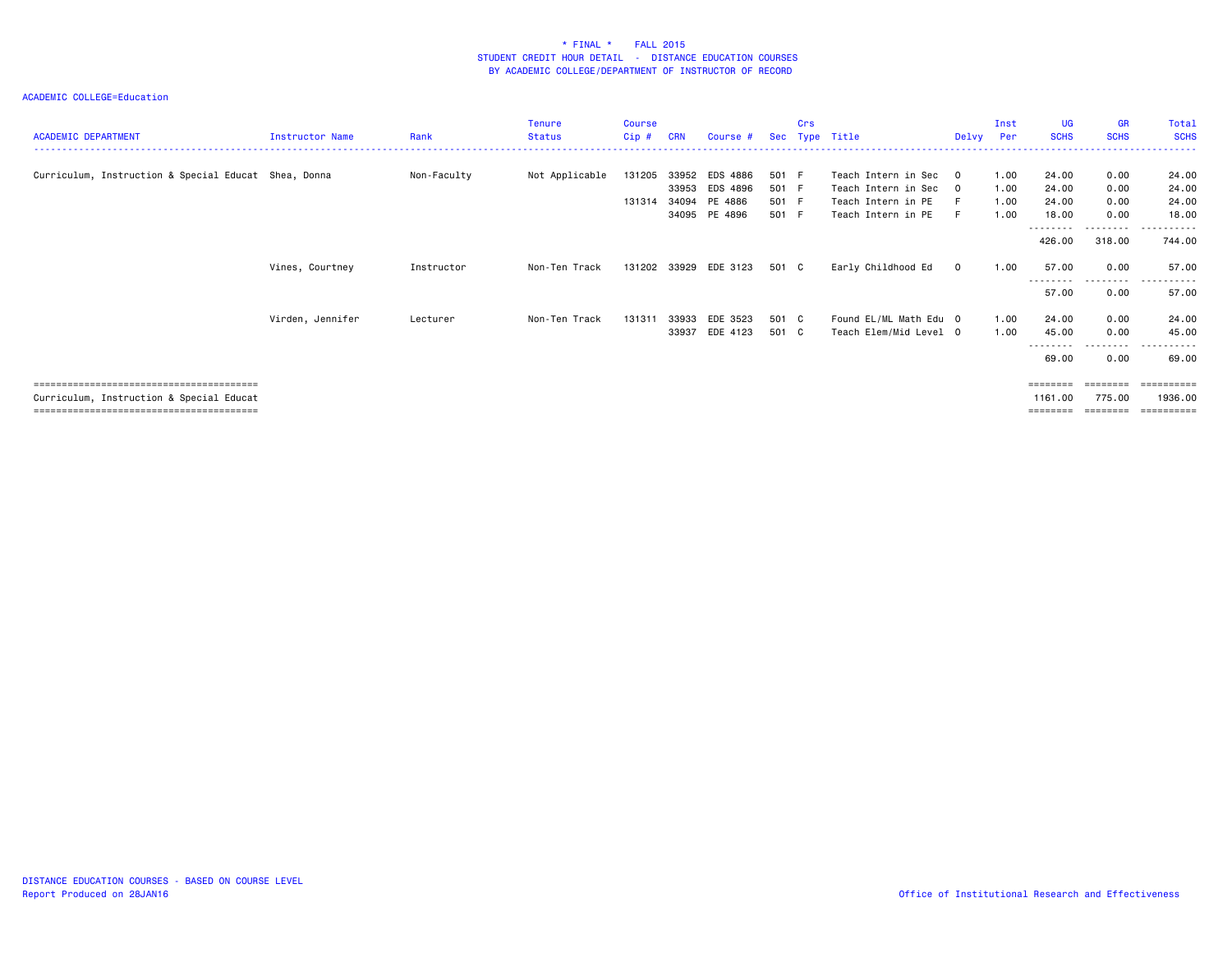| <b>ACADEMIC DEPARTMENT</b>                           | Instructor Name  | Rank        | <b>Tenure</b><br><b>Status</b> | <b>Course</b><br>Cip # | <b>CRN</b>              | Course #                        | <b>Sec</b>              | Crs<br>Type | Title                                                              | Delvv       | Inst<br>Per          | <b>UG</b><br><b>SCHS</b>    | <b>GR</b><br><b>SCHS</b>    | Total<br><b>SCHS</b>    |
|------------------------------------------------------|------------------|-------------|--------------------------------|------------------------|-------------------------|---------------------------------|-------------------------|-------------|--------------------------------------------------------------------|-------------|----------------------|-----------------------------|-----------------------------|-------------------------|
| Curriculum, Instruction & Special Educat Shea, Donna |                  | Non-Faculty | Not Applicable                 | 131205<br>131314       | 33952<br>33953<br>34094 | EDS 4886<br>EDS 4896<br>PE 4886 | 501 F<br>501 F<br>501 F |             | Teach Intern in Sec 0<br>Teach Intern in Sec<br>Teach Intern in PE | $\Omega$    | 1.00<br>1.00<br>1.00 | 24.00<br>24.00<br>24.00     | 0.00<br>0.00<br>0.00        | 24.00<br>24.00<br>24.00 |
|                                                      |                  |             |                                |                        |                         | 34095 PE 4896                   | 501 F                   |             | Teach Intern in PE                                                 | F           | 1.00                 | 18.00<br>--------<br>426.00 | 0.00<br>---------<br>318.00 | 18.00<br>.<br>744.00    |
|                                                      | Vines, Courtney  | Instructor  | Non-Ten Track                  |                        |                         | 131202 33929 EDE 3123           | 501 C                   |             | Early Childhood Ed                                                 | $\mathbf 0$ | 1.00                 | 57.00<br>---------          | 0.00<br>---------           | 57.00                   |
|                                                      |                  |             |                                |                        |                         |                                 |                         |             |                                                                    |             |                      | 57.00                       | 0.00                        | 57.00                   |
|                                                      | Virden, Jennifer | Lecturer    | Non-Ten Track                  | 131311                 | 33933                   | EDE 3523<br>33937 EDE 4123      | 501 C<br>501 C          |             | Found EL/ML Math Edu 0<br>Teach Elem/Mid Level 0                   |             | 1.00<br>1.00         | 24.00<br>45.00              | 0.00<br>0.00                | 24.00<br>45.00<br>.     |
|                                                      |                  |             |                                |                        |                         |                                 |                         |             |                                                                    |             |                      | ---------<br>69.00          | .<br>0.00                   | 69.00                   |
| Curriculum, Instruction & Special Educat             |                  |             |                                |                        |                         |                                 |                         |             |                                                                    |             |                      | ========<br>1161.00         | ========<br>775.00          | ==========<br>1936.00   |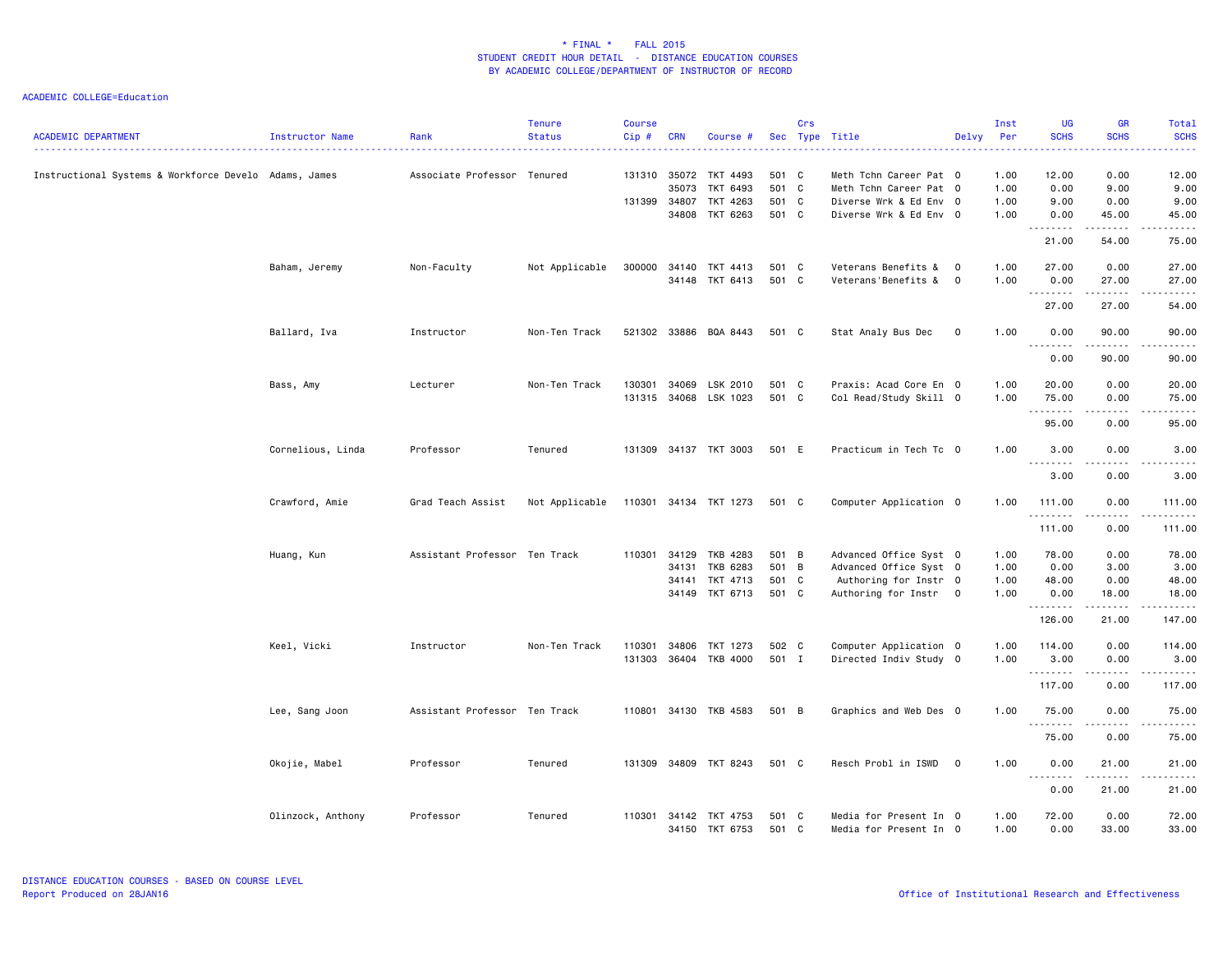| <b>ACADEMIC DEPARTMENT</b>                            | Instructor Name   | Rank                          | <b>Tenure</b><br><b>Status</b> | <b>Course</b><br>Cip# | <b>CRN</b> | Course #                          | Sec            | Crs | Type Title                                       | Delvy                      | Inst<br><b>Per</b> | <b>UG</b><br><b>SCHS</b>                                                                                                                                                                                                                                                                                                                                                                                                                                                                       | <b>GR</b><br><b>SCHS</b> | Total<br><b>SCHS</b> |
|-------------------------------------------------------|-------------------|-------------------------------|--------------------------------|-----------------------|------------|-----------------------------------|----------------|-----|--------------------------------------------------|----------------------------|--------------------|------------------------------------------------------------------------------------------------------------------------------------------------------------------------------------------------------------------------------------------------------------------------------------------------------------------------------------------------------------------------------------------------------------------------------------------------------------------------------------------------|--------------------------|----------------------|
| Instructional Systems & Workforce Develo Adams, James |                   | Associate Professor Tenured   |                                |                       | 35073      | 131310 35072 TKT 4493<br>TKT 6493 | 501 C<br>501   | C   | Meth Tchn Career Pat 0<br>Meth Tchn Career Pat 0 |                            | 1.00<br>1.00       | 12.00<br>0.00                                                                                                                                                                                                                                                                                                                                                                                                                                                                                  | 0.00<br>9.00             | 12.00<br>9.00        |
|                                                       |                   |                               |                                | 131399 34807          |            | TKT 4263<br>34808 TKT 6263        | 501 C<br>501 C |     | Diverse Wrk & Ed Env 0<br>Diverse Wrk & Ed Env 0 |                            | 1.00<br>1.00       | 9.00<br>0.00                                                                                                                                                                                                                                                                                                                                                                                                                                                                                   | 0.00<br>45.00            | 9.00<br>45.00        |
|                                                       |                   |                               |                                |                       |            |                                   |                |     |                                                  |                            |                    |                                                                                                                                                                                                                                                                                                                                                                                                                                                                                                | .                        | .                    |
|                                                       |                   |                               |                                |                       |            |                                   |                |     |                                                  |                            |                    | 21.00                                                                                                                                                                                                                                                                                                                                                                                                                                                                                          | 54.00                    | 75.00                |
|                                                       | Baham, Jeremy     | Non-Faculty                   | Not Applicable                 | 300000                | 34140      | TKT 4413<br>34148 TKT 6413        | 501 C<br>501 C |     | Veterans Benefits &<br>Veterans'Benefits &       | $\mathbf 0$<br>$\mathbf 0$ | 1.00<br>1.00       | 27.00                                                                                                                                                                                                                                                                                                                                                                                                                                                                                          | 0.00                     | 27.00<br>27.00       |
|                                                       |                   |                               |                                |                       |            |                                   |                |     |                                                  |                            |                    | 0.00                                                                                                                                                                                                                                                                                                                                                                                                                                                                                           | 27.00<br>-----           |                      |
|                                                       |                   |                               |                                |                       |            |                                   |                |     |                                                  |                            |                    | 27.00                                                                                                                                                                                                                                                                                                                                                                                                                                                                                          | 27.00                    | 54.00                |
|                                                       | Ballard, Iva      | Instructor                    | Non-Ten Track                  | 521302 33886          |            | BQA 8443                          | 501 C          |     | Stat Analy Bus Dec                               | $\mathbf 0$                | 1.00               | 0.00                                                                                                                                                                                                                                                                                                                                                                                                                                                                                           | 90.00                    | 90.00                |
|                                                       |                   |                               |                                |                       |            |                                   |                |     |                                                  |                            |                    | .<br>0.00                                                                                                                                                                                                                                                                                                                                                                                                                                                                                      | .<br>90.00               | .<br>90.00           |
|                                                       | Bass, Amy         | Lecturer                      | Non-Ten Track                  | 130301                | 34069      | LSK 2010                          | 501 C          |     | Praxis: Acad Core En 0                           |                            | 1.00               | 20.00                                                                                                                                                                                                                                                                                                                                                                                                                                                                                          | 0.00                     | 20.00                |
|                                                       |                   |                               |                                |                       |            | 131315 34068 LSK 1023             | 501 C          |     | Col Read/Study Skill 0                           |                            | 1.00               | 75.00                                                                                                                                                                                                                                                                                                                                                                                                                                                                                          | 0.00                     | 75.00                |
|                                                       |                   |                               |                                |                       |            |                                   |                |     |                                                  |                            |                    | .<br>95.00                                                                                                                                                                                                                                                                                                                                                                                                                                                                                     | .<br>0.00                | المتمامين<br>95.00   |
|                                                       | Cornelious, Linda | Professor                     | Tenured                        |                       |            | 131309 34137 TKT 3003             | 501 E          |     | Practicum in Tech Tc 0                           |                            | 1.00               | 3.00                                                                                                                                                                                                                                                                                                                                                                                                                                                                                           | 0.00                     | 3.00                 |
|                                                       |                   |                               |                                |                       |            |                                   |                |     |                                                  |                            |                    | 3.00                                                                                                                                                                                                                                                                                                                                                                                                                                                                                           | 0.00                     | 3.00                 |
|                                                       |                   |                               |                                |                       |            |                                   |                |     |                                                  |                            |                    |                                                                                                                                                                                                                                                                                                                                                                                                                                                                                                |                          |                      |
|                                                       | Crawford, Amie    | Grad Teach Assist             | Not Applicable                 |                       |            | 110301 34134 TKT 1273             | 501 C          |     | Computer Application 0                           |                            | 1.00               | 111.00<br>.                                                                                                                                                                                                                                                                                                                                                                                                                                                                                    | 0.00<br>.                | 111.00<br><b>.</b>   |
|                                                       |                   |                               |                                |                       |            |                                   |                |     |                                                  |                            |                    | 111.00                                                                                                                                                                                                                                                                                                                                                                                                                                                                                         | 0.00                     | 111.00               |
|                                                       | Huang, Kun        | Assistant Professor Ten Track |                                | 110301                | 34129      | TKB 4283                          | 501 B          |     | Advanced Office Syst 0                           |                            | 1.00               | 78.00                                                                                                                                                                                                                                                                                                                                                                                                                                                                                          | 0.00                     | 78.00                |
|                                                       |                   |                               |                                |                       | 34131      | TKB 6283                          | 501 B          |     | Advanced Office Syst 0                           |                            | 1.00               | 0.00                                                                                                                                                                                                                                                                                                                                                                                                                                                                                           | 3.00                     | 3.00                 |
|                                                       |                   |                               |                                |                       | 34141      | TKT 4713                          | 501 C          |     | Authoring for Instr 0                            |                            | 1.00               | 48.00                                                                                                                                                                                                                                                                                                                                                                                                                                                                                          | 0.00                     | 48.00                |
|                                                       |                   |                               |                                |                       | 34149      | TKT 6713                          | 501 C          |     | Authoring for Instr                              | $\overline{0}$             | 1.00               | 0.00<br>.                                                                                                                                                                                                                                                                                                                                                                                                                                                                                      | 18.00                    | 18.00                |
|                                                       |                   |                               |                                |                       |            |                                   |                |     |                                                  |                            |                    | 126.00                                                                                                                                                                                                                                                                                                                                                                                                                                                                                         | 21.00                    | 147.00               |
|                                                       | Keel, Vicki       | Instructor                    | Non-Ten Track                  | 110301                | 34806      | TKT 1273                          | 502 C          |     | Computer Application 0                           |                            | 1.00               | 114.00                                                                                                                                                                                                                                                                                                                                                                                                                                                                                         | 0.00                     | 114.00               |
|                                                       |                   |                               |                                |                       |            | 131303 36404 TKB 4000             | 501 I          |     | Directed Indiv Study 0                           |                            | 1.00               | 3.00<br>$\begin{array}{cccccccccccccc} \multicolumn{2}{c}{} & \multicolumn{2}{c}{} & \multicolumn{2}{c}{} & \multicolumn{2}{c}{} & \multicolumn{2}{c}{} & \multicolumn{2}{c}{} & \multicolumn{2}{c}{} & \multicolumn{2}{c}{} & \multicolumn{2}{c}{} & \multicolumn{2}{c}{} & \multicolumn{2}{c}{} & \multicolumn{2}{c}{} & \multicolumn{2}{c}{} & \multicolumn{2}{c}{} & \multicolumn{2}{c}{} & \multicolumn{2}{c}{} & \multicolumn{2}{c}{} & \multicolumn{2}{c}{} & \multicolumn{2}{c}{} & \$ | 0.00<br>.                | 3.00<br>.            |
|                                                       |                   |                               |                                |                       |            |                                   |                |     |                                                  |                            |                    | 117.00                                                                                                                                                                                                                                                                                                                                                                                                                                                                                         | 0.00                     | 117.00               |
|                                                       | Lee, Sang Joon    | Assistant Professor Ten Track |                                |                       |            | 110801 34130 TKB 4583             | 501 B          |     | Graphics and Web Des 0                           |                            | 1.00               | 75.00<br>.                                                                                                                                                                                                                                                                                                                                                                                                                                                                                     | 0.00                     | 75.00                |
|                                                       |                   |                               |                                |                       |            |                                   |                |     |                                                  |                            |                    | 75.00                                                                                                                                                                                                                                                                                                                                                                                                                                                                                          | 0.00                     | 75.00                |
|                                                       | Okojie, Mabel     | Professor                     | Tenured                        |                       |            | 131309 34809 TKT 8243             | 501 C          |     | Resch Probl in ISWD 0                            |                            | 1.00               | 0.00                                                                                                                                                                                                                                                                                                                                                                                                                                                                                           | 21.00                    | 21.00                |
|                                                       |                   |                               |                                |                       |            |                                   |                |     |                                                  |                            |                    | .<br>0.00                                                                                                                                                                                                                                                                                                                                                                                                                                                                                      | $- - - - -$<br>21.00     | .<br>21.00           |
|                                                       |                   |                               |                                |                       |            |                                   |                |     |                                                  |                            |                    |                                                                                                                                                                                                                                                                                                                                                                                                                                                                                                |                          |                      |
|                                                       | Olinzock, Anthony | Professor                     | Tenured                        | 110301                |            | 34142 TKT 4753<br>34150 TKT 6753  | 501 C<br>501 C |     | Media for Present In 0<br>Media for Present In 0 |                            | 1.00<br>1.00       | 72.00<br>0.00                                                                                                                                                                                                                                                                                                                                                                                                                                                                                  | 0.00<br>33.00            | 72.00<br>33.00       |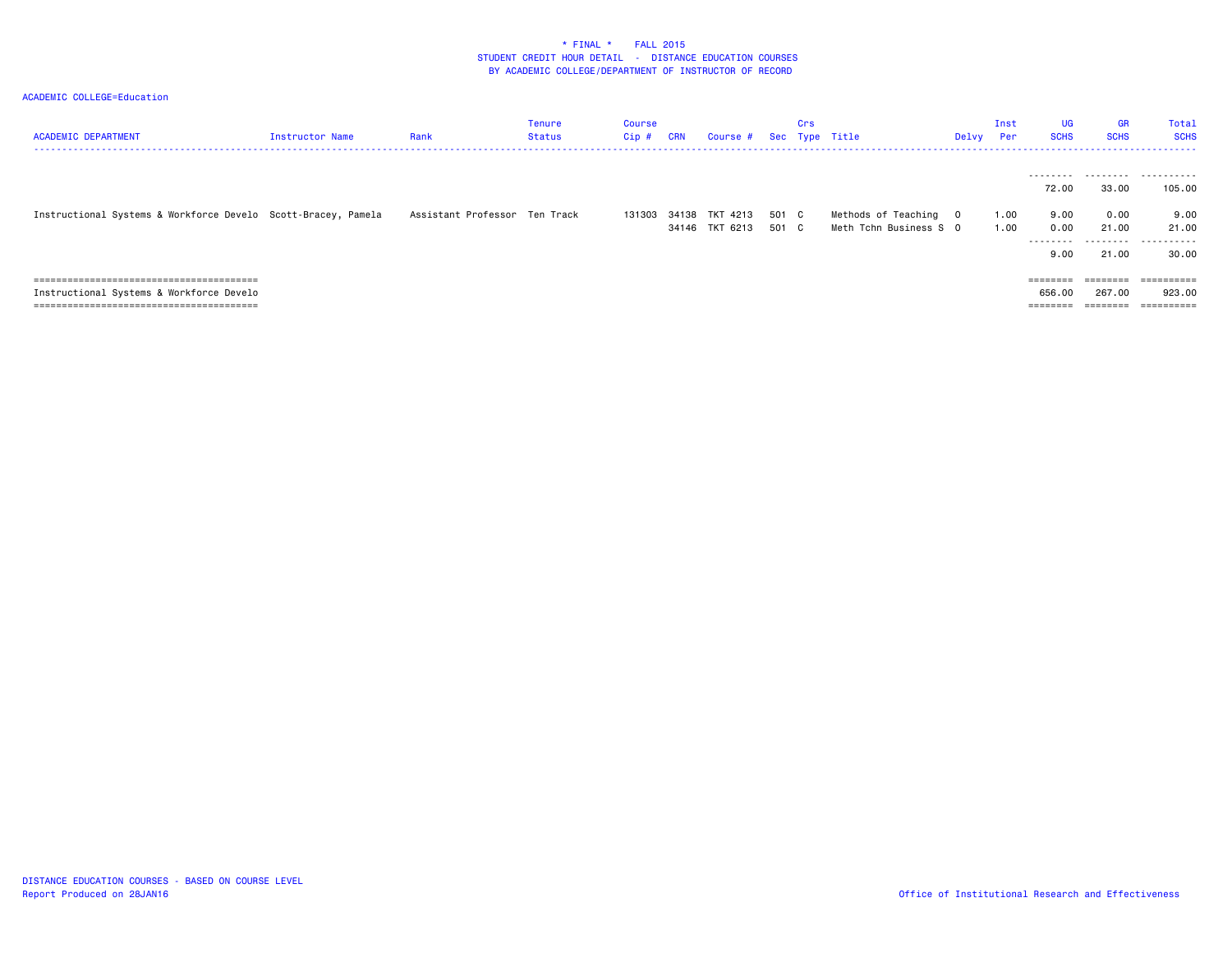| <b>ACADEMIC DEPARTMENT</b>                                    | <b>Instructor Name</b> | Rank                          | Tenure<br>Status | <b>Course</b><br>Cip# | CRN | Course #                                | Sec            | Crs | Type Title                                      | Delvy | Inst<br>Per  | <b>UG</b><br><b>SCHS</b>                         | <b>GR</b><br><b>SCHS</b>                                                                      | Total<br><b>SCHS</b>        |
|---------------------------------------------------------------|------------------------|-------------------------------|------------------|-----------------------|-----|-----------------------------------------|----------------|-----|-------------------------------------------------|-------|--------------|--------------------------------------------------|-----------------------------------------------------------------------------------------------|-----------------------------|
|                                                               |                        |                               |                  |                       |     |                                         |                |     |                                                 |       |              | 72.00                                            | 33.00                                                                                         | <br>105.00                  |
| Instructional Systems & Workforce Develo Scott-Bracey, Pamela |                        | Assistant Professor Ten Track |                  |                       |     | 131303 34138 TKT 4213<br>34146 TKT 6213 | 501 C<br>501 C |     | Methods of Teaching 0<br>Meth Tchn Business S O |       | 1.00<br>1.00 | 9.00<br>0.00<br>---------<br>9.00                | 0.00<br>21.00<br>.<br>21.00                                                                   | 9.00<br>21.00<br>.<br>30.00 |
| Instructional Systems & Workforce Develo                      |                        |                               |                  |                       |     |                                         |                |     |                                                 |       |              | $=$ = = = = = = =<br>656.00<br>$=$ = = = = = = = | ========<br>267.00<br>$\qquad \qquad \equiv \equiv \equiv \equiv \equiv \equiv \equiv \equiv$ | ==========<br>923.00        |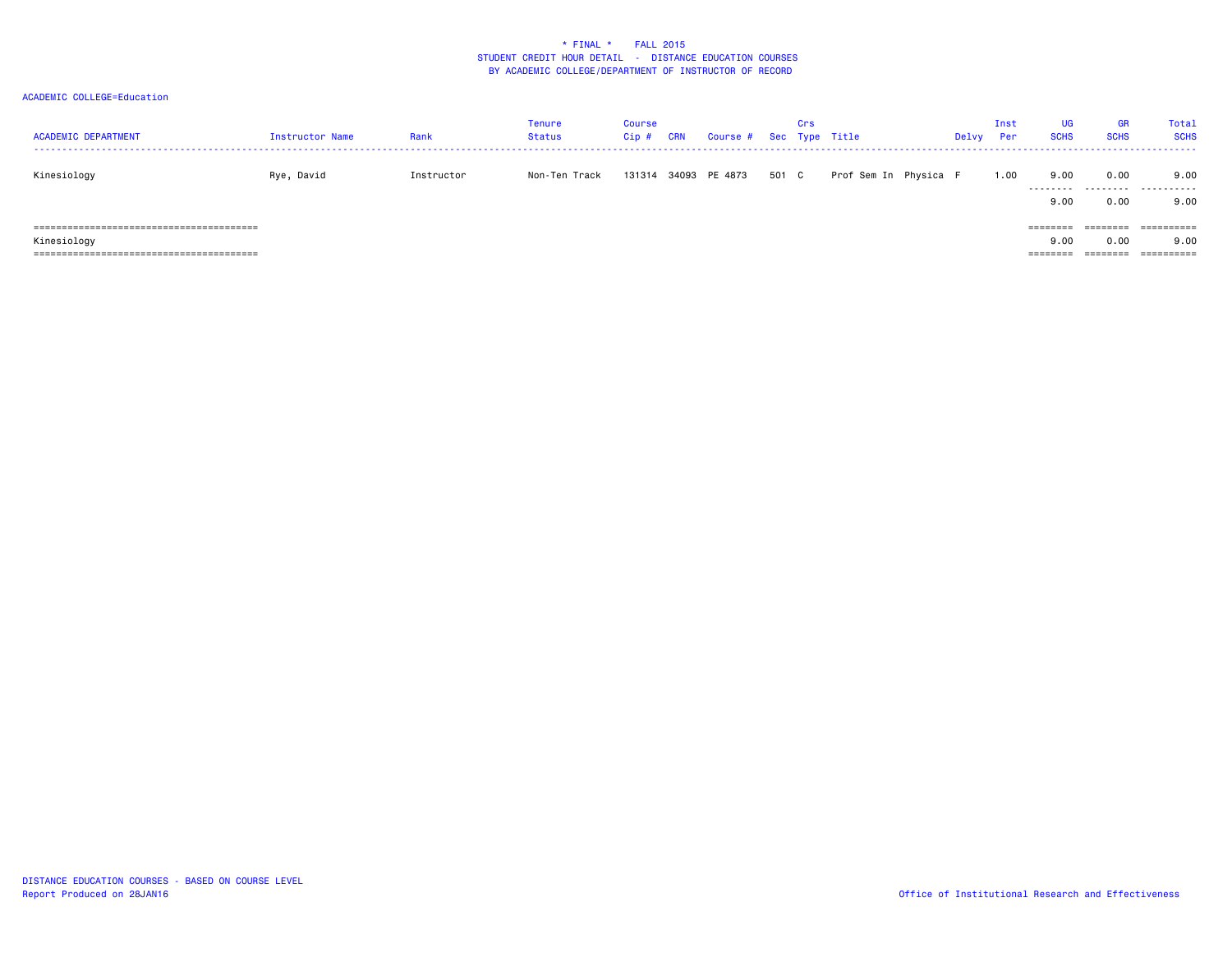| <b>ACADEMIC DEPARTMENT</b> | Instructor Name | Rank       | <b>Tenure</b><br><b>Status</b> | <b>Course</b><br>Cip # | CRN | Course # Sec Type Title |       | Crs |                       | Delvy | Inst<br>Per | UG<br><b>SCHS</b> | GR<br><b>SCHS</b> | <b>Total</b><br><b>SCHS</b>      |
|----------------------------|-----------------|------------|--------------------------------|------------------------|-----|-------------------------|-------|-----|-----------------------|-------|-------------|-------------------|-------------------|----------------------------------|
| Kinesiology                | Rye, David      | Instructor | Non-Ten Track                  |                        |     | 131314 34093 PE 4873    | 501 C |     | Prof Sem In Physica F |       | 1.00        | 9.00<br>9.00      | 0.00<br>0.00      | 9.00<br><br>9.00                 |
| Kinesiology                |                 |            |                                |                        |     |                         |       |     |                       |       |             | 9.00<br>========  | ========<br>0.00  | ==========<br>9.00<br>========== |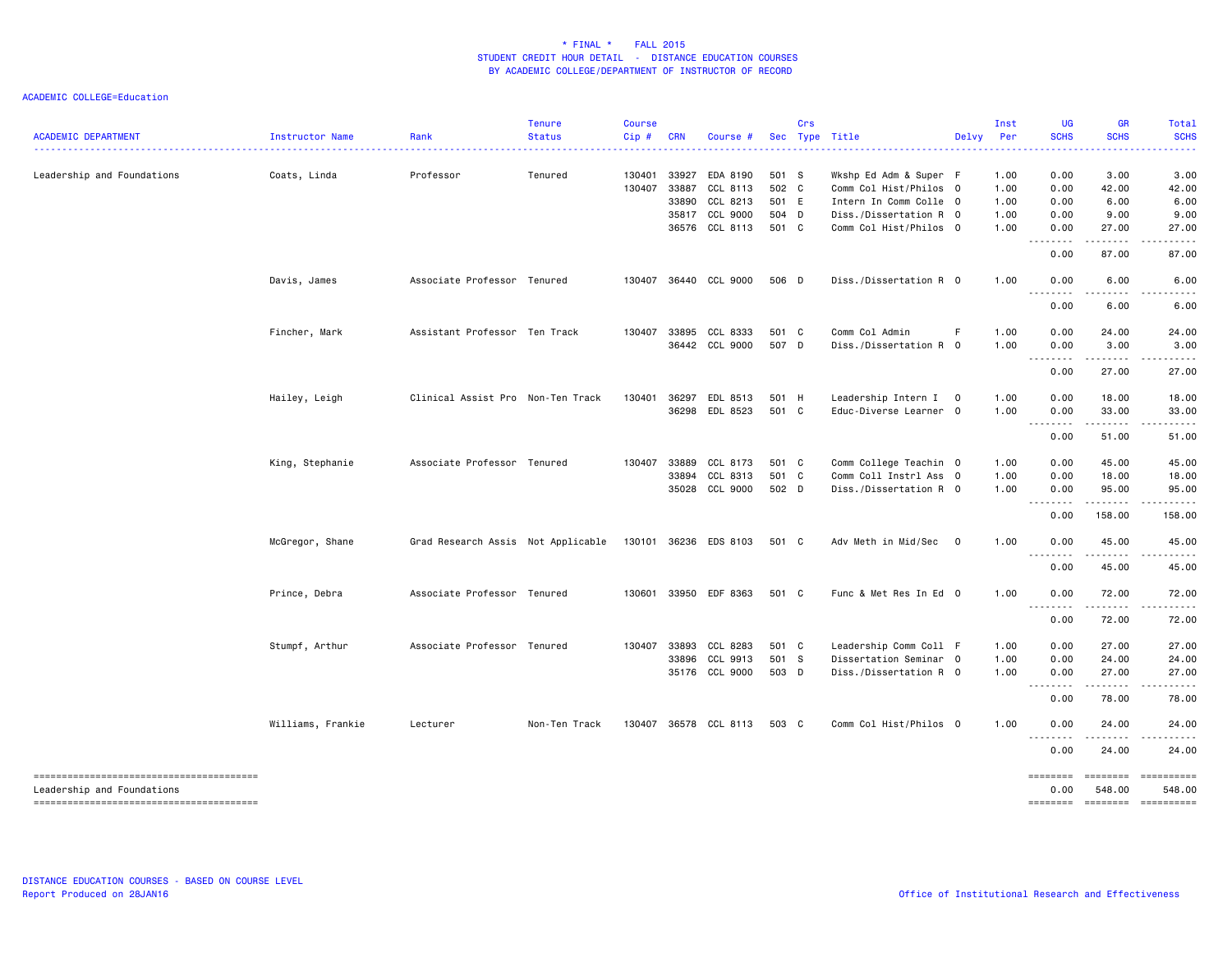| <b>ACADEMIC DEPARTMENT</b> | Instructor Name   | Rank                               | Tenure<br><b>Status</b> | <b>Course</b><br>Cip# | <b>CRN</b>   | Course #              |       | Crs | Sec Type Title         | Delvy                    | Inst<br>Per | <b>UG</b><br><b>SCHS</b>                             | <b>GR</b><br><b>SCHS</b> | Total<br><b>SCHS</b> |
|----------------------------|-------------------|------------------------------------|-------------------------|-----------------------|--------------|-----------------------|-------|-----|------------------------|--------------------------|-------------|------------------------------------------------------|--------------------------|----------------------|
| Leadership and Foundations | Coats, Linda      | Professor                          | Tenured                 | 130401                | 33927        | EDA 8190              | 501 S |     | Wkshp Ed Adm & Super F |                          | 1.00        | 0.00                                                 | 3.00                     | 3.00                 |
|                            |                   |                                    |                         | 130407                | 33887        | CCL 8113              | 502 C |     | Comm Col Hist/Philos 0 |                          | 1.00        | 0.00                                                 | 42.00                    | 42.00                |
|                            |                   |                                    |                         |                       | 33890        | CCL 8213              | 501 E |     | Intern In Comm Colle 0 |                          | 1.00        | 0.00                                                 | 6.00                     | 6.00                 |
|                            |                   |                                    |                         |                       | 35817        | CCL 9000              | 504 D |     | Diss./Dissertation R 0 |                          | 1.00        | 0.00                                                 | 9.00                     | 9.00                 |
|                            |                   |                                    |                         |                       |              | 36576 CCL 8113        | 501 C |     | Comm Col Hist/Philos 0 |                          | 1.00        | 0.00<br>$\sim$ $\sim$ $\sim$<br>$\sim$ $\sim$ $\sim$ | 27.00                    | 27.00                |
|                            |                   |                                    |                         |                       |              |                       |       |     |                        |                          |             | 0.00                                                 | 87.00                    | 87.00                |
|                            | Davis, James      | Associate Professor Tenured        |                         |                       |              | 130407 36440 CCL 9000 | 506 D |     | Diss./Dissertation R 0 |                          | 1.00        | 0.00                                                 | 6.00                     | 6.00                 |
|                            |                   |                                    |                         |                       |              |                       |       |     |                        |                          |             | 0.00                                                 | 6.00                     | 6.00                 |
|                            | Fincher, Mark     | Assistant Professor Ten Track      |                         |                       |              | 130407 33895 CCL 8333 | 501 C |     | Comm Col Admin         | F                        | 1.00        | 0.00                                                 | 24.00                    | 24.00                |
|                            |                   |                                    |                         |                       |              | 36442 CCL 9000        | 507 D |     | Diss./Dissertation R 0 |                          | 1.00        | 0.00                                                 | 3.00                     | 3.00                 |
|                            |                   |                                    |                         |                       |              |                       |       |     |                        |                          |             | .                                                    |                          |                      |
|                            |                   |                                    |                         |                       |              |                       |       |     |                        |                          |             | 0.00                                                 | 27.00                    | 27.00                |
|                            | Hailey, Leigh     | Clinical Assist Pro Non-Ten Track  |                         | 130401                | 36297        | EDL 8513              | 501 H |     | Leadership Intern I 0  |                          | 1.00        | 0.00                                                 | 18.00                    | 18.00                |
|                            |                   |                                    |                         |                       |              | 36298 EDL 8523        | 501 C |     | Educ-Diverse Learner 0 |                          | 1.00        | 0.00<br>.                                            | 33.00<br>د د د د د       | 33.00                |
|                            |                   |                                    |                         |                       |              |                       |       |     |                        |                          |             | 0.00                                                 | 51.00                    | 51.00                |
|                            | King, Stephanie   | Associate Professor Tenured        |                         |                       | 130407 33889 | CCL 8173              | 501 C |     | Comm College Teachin 0 |                          | 1.00        | 0.00                                                 | 45.00                    | 45.00                |
|                            |                   |                                    |                         |                       | 33894        | CCL 8313              | 501 C |     | Comm Coll Instrl Ass 0 |                          | 1.00        | 0.00                                                 | 18.00                    | 18.00                |
|                            |                   |                                    |                         |                       |              | 35028 CCL 9000        | 502 D |     | Diss./Dissertation R 0 |                          | 1.00        | 0.00<br>-----<br>$\sim$ $\sim$ $\sim$                | 95.00<br>.               | 95.00<br>.           |
|                            |                   |                                    |                         |                       |              |                       |       |     |                        |                          |             | 0.00                                                 | 158.00                   | 158.00               |
|                            | McGregor, Shane   | Grad Research Assis Not Applicable |                         |                       |              | 130101 36236 EDS 8103 | 501 C |     | Adv Meth in Mid/Sec    | $\overline{\phantom{0}}$ | 1.00        | 0.00                                                 | 45.00                    | 45.00                |
|                            |                   |                                    |                         |                       |              |                       |       |     |                        |                          |             | . <b>.</b><br>0.00                                   | 45.00                    | 45.00                |
|                            | Prince, Debra     | Associate Professor Tenured        |                         |                       |              | 130601 33950 EDF 8363 | 501 C |     | Func & Met Res In Ed 0 |                          | 1.00        | 0.00                                                 | 72.00                    | 72.00                |
|                            |                   |                                    |                         |                       |              |                       |       |     |                        |                          |             | $\omega \neq \omega$<br>.<br>0.00                    | 72.00                    | 72.00                |
|                            | Stumpf, Arthur    | Associate Professor Tenured        |                         |                       | 130407 33893 | CCL 8283              | 501 C |     | Leadership Comm Coll F |                          | 1.00        | 0.00                                                 | 27.00                    | 27.00                |
|                            |                   |                                    |                         |                       | 33896        | CCL 9913              | 501 S |     | Dissertation Seminar 0 |                          | 1.00        | 0.00                                                 | 24.00                    | 24.00                |
|                            |                   |                                    |                         |                       |              | 35176 CCL 9000        | 503 D |     | Diss./Dissertation R 0 |                          | 1.00        | 0.00                                                 | 27.00                    | 27.00                |
|                            |                   |                                    |                         |                       |              |                       |       |     |                        |                          |             | 0.00                                                 | $- - - - -$<br>78.00     | 78.00                |
|                            | Williams, Frankie | Lecturer                           | Non-Ten Track           | 130407                |              | 36578 CCL 8113        | 503 C |     | Comm Col Hist/Philos 0 |                          | 1.00        | 0.00                                                 | 24.00                    | 24.00                |
|                            |                   |                                    |                         |                       |              |                       |       |     |                        |                          |             | $\sim$ $\sim$ $\sim$<br>0.00                         | 24.00                    | 24.00                |
|                            |                   |                                    |                         |                       |              |                       |       |     |                        |                          |             | ========                                             | ========                 | ==========           |
| Leadership and Foundations |                   |                                    |                         |                       |              |                       |       |     |                        |                          |             | 0.00                                                 | 548.00                   | 548.00               |
|                            |                   |                                    |                         |                       |              |                       |       |     |                        |                          |             | ========                                             | ========                 | - ==========         |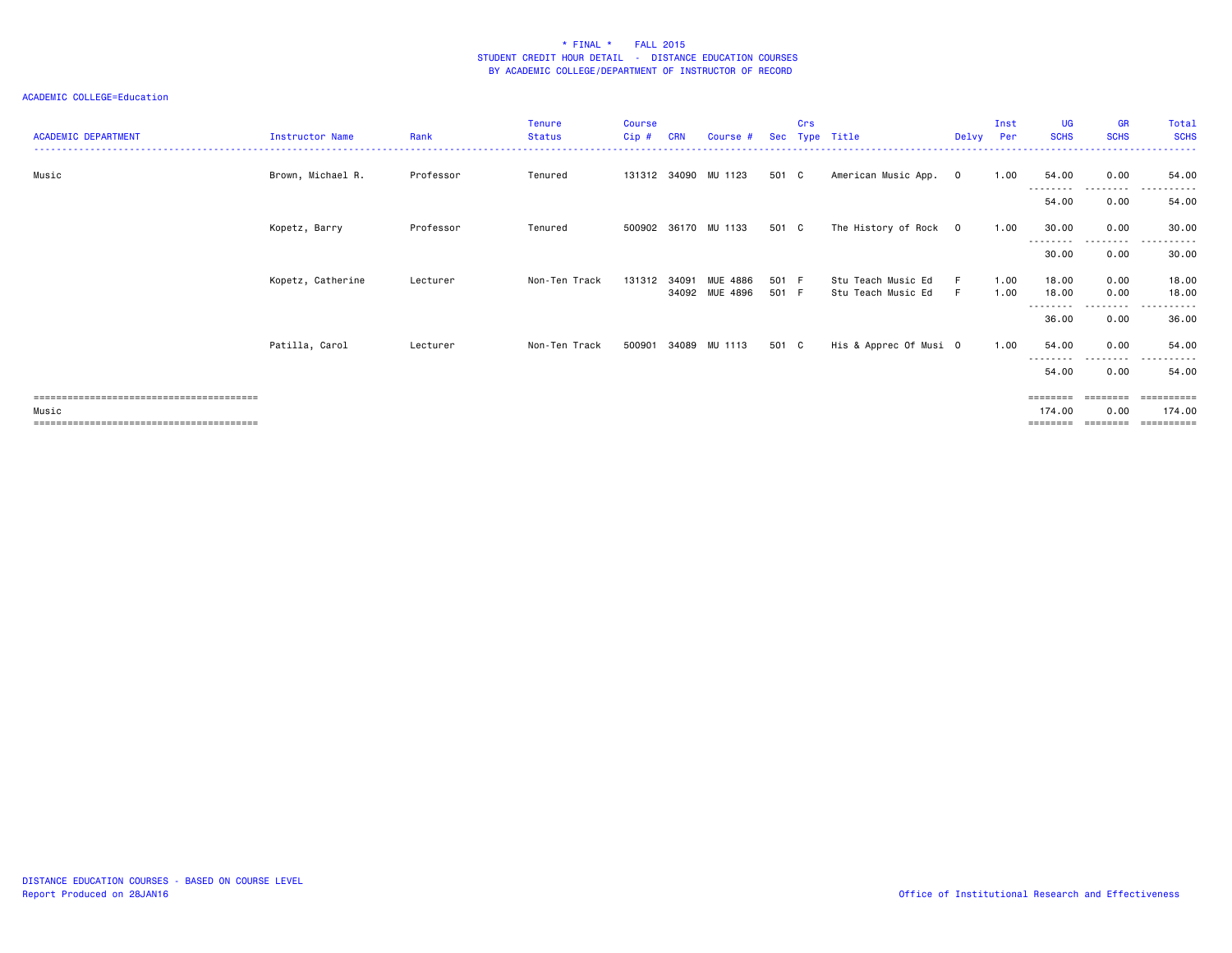| <b>ACADEMIC DEPARTMENT</b> | Instructor Name   | Rank      | <b>Tenure</b><br><b>Status</b> | <b>Course</b><br>Cip# | CRN   | Course #                   | <b>Sec</b>     | Crs | Type Title                               | Delvy   | Inst<br>Per  | <b>UG</b><br><b>SCHS</b>       | <b>GR</b><br><b>SCHS</b> | Total<br><b>SCHS</b> |
|----------------------------|-------------------|-----------|--------------------------------|-----------------------|-------|----------------------------|----------------|-----|------------------------------------------|---------|--------------|--------------------------------|--------------------------|----------------------|
| Music                      | Brown, Michael R. | Professor | Tenured                        |                       |       | 131312 34090 MU 1123       | 501 C          |     | American Music App.                      | $\circ$ | 1.00         | 54.00                          | 0.00                     | 54.00                |
|                            |                   |           |                                |                       |       |                            |                |     |                                          |         |              | .<br>54.00                     | -------<br>0.00          | 54.00                |
|                            | Kopetz, Barry     | Professor | Tenured                        |                       |       | 500902 36170 MU 1133       | 501 C          |     | The History of Rock 0                    |         | 1.00         | 30.00<br>---------             | 0.00<br>---------        | 30.00<br>.           |
|                            |                   |           |                                |                       |       |                            |                |     |                                          |         |              | 30.00                          | 0.00                     | 30.00                |
|                            | Kopetz, Catherine | Lecturer  | Non-Ten Track                  | 131312                | 34091 | MUE 4886<br>34092 MUE 4896 | 501 F<br>501 F |     | Stu Teach Music Ed<br>Stu Teach Music Ed | F.      | 1.00<br>1.00 | 18.00<br>18.00<br>.            | 0.00<br>0.00<br>-------- | 18.00<br>18.00       |
|                            |                   |           |                                |                       |       |                            |                |     |                                          |         |              | 36.00                          | 0.00                     | 36.00                |
|                            | Patilla, Carol    | Lecturer  | Non-Ten Track                  |                       |       | 500901 34089 MU 1113       | 501 C          |     | His & Apprec Of Musi O                   |         | 1.00         | 54.00<br>--------              | 0.00<br>.                | 54.00<br>.           |
|                            |                   |           |                                |                       |       |                            |                |     |                                          |         |              | 54.00                          | 0.00                     | 54.00                |
| Music                      |                   |           |                                |                       |       |                            |                |     |                                          |         |              | ========<br>174.00<br>-------- | 0.00                     | 174.00<br>========== |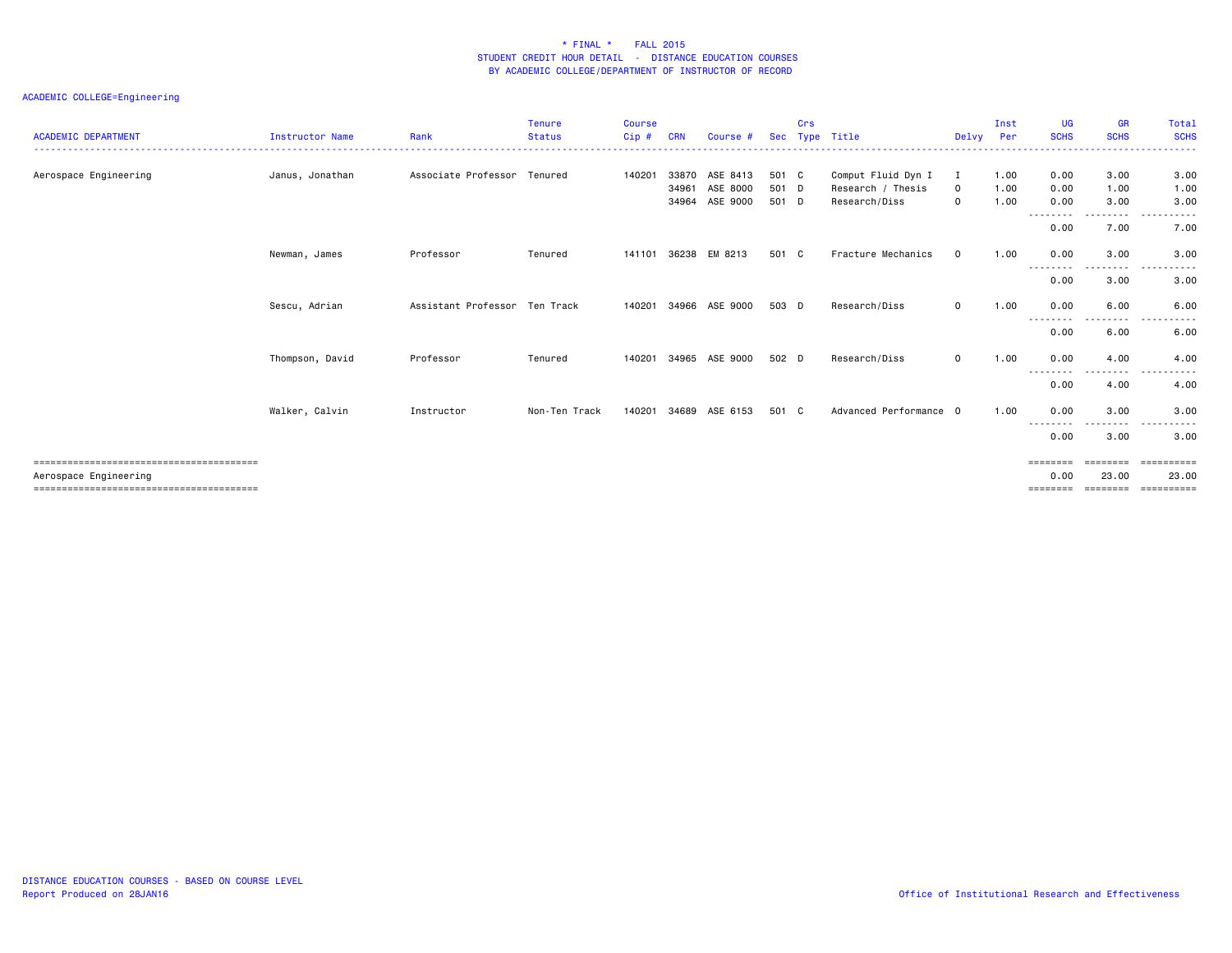| <b>ACADEMIC DEPARTMENT</b> | <b>Instructor Name</b> | Rank                          | <b>Tenure</b><br><b>Status</b> | <b>Course</b><br>Cip# | CRN                     | Course #                         |                         | Crs | Sec Type Title                                           | Delvy                         | Inst<br>Per          | <b>UG</b><br><b>SCHS</b> | <b>GR</b><br><b>SCHS</b> | Total<br><b>SCHS</b>                                                                                                                                                   |
|----------------------------|------------------------|-------------------------------|--------------------------------|-----------------------|-------------------------|----------------------------------|-------------------------|-----|----------------------------------------------------------|-------------------------------|----------------------|--------------------------|--------------------------|------------------------------------------------------------------------------------------------------------------------------------------------------------------------|
| Aerospace Engineering      | Janus, Jonathan        | Associate Professor Tenured   |                                | 140201                | 33870<br>34961<br>34964 | ASE 8413<br>ASE 8000<br>ASE 9000 | 501 C<br>501 D<br>501 D |     | Comput Fluid Dyn I<br>Research / Thesis<br>Research/Diss | Ι.<br>$\Omega$<br>$\mathbf 0$ | 1.00<br>1.00<br>1.00 | 0.00<br>0.00<br>0.00     | 3.00<br>1.00<br>3.00     | 3.00<br>1.00<br>3.00                                                                                                                                                   |
|                            |                        |                               |                                |                       |                         |                                  |                         |     |                                                          |                               |                      | ---------<br>0.00        | . <b>.</b><br>7.00       | $   -$<br>$\frac{1}{2} \left( \frac{1}{2} \right) \left( \frac{1}{2} \right) \left( \frac{1}{2} \right) \left( \frac{1}{2} \right) \left( \frac{1}{2} \right)$<br>7.00 |
|                            | Newman, James          | Professor                     | Tenured                        | 141101                | 36238                   | EM 8213                          | 501 C                   |     | Fracture Mechanics                                       | $\Omega$                      | 1.00                 | 0.00<br>--------         | 3.00<br>.                | 3.00<br>.                                                                                                                                                              |
|                            |                        |                               |                                |                       |                         |                                  |                         |     |                                                          |                               |                      | 0.00                     | 3.00                     | 3.00                                                                                                                                                                   |
|                            | Sescu, Adrian          | Assistant Professor Ten Track |                                | 140201                | 34966                   | ASE 9000                         | 503 D                   |     | Research/Diss                                            | $\mathbf 0$                   | 1.00                 | 0.00<br>---------        | 6.00<br>.                | 6.00<br>-----<br>$  -$                                                                                                                                                 |
|                            |                        |                               |                                |                       |                         |                                  |                         |     |                                                          |                               |                      | 0.00                     | 6.00                     | 6.00                                                                                                                                                                   |
|                            | Thompson, David        | Professor                     | Tenured                        | 140201                | 34965                   | ASE 9000                         | 502 D                   |     | Research/Diss                                            | $\mathbf 0$                   | 1.00                 | 0.00<br>.                | 4.00<br>.                | 4.00<br>$\sim$ $\sim$ $\sim$<br>$\frac{1}{2}$                                                                                                                          |
|                            |                        |                               |                                |                       |                         |                                  |                         |     |                                                          |                               |                      | 0.00                     | 4.00                     | 4.00                                                                                                                                                                   |
|                            | Walker, Calvin         | Instructor                    | Non-Ten Track                  | 140201                | 34689                   | ASE 6153                         | 501 C                   |     | Advanced Performance 0                                   |                               | 1.00                 | 0.00                     | 3.00                     | 3.00                                                                                                                                                                   |
|                            |                        |                               |                                |                       |                         |                                  |                         |     |                                                          |                               |                      | --------<br>0.00         | $\frac{1}{2}$<br>3.00    | -----<br>3.00                                                                                                                                                          |
| Aerospace Engineering      |                        |                               |                                |                       |                         |                                  |                         |     |                                                          |                               |                      | ========<br>0.00         | ========<br>23.00        | <b>ESSESSESS</b><br>23.00                                                                                                                                              |
|                            |                        |                               |                                |                       |                         |                                  |                         |     |                                                          |                               |                      |                          | ========                 | ==========                                                                                                                                                             |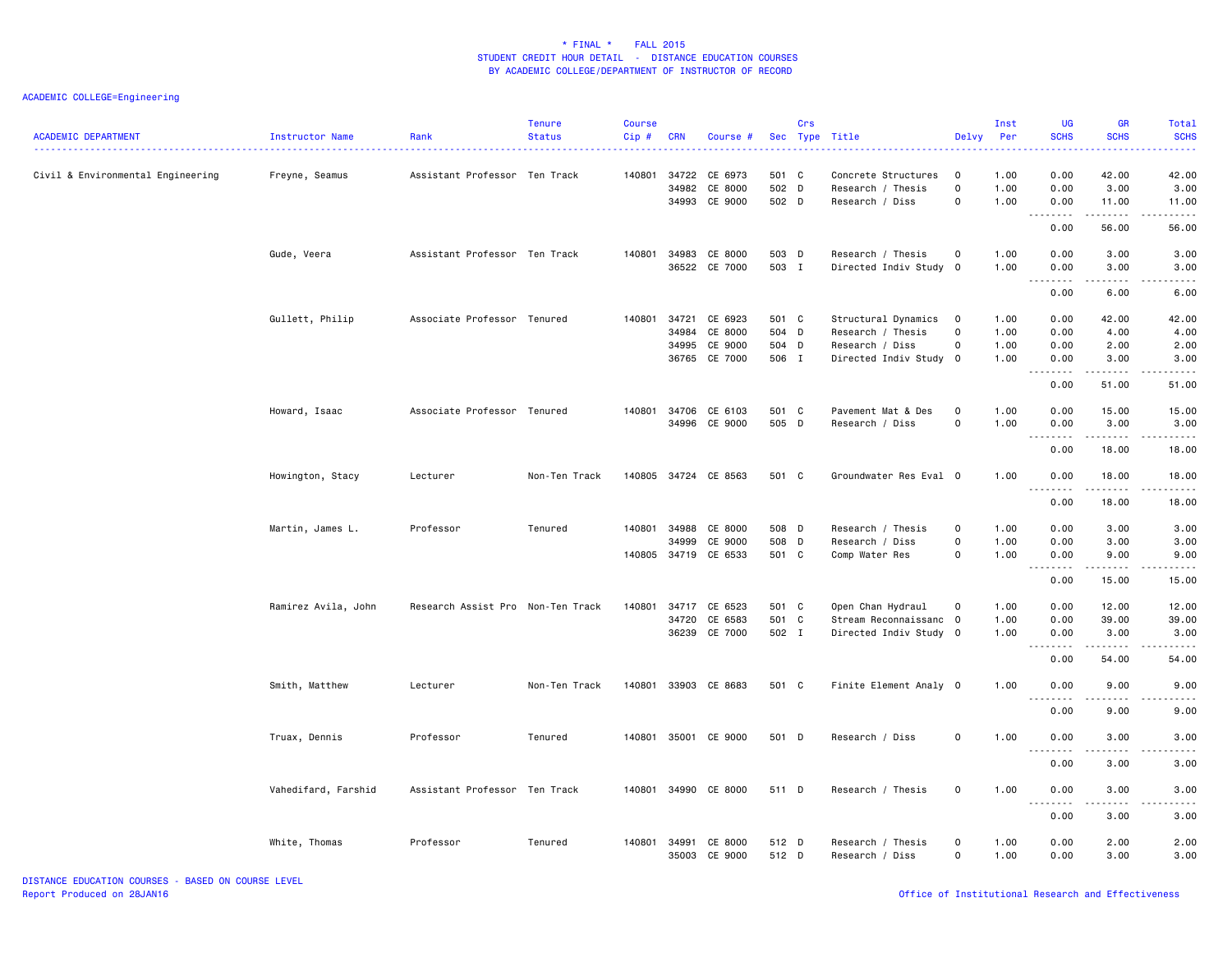| <b>ACADEMIC DEPARTMENT</b>        | Instructor Name     | Rank                              | <b>Tenure</b><br><b>Status</b> | <b>Course</b><br>Cip# | <b>CRN</b>     | Course #                 |                | Crs          | Sec Type Title                              | Delvy            | Inst<br>Per  | UG<br><b>SCHS</b>              | GR<br><b>SCHS</b>                                                                                                                                            | <b>Total</b><br><b>SCHS</b> |
|-----------------------------------|---------------------|-----------------------------------|--------------------------------|-----------------------|----------------|--------------------------|----------------|--------------|---------------------------------------------|------------------|--------------|--------------------------------|--------------------------------------------------------------------------------------------------------------------------------------------------------------|-----------------------------|
| Civil & Environmental Engineering | Freyne, Seamus      | Assistant Professor Ten Track     |                                | 140801                | 34722<br>34982 | CE 6973<br>CE 8000       | 501 C<br>502 D |              | Concrete Structures<br>Research / Thesis    | $\mathbf 0$<br>0 | 1.00<br>1.00 | 0.00<br>0.00                   | 42.00<br>3.00                                                                                                                                                | 42.00<br>3.00               |
|                                   |                     |                                   |                                |                       | 34993          | CE 9000                  | 502 D          |              | Research / Diss                             | 0                | 1.00         | 0.00<br>.                      | 11.00<br>-----                                                                                                                                               | 11.00                       |
|                                   |                     |                                   |                                |                       |                |                          |                |              |                                             |                  |              | 0.00                           | 56.00                                                                                                                                                        | 56.00                       |
|                                   | Gude, Veera         | Assistant Professor Ten Track     |                                | 140801                | 34983          | CE 8000<br>36522 CE 7000 | 503 D<br>503 I |              | Research / Thesis<br>Directed Indiv Study 0 | 0                | 1.00<br>1.00 | 0.00<br>0.00                   | 3.00<br>3.00                                                                                                                                                 | 3.00<br>3.00                |
|                                   |                     |                                   |                                |                       |                |                          |                |              |                                             |                  |              | $\omega$ is a $\omega$<br>0.00 | 6.00                                                                                                                                                         | 6.00                        |
|                                   | Gullett, Philip     | Associate Professor Tenured       |                                | 140801                | 34721          | CE 6923                  | 501 C          |              | Structural Dynamics                         | $\mathbf 0$      | 1.00         | 0.00                           | 42.00                                                                                                                                                        | 42.00                       |
|                                   |                     |                                   |                                |                       | 34984          | CE 8000                  | 504 D          |              | Research / Thesis                           | 0                | 1.00         | 0.00                           | 4.00                                                                                                                                                         | 4.00                        |
|                                   |                     |                                   |                                |                       | 34995          | CE 9000                  | 504 D          |              | Research / Diss                             | 0                | 1.00         | 0.00                           | 2.00                                                                                                                                                         | 2.00                        |
|                                   |                     |                                   |                                |                       | 36765          | CE 7000                  | 506 I          |              | Directed Indiv Study                        | $\overline{0}$   | 1.00         | 0.00<br>$  -$<br>.             | 3.00                                                                                                                                                         | 3.00                        |
|                                   |                     |                                   |                                |                       |                |                          |                |              |                                             |                  |              | 0.00                           | 51.00                                                                                                                                                        | 51.00                       |
|                                   | Howard, Isaac       | Associate Professor Tenured       |                                |                       |                | 140801 34706 CE 6103     | 501 C          |              | Pavement Mat & Des                          | $\mathsf 0$      | 1.00         | 0.00                           | 15.00                                                                                                                                                        | 15.00                       |
|                                   |                     |                                   |                                |                       | 34996          | CE 9000                  | 505 D          |              | Research / Diss                             | 0                | 1.00         | 0.00<br>.                      | 3.00                                                                                                                                                         | 3.00                        |
|                                   |                     |                                   |                                |                       |                |                          |                |              |                                             |                  |              | 0.00                           | 18.00                                                                                                                                                        | 18.00                       |
|                                   | Howington, Stacy    | Lecturer                          | Non-Ten Track                  |                       |                | 140805 34724 CE 8563     | 501 C          |              | Groundwater Res Eval 0                      |                  | 1.00         | 0.00                           | 18.00                                                                                                                                                        | 18.00                       |
|                                   |                     |                                   |                                |                       |                |                          |                |              |                                             |                  |              | .<br>0.00                      | 18.00                                                                                                                                                        | 18.00                       |
|                                   | Martin, James L.    | Professor                         | Tenured                        | 140801                | 34988          | CE 8000                  | 508 D          |              | Research / Thesis                           | 0                | 1.00         | 0.00                           | 3.00                                                                                                                                                         | 3.00                        |
|                                   |                     |                                   |                                |                       | 34999          | CE 9000                  | 508 D          |              | Research / Diss                             | 0                | 1.00         | 0.00                           | 3.00                                                                                                                                                         | 3.00                        |
|                                   |                     |                                   |                                |                       | 140805 34719   | CE 6533                  | 501 C          |              | Comp Water Res                              | 0                | 1.00         | 0.00                           | 9.00                                                                                                                                                         | 9.00                        |
|                                   |                     |                                   |                                |                       |                |                          |                |              |                                             |                  |              | .<br>0.00                      | .<br>15.00                                                                                                                                                   | $\frac{1}{2}$<br>15.00      |
|                                   |                     |                                   |                                |                       |                |                          |                |              |                                             |                  |              |                                |                                                                                                                                                              |                             |
|                                   | Ramirez Avila, John | Research Assist Pro Non-Ten Track |                                | 140801                |                | 34717 CE 6523            | 501 C          |              | Open Chan Hydraul                           | 0                | 1.00         | 0.00                           | 12.00                                                                                                                                                        | 12.00                       |
|                                   |                     |                                   |                                |                       | 34720          | CE 6583                  | 501            | $\mathbf{C}$ | Stream Reconnaissanc 0                      |                  | 1.00         | 0.00                           | 39.00                                                                                                                                                        | 39.00                       |
|                                   |                     |                                   |                                |                       |                | 36239 CE 7000            | 502 I          |              | Directed Indiv Study 0                      |                  | 1.00         | 0.00<br>.                      | 3.00<br>$\frac{1}{2} \left( \frac{1}{2} \right) \left( \frac{1}{2} \right) \left( \frac{1}{2} \right) \left( \frac{1}{2} \right) \left( \frac{1}{2} \right)$ | 3.00<br>.                   |
|                                   |                     |                                   |                                |                       |                |                          |                |              |                                             |                  |              | 0.00                           | 54.00                                                                                                                                                        | 54.00                       |
|                                   | Smith, Matthew      | Lecturer                          | Non-Ten Track                  | 140801                |                | 33903 CE 8683            | 501 C          |              | Finite Element Analy 0                      |                  | 1.00         | 0.00<br>.                      | 9.00<br>.                                                                                                                                                    | 9.00                        |
|                                   |                     |                                   |                                |                       |                |                          |                |              |                                             |                  |              | 0.00                           | 9.00                                                                                                                                                         | 9.00                        |
|                                   | Truax, Dennis       | Professor                         | Tenured                        | 140801                | 35001          | CE 9000                  | 501            | D            | Research / Diss                             | 0                | 1.00         | 0.00                           | 3.00                                                                                                                                                         | 3.00                        |
|                                   |                     |                                   |                                |                       |                |                          |                |              |                                             |                  |              | <u>.</u><br>0.00               | 3.00                                                                                                                                                         | 3.00                        |
|                                   | Vahedifard, Farshid | Assistant Professor Ten Track     |                                |                       |                | 140801 34990 CE 8000     | 511 D          |              | Research / Thesis                           | 0                | 1.00         | 0.00                           | 3.00                                                                                                                                                         | 3.00                        |
|                                   |                     |                                   |                                |                       |                |                          |                |              |                                             |                  |              | $- - -$                        |                                                                                                                                                              |                             |
|                                   |                     |                                   |                                |                       |                |                          |                |              |                                             |                  |              | 0.00                           | 3.00                                                                                                                                                         | 3.00                        |
|                                   | White, Thomas       | Professor                         | Tenured                        | 140801                | 34991          | CE 8000                  | 512 D          |              | Research / Thesis                           | $\Omega$         | 1.00         | 0.00                           | 2.00                                                                                                                                                         | 2.00                        |
|                                   |                     |                                   |                                |                       |                | 35003 CE 9000            | 512 D          |              | Research / Diss                             | 0                | 1.00         | 0.00                           | 3.00                                                                                                                                                         | 3.00                        |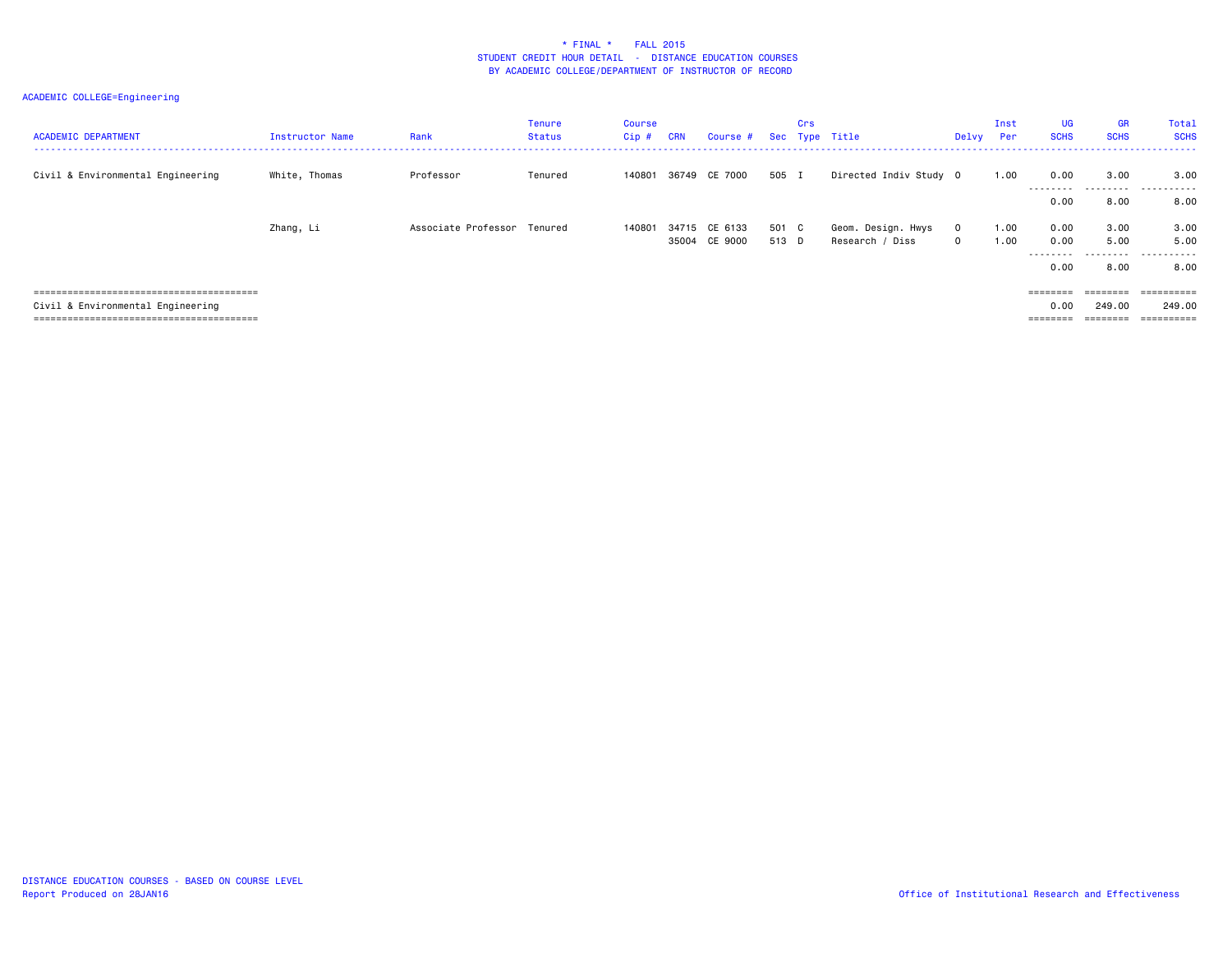| <b>ACADEMIC DEPARTMENT</b>        | <b>Instructor Name</b> | Rank                        | Tenure<br><b>Status</b> | Course<br>Cip# | <b>CRN</b> | Course #                       |                | Crs | Sec Type Title                        | Delvy                     | Inst<br>Per  | <b>UG</b><br><b>SCHS</b>              | <b>GR</b><br><b>SCHS</b>                | Total<br><b>SCHS</b><br>. <b>.</b> |
|-----------------------------------|------------------------|-----------------------------|-------------------------|----------------|------------|--------------------------------|----------------|-----|---------------------------------------|---------------------------|--------------|---------------------------------------|-----------------------------------------|------------------------------------|
| Civil & Environmental Engineering | White, Thomas          | Professor                   | Tenured                 | 140801         |            | 36749 CE 7000                  | 505 I          |     | Directed Indiv Study 0                |                           | 1.00         | 0.00<br>.                             | 3.00<br>.                               | 3,00<br>.                          |
|                                   | Zhang, Li              | Associate Professor Tenured |                         | 140801         |            | 34715 CE 6133<br>35004 CE 9000 | 501 C<br>513 D |     | Geom. Design. Hwys<br>Research / Diss | $^{\circ}$<br>$\mathbf 0$ | 1.00<br>1.00 | 0.00<br>0.00<br>0.00                  | 8.00<br>3.00<br>5.00                    | 8.00<br>3.00<br>5.00               |
|                                   |                        |                             |                         |                |            |                                |                |     |                                       |                           |              | ---------<br>0.00                     | 8.00                                    | .<br>8,00                          |
| Civil & Environmental Engineering |                        |                             |                         |                |            |                                |                |     |                                       |                           |              | $=$ = = = = = = =<br>0.00<br>======== | $=$ = = = = = = =<br>249.00<br>======== | ==========<br>249.00<br>========== |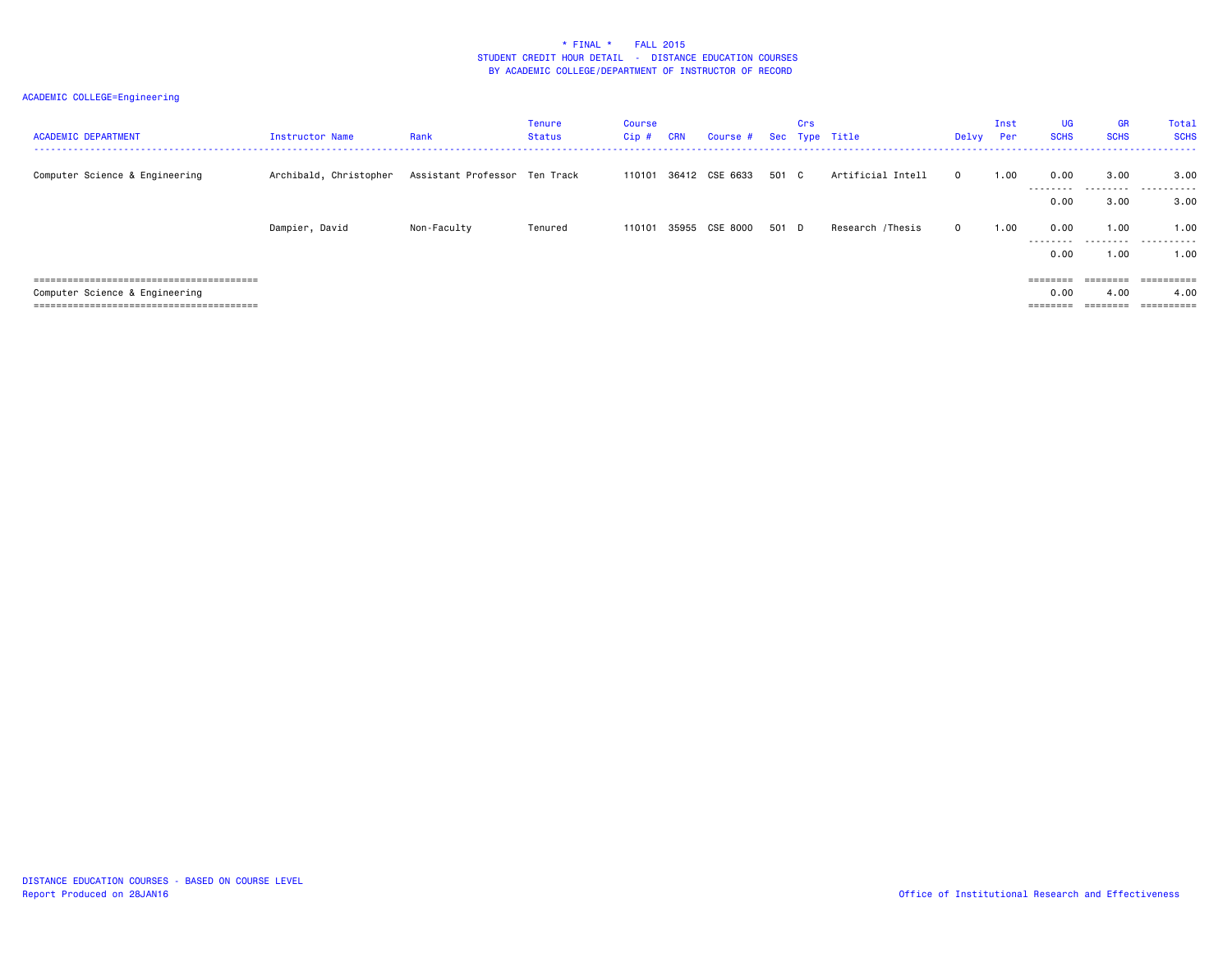| <b>ACADEMIC DEPARTMENT</b>           | Instructor Name        | Rank                          | <b>Tenure</b><br>Status | Course<br>$Cip$ # | <b>CRN</b> | Course #       |       | Crs | Sec Type Title    | Delvy    | Inst<br>Per         | <b>UG</b><br><b>SCHS</b> | <b>GR</b><br><b>SCHS</b> | Total<br><b>SCHS</b> |
|--------------------------------------|------------------------|-------------------------------|-------------------------|-------------------|------------|----------------|-------|-----|-------------------|----------|---------------------|--------------------------|--------------------------|----------------------|
| Computer Science & Engineering       | Archibald, Christopher | Assistant Professor Ten Track |                         | 110101            | 36412      | CSE 6633       | 501 C |     | Artificial Intell | $\Omega$ | 1.00                | 0.00<br>.                | 3.00                     | 3.00                 |
|                                      |                        |                               |                         |                   |            |                |       |     |                   |          |                     | 0.00                     | 3.00                     | 3.00                 |
|                                      | Dampier, David         | Non-Faculty                   | Tenured                 | 110101            |            | 35955 CSE 8000 | 501 D |     | Research /Thesis  | $\Omega$ | 1.00                | 0.00<br>.                | 1.00                     | 1.00                 |
|                                      |                        |                               |                         |                   |            |                |       |     |                   |          |                     | 0.00                     | 1.00                     | 1.00                 |
| ------------------------------------ |                        |                               |                         |                   |            |                |       |     |                   |          |                     |                          | ========                 | ==========           |
| Computer Science & Engineering       |                        |                               |                         |                   |            |                |       |     |                   |          |                     | 0.00                     | 4.00                     | 4.00                 |
|                                      |                        |                               |                         |                   |            |                |       |     |                   |          | _______<br>======== |                          | $=$ = = = = = = =        | ==========           |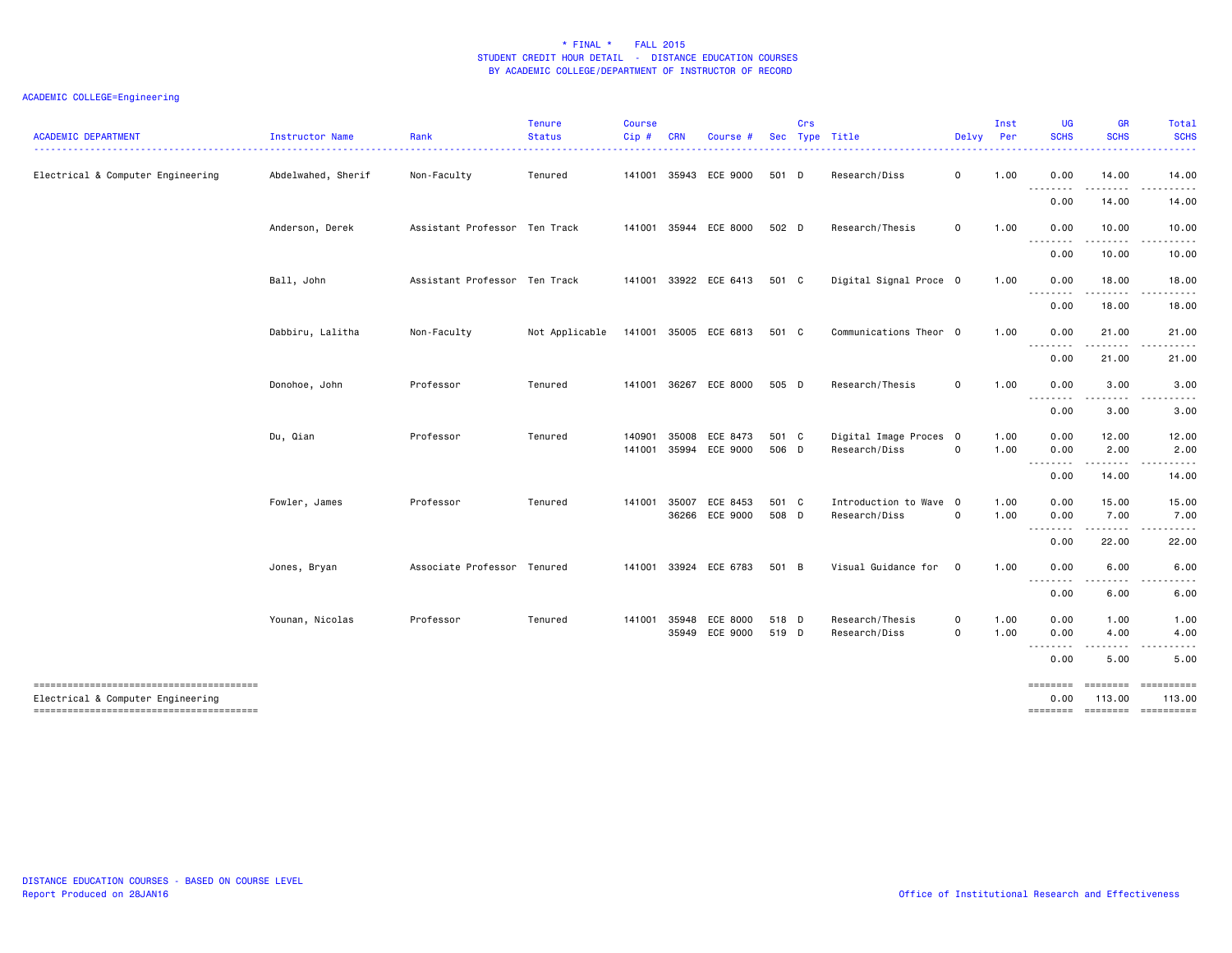| <b>ACADEMIC DEPARTMENT</b>                                                  | Instructor Name    | Rank                          | <b>Tenure</b><br><b>Status</b> | Course<br>Cip# | CRN   | Course #              | Sec   | Crs | Type Title             | Delvy Per   | Inst | <b>UG</b><br><b>SCHS</b> | <b>GR</b><br><b>SCHS</b> | Total<br><b>SCHS</b>  |
|-----------------------------------------------------------------------------|--------------------|-------------------------------|--------------------------------|----------------|-------|-----------------------|-------|-----|------------------------|-------------|------|--------------------------|--------------------------|-----------------------|
| Electrical & Computer Engineering                                           | Abdelwahed, Sherif | Non-Faculty                   | Tenured                        | 141001         |       | 35943 ECE 9000        | 501 D |     | Research/Diss          | 0           | 1.00 | 0.00<br><u>.</u>         | 14.00                    | 14.00                 |
|                                                                             |                    |                               |                                |                |       |                       |       |     |                        |             |      | 0.00                     | . <b>.</b><br>14.00      | . <b>.</b> .<br>14.00 |
|                                                                             | Anderson, Derek    | Assistant Professor Ten Track |                                | 141001         |       | 35944 ECE 8000        | 502 D |     | Research/Thesis        | $\mathbf 0$ | 1.00 | 0.00                     | 10.00                    | 10.00                 |
|                                                                             |                    |                               |                                |                |       |                       |       |     |                        |             |      | .<br>0.00                | . <b>.</b><br>10.00      | .<br>10.00            |
|                                                                             | Ball, John         | Assistant Professor Ten Track |                                | 141001         |       | 33922 ECE 6413        | 501 C |     | Digital Signal Proce 0 |             | 1.00 | 0.00                     | 18.00                    | 18.00                 |
|                                                                             |                    |                               |                                |                |       |                       |       |     |                        |             |      | <u>.</u><br>0.00         | . <u>.</u><br>18.00      | . <b>.</b> .<br>18.00 |
|                                                                             | Dabbiru, Lalitha   | Non-Faculty                   | Not Applicable                 |                |       | 141001 35005 ECE 6813 | 501 C |     | Communications Theor 0 |             | 1.00 | 0.00                     | 21.00                    | 21.00                 |
|                                                                             |                    |                               |                                |                |       |                       |       |     |                        |             |      | <u>.</u><br>0.00         | .<br>21.00               | .<br>21.00            |
|                                                                             | Donohoe, John      | Professor                     | Tenured                        | 141001         |       | 36267 ECE 8000        | 505 D |     | Research/Thesis        | $\mathbf 0$ | 1.00 | 0.00                     | 3.00                     | 3.00                  |
|                                                                             |                    |                               |                                |                |       |                       |       |     |                        |             |      | --------<br>0.00         | .<br>3.00                | ----<br>3.00          |
|                                                                             | Du, Qian           | Professor                     | Tenured                        | 140901         | 35008 | ECE 8473              | 501 C |     | Digital Image Proces 0 |             | 1.00 | 0.00                     | 12.00                    | 12.00                 |
|                                                                             |                    |                               |                                | 141001         |       | 35994 ECE 9000        | 506 D |     | Research/Diss          | $\mathbf 0$ | 1.00 | 0.00<br><u>.</u>         | 2.00                     | 2.00                  |
|                                                                             |                    |                               |                                |                |       |                       |       |     |                        |             |      | 0.00                     | 14.00                    | 14.00                 |
|                                                                             | Fowler, James      | Professor                     | Tenured                        | 141001         | 35007 | ECE 8453              | 501 C |     | Introduction to Wave 0 |             | 1.00 | 0.00                     | 15.00                    | 15.00                 |
|                                                                             |                    |                               |                                |                | 36266 | ECE 9000              | 508 D |     | Research/Diss          | $\mathbf 0$ | 1.00 | 0.00<br>.                | 7.00<br>.                | 7.00<br>.             |
|                                                                             |                    |                               |                                |                |       |                       |       |     |                        |             |      | 0.00                     | 22.00                    | 22.00                 |
|                                                                             | Jones, Bryan       | Associate Professor Tenured   |                                | 141001         |       | 33924 ECE 6783        | 501 B |     | Visual Guidance for 0  |             | 1.00 | 0.00<br><u>--------</u>  | 6.00                     | 6.00                  |
|                                                                             |                    |                               |                                |                |       |                       |       |     |                        |             |      | 0.00                     | 6.00                     | 6.00                  |
|                                                                             | Younan, Nicolas    | Professor                     | Tenured                        | 141001         | 35948 | ECE 8000              | 518 D |     | Research/Thesis        | 0           | 1.00 | 0.00                     | 1.00                     | 1.00                  |
|                                                                             |                    |                               |                                |                |       | 35949 ECE 9000        | 519 D |     | Research/Diss          | $\mathbf 0$ | 1.00 | 0.00<br>.                | 4.00<br>-----            | 4.00<br>.             |
|                                                                             |                    |                               |                                |                |       |                       |       |     |                        |             |      | 0.00                     | 5.00                     | 5.00                  |
| --------------------------------------<br>Electrical & Computer Engineering |                    |                               |                                |                |       |                       |       |     |                        |             |      | ========<br>0.00         | ========<br>113.00       | ==========<br>113.00  |
|                                                                             |                    |                               |                                |                |       |                       |       |     |                        |             |      | ========                 | --------- ----------     |                       |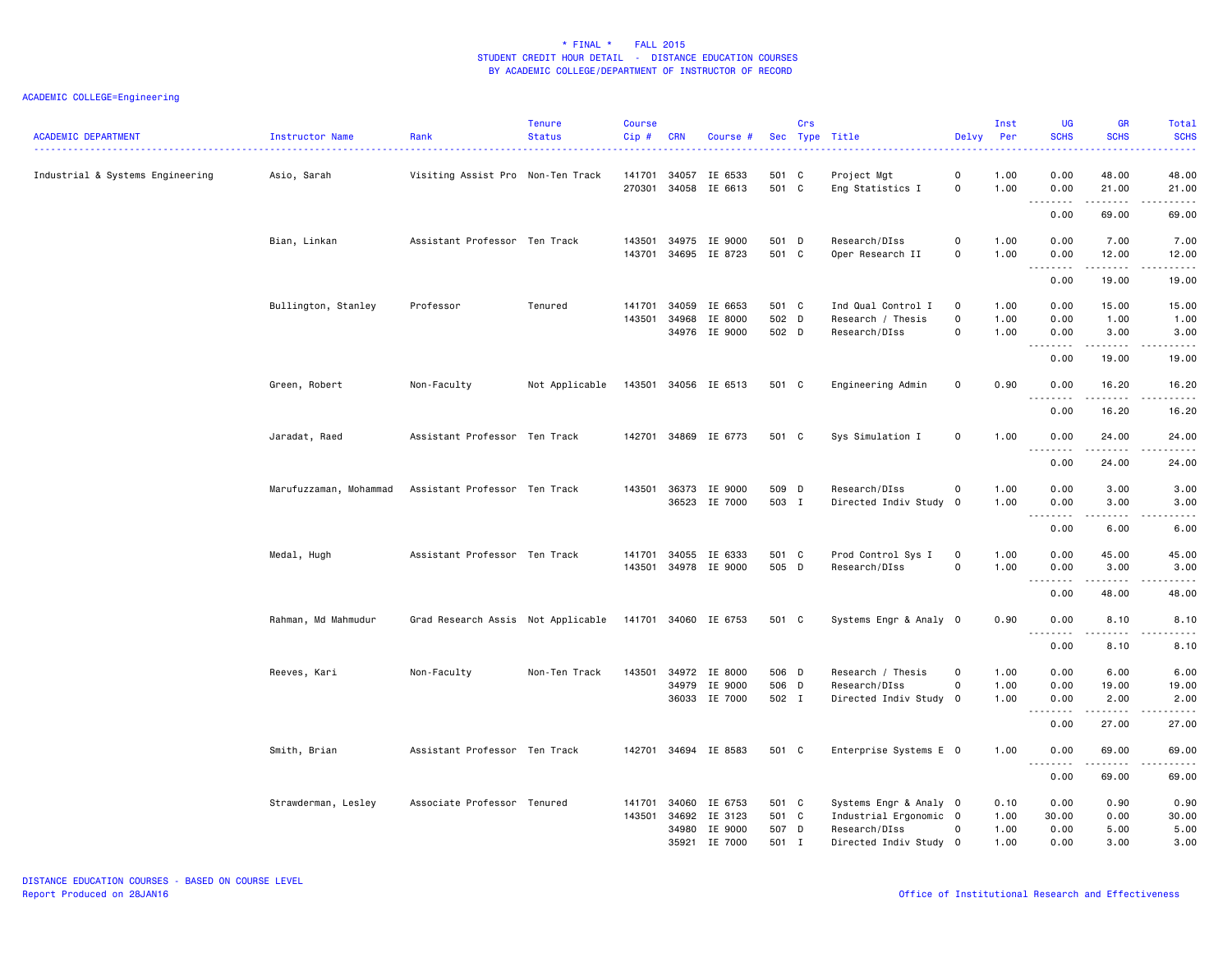| <b>ACADEMIC DEPARTMENT</b>       | Instructor Name        | Rank                               | <b>Tenure</b><br><b>Status</b> | <b>Course</b><br>Cip# | <b>CRN</b>     | Course #                            |                         | Crs | Sec Type Title                                           | Delvy                                             | Inst<br>Per          | <b>UG</b><br><b>SCHS</b> | <b>GR</b><br><b>SCHS</b>                                                                                                                                      | Total<br><b>SCHS</b><br>2222.  |
|----------------------------------|------------------------|------------------------------------|--------------------------------|-----------------------|----------------|-------------------------------------|-------------------------|-----|----------------------------------------------------------|---------------------------------------------------|----------------------|--------------------------|---------------------------------------------------------------------------------------------------------------------------------------------------------------|--------------------------------|
| Industrial & Systems Engineering | Asio, Sarah            | Visiting Assist Pro Non-Ten Track  |                                | 141701<br>270301      | 34057<br>34058 | IE 6533<br>IE 6613                  | 501 C<br>501 C          |     | Project Mgt<br>Eng Statistics I                          | 0<br>$\mathsf{O}\xspace$                          | 1.00<br>1.00         | 0.00<br>0.00             | 48.00<br>21.00                                                                                                                                                | 48.00<br>21.00                 |
|                                  |                        |                                    |                                |                       |                |                                     |                         |     |                                                          |                                                   |                      | .<br>0.00                | .<br>69.00                                                                                                                                                    | .<br>69.00                     |
|                                  | Bian, Linkan           | Assistant Professor Ten Track      |                                | 143501<br>143701      |                | 34975 IE 9000<br>34695 IE 8723      | 501 D<br>501 C          |     | Research/DIss<br>Oper Research II                        | $\mathbf 0$<br>$\mathsf{O}\xspace$                | 1.00<br>1.00         | 0.00<br>0.00<br>.        | 7.00<br>12.00<br>$\sim$ $\sim$ $\sim$ $\sim$ $\sim$                                                                                                           | 7.00<br>12.00<br>.             |
|                                  |                        |                                    |                                |                       |                |                                     |                         |     |                                                          |                                                   |                      | 0.00                     | 19.00                                                                                                                                                         | 19.00                          |
|                                  | Bullington, Stanley    | Professor                          | Tenured                        | 141701<br>143501      | 34059<br>34968 | IE 6653<br>IE 8000<br>34976 IE 9000 | 501 C<br>502 D<br>502 D |     | Ind Qual Control I<br>Research / Thesis<br>Research/DIss | $\mathbf 0$<br>$\mathbf 0$<br>$\mathsf{o}\xspace$ | 1.00<br>1.00<br>1.00 | 0.00<br>0.00<br>0.00     | 15.00<br>1.00<br>3.00                                                                                                                                         | 15.00<br>1.00<br>3.00          |
|                                  |                        |                                    |                                |                       |                |                                     |                         |     |                                                          |                                                   |                      | 0.00                     | $\frac{1}{2} \left( \frac{1}{2} \right) \left( \frac{1}{2} \right) \left( \frac{1}{2} \right) \left( \frac{1}{2} \right) \left( \frac{1}{2} \right)$<br>19.00 | .<br>19.00                     |
|                                  | Green, Robert          | Non-Faculty                        | Not Applicable                 | 143501                |                | 34056 IE 6513                       | 501 C                   |     | Engineering Admin                                        | 0                                                 | 0.90                 | 0.00<br>$\frac{1}{2}$    | 16.20<br>.                                                                                                                                                    | 16.20<br>$\frac{1}{2}$         |
|                                  |                        |                                    |                                |                       |                |                                     |                         |     |                                                          |                                                   |                      | 0.00                     | 16.20                                                                                                                                                         | 16.20                          |
|                                  | Jaradat, Raed          | Assistant Professor Ten Track      |                                | 142701                |                | 34869 IE 6773                       | 501 C                   |     | Sys Simulation I                                         | $\mathbf 0$                                       | 1.00                 | 0.00<br><u>.</u>         | 24.00<br>.                                                                                                                                                    | 24.00<br>.                     |
|                                  |                        |                                    |                                |                       |                |                                     |                         |     |                                                          |                                                   |                      | 0.00                     | 24.00                                                                                                                                                         | 24.00                          |
|                                  | Marufuzzaman, Mohammad | Assistant Professor Ten Track      |                                | 143501                | 36373          | IE 9000<br>36523 IE 7000            | 509 D<br>503 I          |     | Research/DIss<br>Directed Indiv Study 0                  | $\mathsf{O}\xspace$                               | 1.00<br>1.00         | 0.00<br>0.00             | 3.00<br>3.00                                                                                                                                                  | 3.00<br>3.00                   |
|                                  |                        |                                    |                                |                       |                |                                     |                         |     |                                                          |                                                   |                      | .<br>0.00                | .<br>6.00                                                                                                                                                     | -----<br>$\frac{1}{2}$<br>6.00 |
|                                  | Medal, Hugh            | Assistant Professor Ten Track      |                                | 141701<br>143501      | 34055          | IE 6333<br>34978 IE 9000            | 501 C<br>505 D          |     | Prod Control Sys I<br>Research/DIss                      | 0<br>$\mathsf{O}\xspace$                          | 1.00<br>1.00         | 0.00<br>0.00             | 45.00<br>3.00<br>$\sim$ $\sim$ $\sim$ $\sim$                                                                                                                  | 45.00<br>3.00<br>.             |
|                                  |                        |                                    |                                |                       |                |                                     |                         |     |                                                          |                                                   |                      | 0.00                     | 48.00                                                                                                                                                         | 48.00                          |
|                                  | Rahman, Md Mahmudur    | Grad Research Assis Not Applicable |                                | 141701                |                | 34060 IE 6753                       | 501 C                   |     | Systems Engr & Analy 0                                   |                                                   | 0.90                 | 0.00<br>$- - - - -$      | 8.10<br>.                                                                                                                                                     | 8.10<br>22222                  |
|                                  |                        |                                    |                                |                       |                |                                     |                         |     |                                                          |                                                   |                      | 0.00                     | 8.10                                                                                                                                                          | 8.10                           |
|                                  | Reeves, Kari           | Non-Faculty                        | Non-Ten Track                  | 143501                |                | 34972 IE 8000<br>34979 IE 9000      | 506 D<br>506 D          |     | Research / Thesis<br>Research/DIss                       | $\mathbf 0$<br>$\mathbf 0$                        | 1.00<br>1.00         | 0.00<br>0.00             | 6.00<br>19.00                                                                                                                                                 | 6.00<br>19.00                  |
|                                  |                        |                                    |                                |                       |                | 36033 IE 7000                       | 502 I                   |     | Directed Indiv Study 0                                   |                                                   | 1.00                 | 0.00                     | 2.00<br>.                                                                                                                                                     | 2.00<br>$\omega$ is a set of   |
|                                  |                        |                                    |                                |                       |                |                                     |                         |     |                                                          |                                                   |                      | 0.00                     | 27.00                                                                                                                                                         | 27.00                          |
|                                  | Smith, Brian           | Assistant Professor Ten Track      |                                | 142701                |                | 34694 IE 8583                       | 501 C                   |     | Enterprise Systems E 0                                   |                                                   | 1.00                 | 0.00<br><u>.</u>         | 69.00<br>.                                                                                                                                                    | 69.00<br>.                     |
|                                  |                        |                                    |                                |                       |                |                                     |                         |     |                                                          |                                                   |                      | 0.00                     | 69.00                                                                                                                                                         | 69.00                          |
|                                  | Strawderman, Lesley    | Associate Professor Tenured        |                                | 141701<br>143501      | 34060<br>34692 | IE 6753<br>IE 3123                  | 501 C<br>501            | C   | Systems Engr & Analy 0<br>Industrial Ergonomic 0         |                                                   | 0.10<br>1.00         | 0.00<br>30.00            | 0.90<br>0.00                                                                                                                                                  | 0.90<br>30.00                  |
|                                  |                        |                                    |                                |                       |                | 34980 IE 9000                       | 507 D                   |     | Research/DIss                                            | $\circ$                                           | 1.00                 | 0.00                     | 5.00                                                                                                                                                          | 5.00                           |
|                                  |                        |                                    |                                |                       | 35921          | IE 7000                             | 501 I                   |     | Directed Indiv Study                                     | $\overline{0}$                                    | 1.00                 | 0.00                     | 3.00                                                                                                                                                          | 3.00                           |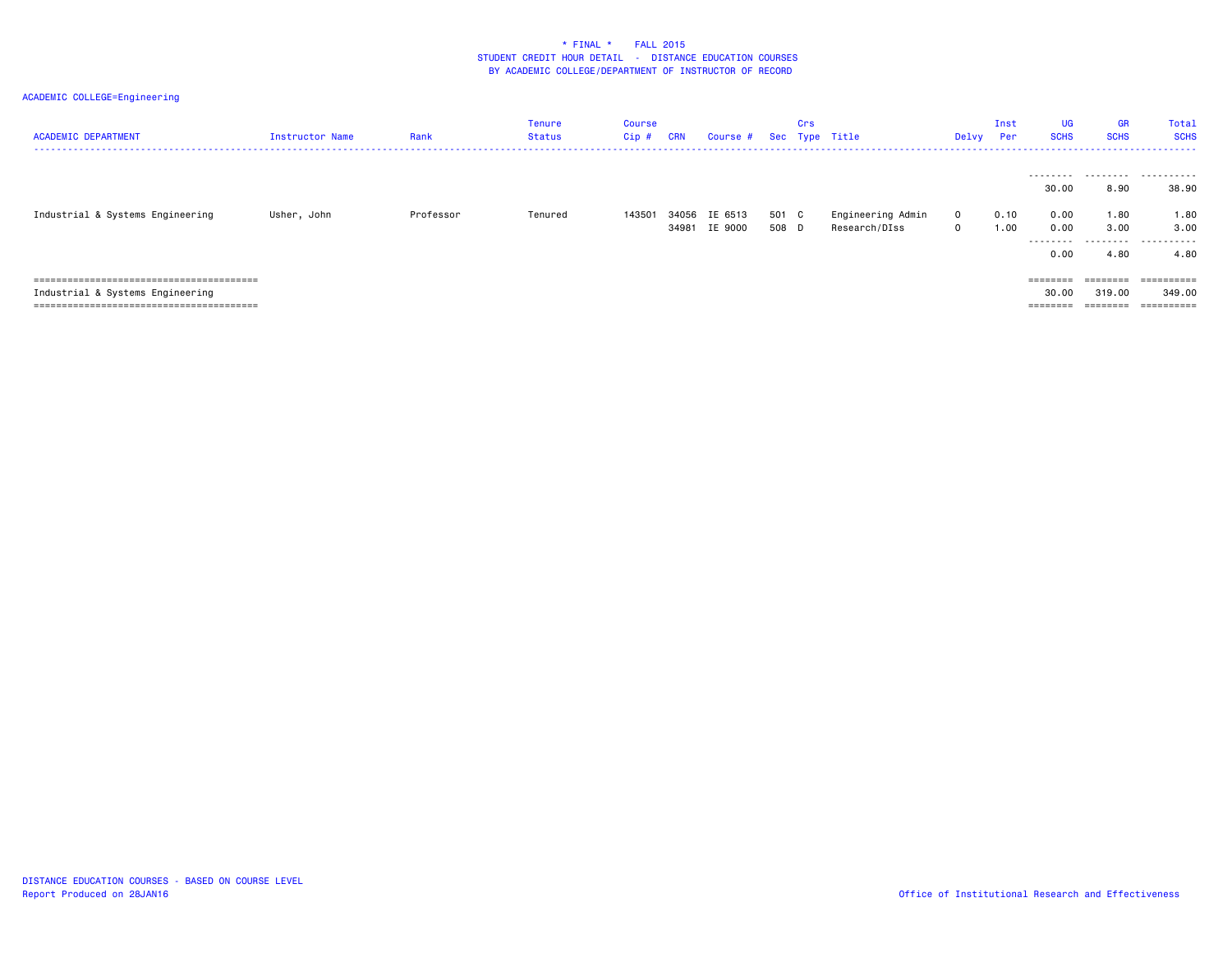| <b>ACADEMIC DEPARTMENT</b>       | Instructor Name | Rank      | <b>Tenure</b><br>Status | <b>Course</b><br>Cip# | <b>CRN</b> | Course #                 |                | Crs | Sec Type Title                     | Delvy                        | Inst<br>Per  | UG<br><b>SCHS</b>                               | <b>GR</b><br><b>SCHS</b>          | Total<br><b>SCHS</b>                   |
|----------------------------------|-----------------|-----------|-------------------------|-----------------------|------------|--------------------------|----------------|-----|------------------------------------|------------------------------|--------------|-------------------------------------------------|-----------------------------------|----------------------------------------|
| Industrial & Systems Engineering | Usher, John     | Professor | Tenured                 | 143501                | 34056      | IE 6513<br>34981 IE 9000 | 501 C<br>508 D |     | Engineering Admin<br>Research/DIss | $\mathbf{O}$<br>$\mathbf{O}$ | 0.10<br>1.00 | 30.00<br>0.00<br>0.00<br>---------<br>0.00      | 8.90<br>1.80<br>3.00<br>.<br>4.80 | <br>38.90<br>1.80<br>3,00<br>.<br>4.80 |
| Industrial & Systems Engineering |                 |           |                         |                       |            |                          |                |     |                                    |                              |              | $=$ = = = = = = =<br>30.00<br>$=$ = = = = = = = | ========<br>319,00<br>========    | ==========<br>349,00<br>==========     |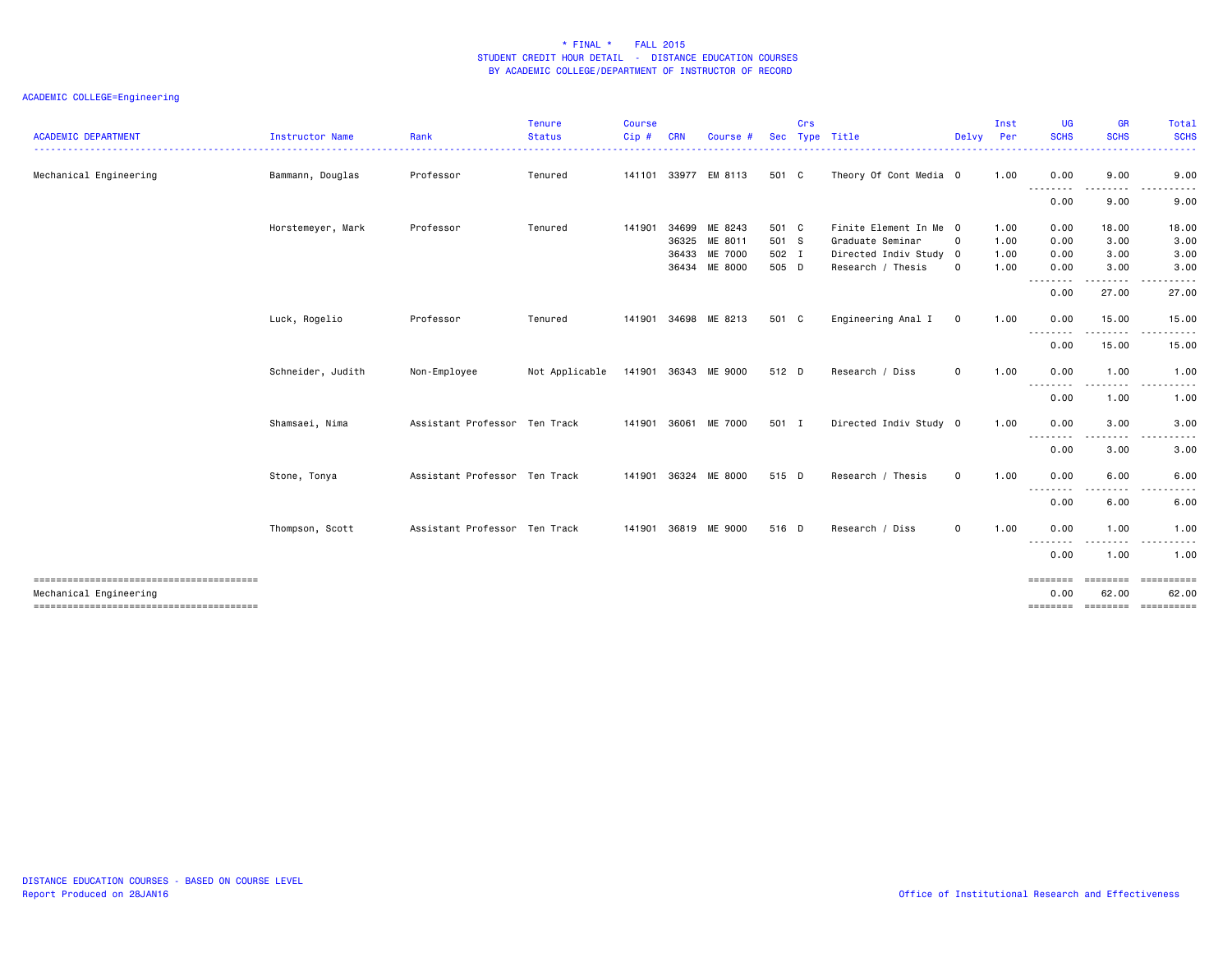| <b>ACADEMIC DEPARTMENT</b> | <b>Instructor Name</b> | Rank                          | Tenure<br><b>Status</b> | <b>Course</b><br>Cip# | <b>CRN</b>     | <b>Course</b>            |                | Crs | Sec Type Title                              | Delvy       | Inst<br>Per<br>. | UG<br><b>SCHS</b> | <b>GR</b><br><b>SCHS</b> | Total<br><b>SCHS</b><br>$\frac{1}{2} \left( \frac{1}{2} \right) \left( \frac{1}{2} \right) \left( \frac{1}{2} \right) \left( \frac{1}{2} \right) \left( \frac{1}{2} \right)$ |
|----------------------------|------------------------|-------------------------------|-------------------------|-----------------------|----------------|--------------------------|----------------|-----|---------------------------------------------|-------------|------------------|-------------------|--------------------------|------------------------------------------------------------------------------------------------------------------------------------------------------------------------------|
| Mechanical Engineering     | Bammann, Douglas       | Professor                     | Tenured                 |                       |                | 141101 33977 EM 8113     | 501 C          |     | Theory Of Cont Media 0                      |             | 1.00             | 0.00              | 9.00                     | 9.00                                                                                                                                                                         |
|                            |                        |                               |                         |                       |                |                          |                |     |                                             |             |                  | .<br>0.00         | 9.00                     | 9.00                                                                                                                                                                         |
|                            | Horstemeyer, Mark      | Professor                     | Tenured                 | 141901                | 34699<br>36325 | ME 8243<br>ME 8011       | 501 C<br>501 S |     | Finite Element In Me 0<br>Graduate Seminar  | $\mathbf 0$ | 1.00<br>1.00     | 0.00<br>0.00      | 18.00<br>3.00            | 18.00<br>3.00                                                                                                                                                                |
|                            |                        |                               |                         |                       | 36433          | ME 7000<br>36434 ME 8000 | 502 I<br>505 D |     | Directed Indiv Study 0<br>Research / Thesis | $\mathbf 0$ | 1.00<br>1.00     | 0.00<br>0.00      | 3.00<br>3.00             | 3.00<br>3.00                                                                                                                                                                 |
|                            |                        |                               |                         |                       |                |                          |                |     |                                             |             |                  | .<br>0.00         | .<br>27.00               | $\frac{1}{2} \left( \frac{1}{2} \right) \left( \frac{1}{2} \right) \left( \frac{1}{2} \right) \left( \frac{1}{2} \right) \left( \frac{1}{2} \right)$<br>27.00                |
|                            | Luck, Rogelio          | Professor                     | Tenured                 | 141901                |                | 34698 ME 8213            | 501 C          |     | Engineering Anal I                          | $\mathbf 0$ | 1.00             | 0.00              | 15.00                    | 15.00                                                                                                                                                                        |
|                            |                        |                               |                         |                       |                |                          |                |     |                                             |             |                  | <u>.</u><br>0.00  | .<br>15.00               | .<br>$- - -$<br>15.00                                                                                                                                                        |
|                            | Schneider, Judith      | Non-Employee                  | Not Applicable          |                       |                | 141901 36343 ME 9000     | 512 D          |     | Research / Diss                             | $\circ$     | 1.00             | 0.00<br>.         | 1.00<br>.                | 1.00                                                                                                                                                                         |
|                            |                        |                               |                         |                       |                |                          |                |     |                                             |             |                  | 0.00              | 1.00                     | 1.00                                                                                                                                                                         |
|                            | Shamsaei, Nima         | Assistant Professor Ten Track |                         |                       |                | 141901 36061 ME 7000     | 501 I          |     | Directed Indiv Study 0                      |             | 1.00             | 0.00<br>--------  | 3.00<br>.                | 3.00<br>$\frac{1}{2} \left( \frac{1}{2} \right) \left( \frac{1}{2} \right) \left( \frac{1}{2} \right) \left( \frac{1}{2} \right) \left( \frac{1}{2} \right)$<br>$- - -$      |
|                            |                        |                               |                         |                       |                |                          |                |     |                                             |             |                  | 0.00              | 3.00                     | 3.00                                                                                                                                                                         |
|                            | Stone, Tonya           | Assistant Professor Ten Track |                         |                       |                | 141901 36324 ME 8000     | 515 D          |     | Research / Thesis                           | $\mathbf 0$ | 1.00             | 0.00<br>--------  | 6.00<br>$\frac{1}{2}$    | 6.00                                                                                                                                                                         |
|                            |                        |                               |                         |                       |                |                          |                |     |                                             |             |                  | 0.00              | 6.00                     | 6.00                                                                                                                                                                         |
|                            | Thompson, Scott        | Assistant Professor Ten Track |                         |                       |                | 141901 36819 ME 9000     | 516 D          |     | Research / Diss                             | $\mathbf 0$ | 1.00             | 0.00<br>--------  | 1.00<br>--------         | 1.00<br>$\sim$ $\sim$ $\sim$<br>. <b>.</b> .                                                                                                                                 |
|                            |                        |                               |                         |                       |                |                          |                |     |                                             |             |                  | 0.00              | 1.00                     | 1.00                                                                                                                                                                         |
| Mechanical Engineering     |                        |                               |                         |                       |                |                          |                |     |                                             |             |                  | ========<br>0.00  | ========<br>62.00        | <b>CONSESSED</b><br>62.00<br>==============================                                                                                                                  |